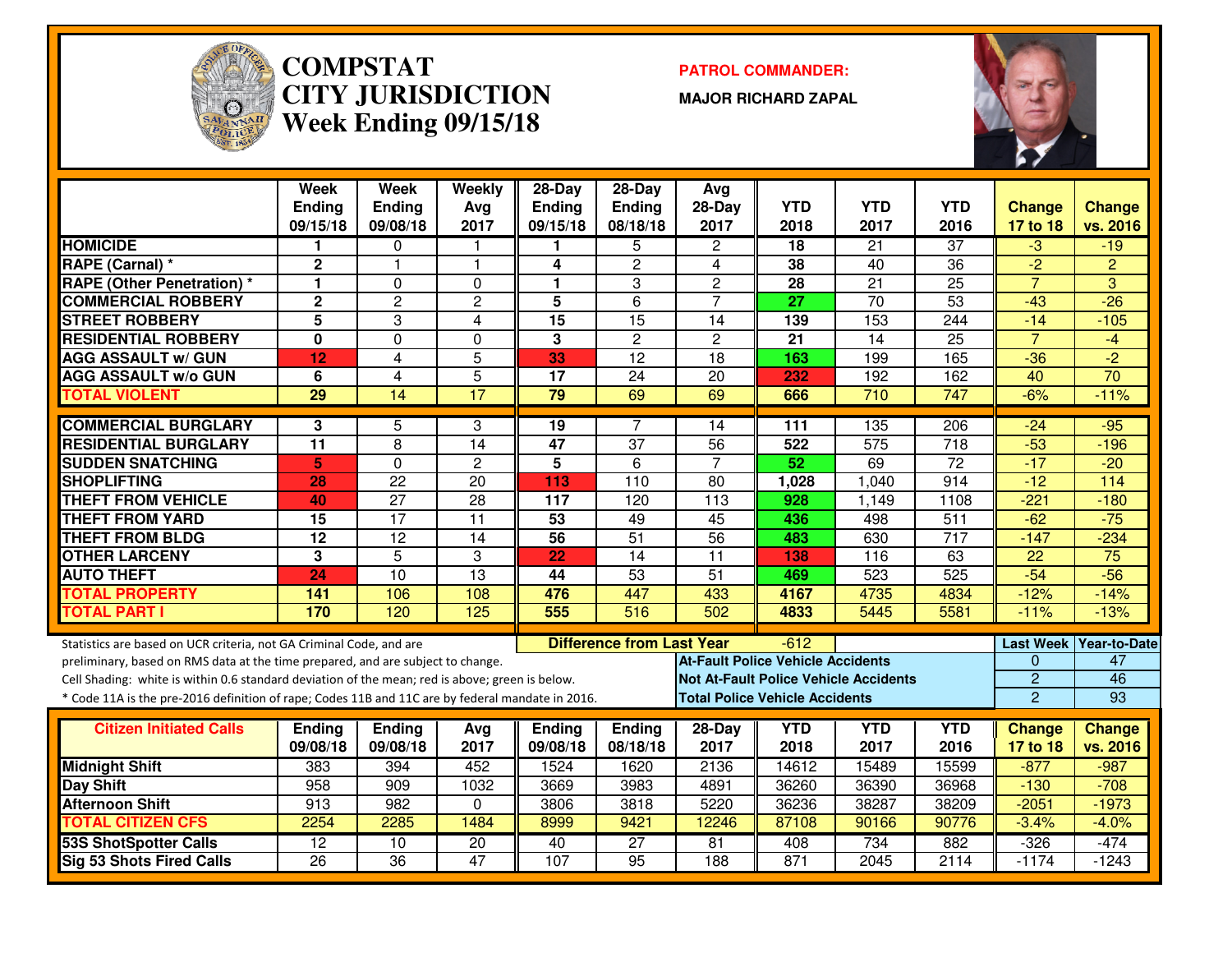

#### **COMPSTAT PATROL COMMANDER: CITY JURISDICTIONWeek Ending 09/15/18**

**MAJOR RICHARD ZAPAL**



|                                                                                                  | <b>Week</b><br><b>Ending</b><br>09/15/18 | <b>Week</b><br><b>Ending</b><br>09/08/18 | Weekly<br>Avg<br>2017 | 28-Day<br><b>Ending</b><br>09/15/18 | $28-Day$<br>Ending<br>08/18/18   | Avg<br>28-Day<br>2017                    | <b>YTD</b><br>2018 | <b>YTD</b><br>2017                           | <b>YTD</b><br>2016 | <b>Change</b><br>17 to 18 | <b>Change</b><br>vs. 2016 |
|--------------------------------------------------------------------------------------------------|------------------------------------------|------------------------------------------|-----------------------|-------------------------------------|----------------------------------|------------------------------------------|--------------------|----------------------------------------------|--------------------|---------------------------|---------------------------|
| <b>HOMICIDE</b>                                                                                  | 1                                        | $\mathbf 0$                              |                       | 1                                   | 5                                | $\overline{2}$                           | 18                 | 21                                           | $\overline{37}$    | $-3$                      | $-19$                     |
| <b>RAPE (Carnal)*</b>                                                                            | $\overline{2}$                           | $\mathbf{1}$                             | $\overline{1}$        | 4                                   | $\overline{2}$                   | 4                                        | 38                 | $\overline{40}$                              | 36                 | $\overline{2}$            | $\overline{2}$            |
| <b>RAPE (Other Penetration) *</b>                                                                | $\blacksquare$                           | $\Omega$                                 | $\Omega$              | 1                                   | 3                                | $\overline{2}$                           | 28                 | $\overline{21}$                              | $\overline{25}$    | $\overline{7}$            | $\overline{3}$            |
| <b>COMMERCIAL ROBBERY</b>                                                                        | $\overline{2}$                           | $\overline{2}$                           | $\overline{c}$        | 5                                   | 6                                | $\overline{7}$                           | $\overline{27}$    | $\overline{70}$                              | 53                 | $-43$                     | $-26$                     |
| <b>STREET ROBBERY</b>                                                                            | $\overline{\mathbf{5}}$                  | 3                                        | 4                     | 15                                  | $\overline{15}$                  | 14                                       | 139                | 153                                          | 244                | $-14$                     | $-105$                    |
| <b>RESIDENTIAL ROBBERY</b>                                                                       | 0                                        | $\Omega$                                 | $\Omega$              | 3                                   | $\mathbf{2}$                     | $\mathbf{2}$                             | 21                 | 14                                           | $\overline{25}$    | $\overline{7}$            | $-4$                      |
| <b>AGG ASSAULT w/ GUN</b>                                                                        | 12                                       | $\overline{4}$                           | $\overline{5}$        | 33                                  | $\overline{12}$                  | 18                                       | 163                | 199                                          | 165                | $-36$                     | $\overline{2}$            |
| <b>AGG ASSAULT w/o GUN</b>                                                                       | 6                                        | $\overline{4}$                           | $\overline{5}$        | 17                                  | $\overline{24}$                  | 20                                       | 232                | 192                                          | 162                | 40                        | 70                        |
| <b>TOTAL VIOLENT</b>                                                                             | $\overline{29}$                          | 14                                       | $\overline{17}$       | 79                                  | 69                               | 69                                       | 666                | 710                                          | 747                | $-6%$                     | $-11%$                    |
| <b>COMMERCIAL BURGLARY</b>                                                                       | 3                                        | 5                                        | 3                     | 19                                  | 7                                | 14                                       | 111                | 135                                          | 206                | $-24$                     | $-95$                     |
| <b>RESIDENTIAL BURGLARY</b>                                                                      | $\overline{11}$                          | $\overline{8}$                           | 14                    | $\overline{47}$                     | $\overline{37}$                  | 56                                       | 522                | $\overline{575}$                             | $\overline{718}$   | $-53$                     | $-196$                    |
| <b>SUDDEN SNATCHING</b>                                                                          | 5                                        | $\mathbf 0$                              | $\overline{2}$        | $\overline{5}$                      | $\overline{6}$                   | $\overline{7}$                           | 52                 | 69                                           | $\overline{72}$    | $-17$                     | $-20$                     |
| <b>SHOPLIFTING</b>                                                                               | 28                                       | $\overline{22}$                          | $\overline{20}$       | 113                                 | 110                              | $\overline{80}$                          | 1,028              | 1,040                                        | 914                | $-12$                     | $\frac{114}{x}$           |
| <b>THEFT FROM VEHICLE</b>                                                                        | 40                                       | $\overline{27}$                          | $\overline{28}$       | 117                                 | 120                              | $\overline{113}$                         | 928                | 1,149                                        | 1108               | $-221$                    | $-180$                    |
| <b>THEFT FROM YARD</b>                                                                           | 15                                       | $\overline{17}$                          | $\overline{11}$       | 53                                  | 49                               | 45                                       | 436                | 498                                          | $\overline{511}$   | $-62$                     | $-75$                     |
| <b>THEFT FROM BLDG</b>                                                                           | 12                                       | $\overline{12}$                          | $\overline{14}$       | $\overline{56}$                     | 51                               | 56                                       | 483                | 630                                          | $\overline{717}$   | $-147$                    | $-234$                    |
| <b>OTHER LARCENY</b>                                                                             | 3                                        | $\overline{5}$                           | 3                     | 22                                  | $\overline{14}$                  | $\overline{11}$                          | 138                | 116                                          | 63                 | 22                        | 75                        |
| <b>AUTO THEFT</b>                                                                                | 24                                       | $\overline{10}$                          | $\overline{13}$       | 44                                  | 53                               | $\overline{51}$                          | 469                | 523                                          | 525                | $-54$                     | $-56$                     |
| <b>TOTAL PROPERTY</b>                                                                            | $\frac{141}{1}$                          | 106                                      | 108                   | 476                                 | 447                              | 433                                      | 4167               | 4735                                         | 4834               | $-12%$                    | $-14%$                    |
| <b>TOTAL PART I</b>                                                                              | 170                                      | 120                                      | 125                   | 555                                 | 516                              | 502                                      | 4833               | 5445                                         | 5581               | $-11%$                    | $-13%$                    |
| Statistics are based on UCR criteria, not GA Criminal Code, and are                              |                                          |                                          |                       |                                     | <b>Difference from Last Year</b> |                                          | $-612$             |                                              |                    | Last Week                 | <b>Year-to-Date</b>       |
| preliminary, based on RMS data at the time prepared, and are subject to change.                  |                                          |                                          |                       |                                     |                                  | <b>At-Fault Police Vehicle Accidents</b> |                    |                                              |                    | $\Omega$                  | 47                        |
| Cell Shading: white is within 0.6 standard deviation of the mean; red is above; green is below.  |                                          |                                          |                       |                                     |                                  |                                          |                    | <b>Not At-Fault Police Vehicle Accidents</b> |                    | $\overline{2}$            | 46                        |
| * Code 11A is the pre-2016 definition of rape; Codes 11B and 11C are by federal mandate in 2016. |                                          |                                          |                       |                                     |                                  | <b>Total Police Vehicle Accidents</b>    |                    |                                              |                    | $\overline{2}$            | 93                        |
| <b>Citizen Initiated Calls</b>                                                                   | <b>Ending</b>                            | Ending                                   | Avg                   | Ending                              | Ending                           | 28-Day                                   | <b>YTD</b>         | <b>YTD</b>                                   | <b>YTD</b>         | <b>Change</b>             | <b>Change</b>             |
|                                                                                                  | 09/08/18                                 | 09/08/18                                 | 2017                  | 09/08/18                            | 08/18/18                         | 2017                                     | 2018               | 2017                                         | 2016               | 17 to 18                  | vs. 2016                  |
| <b>Midnight Shift</b>                                                                            | 383                                      | 394                                      | 452                   | 1524                                | 1620                             | 2136                                     | 14612              | 15489                                        | 15599              | $-877$                    | $-987$                    |
| <b>Day Shift</b>                                                                                 | 958                                      | 909                                      | 1032                  | 3669                                | 3983                             | 4891                                     | 36260              | 36390                                        | 36968              | $-130$                    | $-708$                    |
| <b>Afternoon Shift</b>                                                                           | 913                                      | 982                                      | $\Omega$              | 3806                                | 3818                             | 5220                                     | 36236              | 38287                                        | 38209              | $-2051$                   | $-1973$                   |
| <b>TOTAL CITIZEN CFS</b>                                                                         | 2254                                     | 2285                                     | 1484                  | 8999                                | 9421                             | 12246                                    | 87108              | 90166                                        | 90776              | $-3.4%$                   | $-4.0%$                   |
| <b>53S ShotSpotter Calls</b>                                                                     | 12                                       | 10                                       | $\overline{20}$       | 40                                  | $\overline{27}$                  | 81                                       | 408                | 734                                          | 882                | $-326$                    | $-474$                    |
| Sig 53 Shots Fired Calls                                                                         | $\overline{26}$                          | $\overline{36}$                          | $\overline{47}$       | 107                                 | $\overline{95}$                  | 188                                      | 871                | 2045                                         | 2114               | $-1174$                   | $-1243$                   |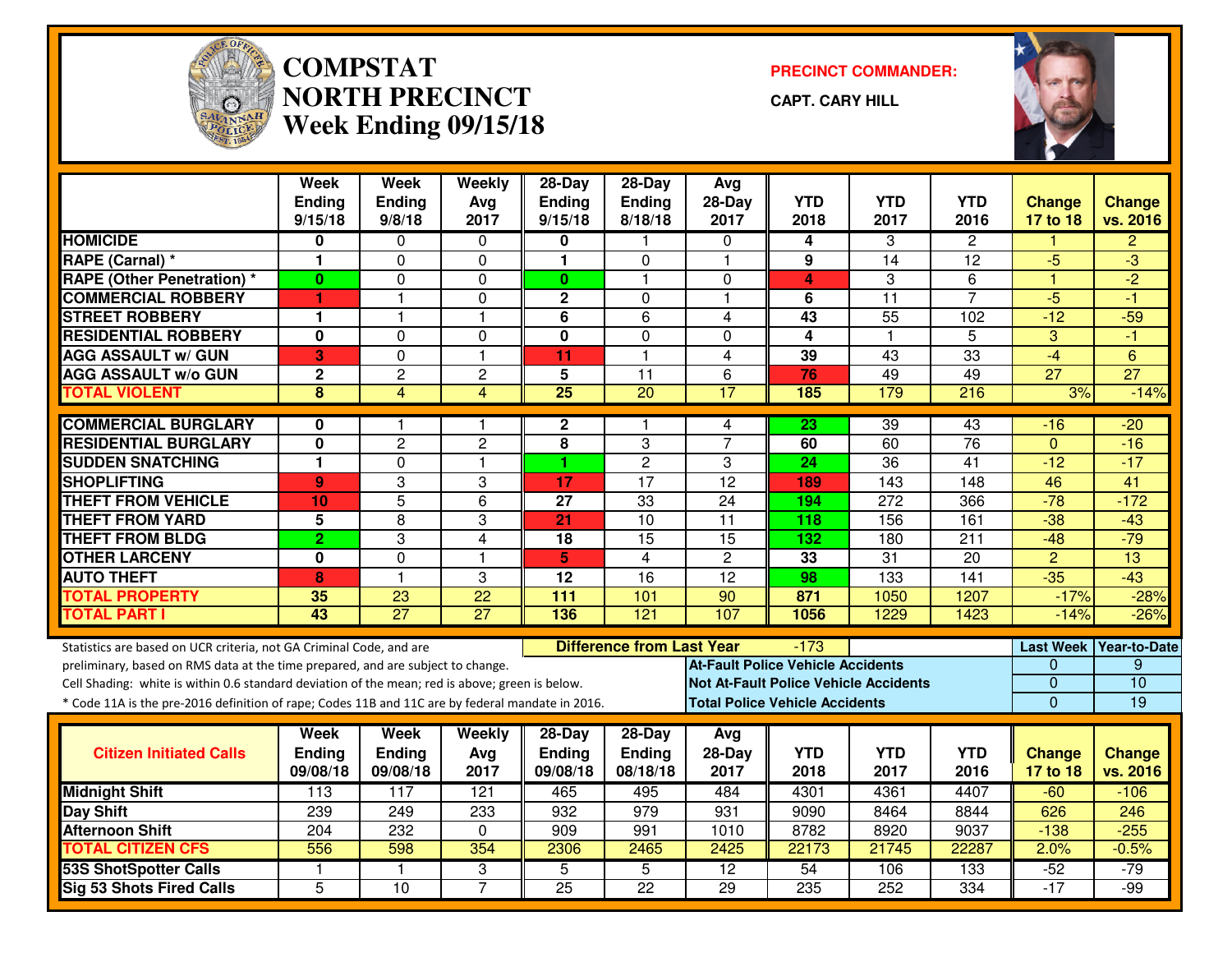

#### **COMPSTAT PRECINCT COMMANDER: NORTH PRECINCTWeek Ending 09/15/18**

**CAPT. CARY HILL**



|                                                                                                  | <b>Week</b><br><b>Ending</b><br>9/15/18 | Week<br>Ending<br>9/8/18 | Weekly<br>Avg<br>2017 | $28-Day$<br><b>Ending</b><br>9/15/18 | $28-Day$<br>Ending<br>8/18/18    | Avg<br>$28-Day$<br>2017                      | <b>YTD</b><br>2018 | <b>YTD</b><br>2017 | YTD<br>2016      | <b>Change</b><br>17 to 18 | <b>Change</b><br>vs. 2016 |
|--------------------------------------------------------------------------------------------------|-----------------------------------------|--------------------------|-----------------------|--------------------------------------|----------------------------------|----------------------------------------------|--------------------|--------------------|------------------|---------------------------|---------------------------|
| <b>HOMICIDE</b>                                                                                  | 0                                       | $\Omega$                 | $\mathbf{0}$          | 0                                    |                                  | $\Omega$                                     | 4                  | 3                  | $\overline{2}$   |                           | $\overline{2}$            |
| RAPE (Carnal) *                                                                                  | 1                                       | $\Omega$                 | 0                     | $\mathbf{1}$                         | $\Omega$                         | $\mathbf{1}$                                 | 9                  | 14                 | 12               | -5                        | -3                        |
| <b>RAPE (Other Penetration) *</b>                                                                | $\mathbf{0}$                            | $\Omega$                 | $\mathbf 0$           | $\mathbf{0}$                         | $\mathbf{1}$                     | $\Omega$                                     | 4                  | 3                  | 6                | 1                         | $\overline{-2}$           |
| <b>COMMERCIAL ROBBERY</b>                                                                        | 1                                       | 1                        | 0                     | $\boldsymbol{2}$                     | $\mathbf 0$                      | $\mathbf{1}$                                 | 6                  | $\overline{11}$    | $\overline{7}$   | $-5$                      | -1                        |
| <b>STREET ROBBERY</b>                                                                            | 1                                       | 1                        | $\mathbf{1}$          | 6                                    | 6                                | 4                                            | 43                 | 55                 | 102              | $-12$                     | $-59$                     |
| <b>RESIDENTIAL ROBBERY</b>                                                                       | 0                                       | 0                        | 0                     | $\mathbf 0$                          | $\mathbf{0}$                     | $\Omega$                                     | 4                  | $\mathbf{1}$       | 5                | 3                         | -1                        |
| <b>AGG ASSAULT w/ GUN</b>                                                                        | 3                                       | 0                        | $\mathbf{1}$          | 11                                   | $\mathbf{1}$                     | $\overline{4}$                               | 39                 | 43                 | 33               | $-4$                      | $6\phantom{1}6$           |
| <b>AGG ASSAULT w/o GUN</b>                                                                       | $\mathbf 2$                             | $\overline{c}$           | $\overline{c}$        | 5                                    | 11                               | 6                                            | 76                 | 49                 | 49               | $\overline{27}$           | $\overline{27}$           |
| <b>TOTAL VIOLENT</b>                                                                             | 8                                       | $\overline{4}$           | $\overline{4}$        | $\overline{25}$                      | 20                               | $\overline{17}$                              | 185                | 179                | 216              | 3%                        | $-14%$                    |
| <b>COMMERCIAL BURGLARY</b>                                                                       | 0                                       | 1.                       | 1                     | $\mathbf{2}$                         | 1                                | 4                                            | 23                 | $\overline{39}$    | 43               | $-16$                     | $-20$                     |
| <b>RESIDENTIAL BURGLARY</b>                                                                      | 0                                       | $\overline{c}$           | $\overline{c}$        | 8                                    | 3                                | $\overline{7}$                               | 60                 | 60                 | $\overline{76}$  | $\mathbf{0}$              | $-16$                     |
| <b>SUDDEN SNATCHING</b>                                                                          | 1                                       | $\Omega$                 | $\mathbf{1}$          | 1                                    | $\overline{c}$                   | 3                                            | 24                 | $\overline{36}$    | 41               | $-12$                     | $-17$                     |
| <b>SHOPLIFTING</b>                                                                               | 9 <sup>°</sup>                          | 3                        | 3                     | $\overline{17}$                      | $\overline{17}$                  | $\overline{12}$                              | 189                | $\overline{143}$   | $\overline{148}$ | 46                        | $\overline{41}$           |
| <b>THEFT FROM VEHICLE</b>                                                                        | 10 <sup>1</sup>                         | 5                        | 6                     | 27                                   | 33                               | 24                                           | 194                | 272                | 366              | $-78$                     | $-172$                    |
| <b>THEFT FROM YARD</b>                                                                           | 5                                       | $\overline{8}$           | 3                     | $\overline{21}$                      | 10                               | $\overline{11}$                              | 118                | 156                | 161              | $-38$                     | $-43$                     |
| <b>THEFT FROM BLDG</b>                                                                           | $\overline{2}$                          | 3                        | $\overline{4}$        | $\overline{18}$                      | 15                               | 15                                           | 132                | 180                | $\overline{211}$ | $-48$                     | $-79$                     |
| <b>OTHER LARCENY</b>                                                                             | 0                                       | 0                        | 1                     | 5                                    | $\overline{4}$                   | $\overline{2}$                               | 33                 | $\overline{31}$    | 20               | $\overline{2}$            | $\overline{13}$           |
| <b>AUTO THEFT</b>                                                                                | 8                                       | $\mathbf{1}$             | 3                     | $\overline{12}$                      | $\overline{16}$                  | $\overline{12}$                              | 98                 | $\overline{133}$   | 141              | $-35$                     | $-43$                     |
| <b>TOTAL PROPERTY</b>                                                                            | 35                                      | 23                       | $\overline{22}$       | 111                                  | 101                              | 90                                           | 871                | 1050               | 1207             | $-17%$                    | $-28%$                    |
| <b>TOTAL PART I</b>                                                                              | 43                                      | $\overline{27}$          | $\overline{27}$       | 136                                  | 121                              | 107                                          | 1056               | 1229               | 1423             | $-14%$                    | $-26%$                    |
| Statistics are based on UCR criteria, not GA Criminal Code, and are                              |                                         |                          |                       |                                      | <b>Difference from Last Year</b> |                                              | $-173$             |                    |                  |                           | Last Week Year-to-Date    |
| preliminary, based on RMS data at the time prepared, and are subject to change.                  |                                         |                          |                       |                                      |                                  | At-Fault Police Vehicle Accidents            |                    |                    |                  | $\Omega$                  | 9                         |
| Cell Shading: white is within 0.6 standard deviation of the mean; red is above; green is below.  |                                         |                          |                       |                                      |                                  | <b>Not At-Fault Police Vehicle Accidents</b> |                    |                    |                  | $\mathbf{0}$              | 10                        |
| * Code 11A is the pre-2016 definition of rape; Codes 11B and 11C are by federal mandate in 2016. |                                         |                          |                       |                                      |                                  | <b>Total Police Vehicle Accidents</b>        |                    |                    |                  | $\Omega$                  | 19                        |
|                                                                                                  | Week                                    | Week                     | Weekly                | 28-Day                               | 28-Day                           | Avg                                          |                    |                    |                  |                           |                           |
| <b>Citizen Initiated Calls</b>                                                                   | Ending                                  | <b>Ending</b>            | Avg                   | <b>Ending</b>                        | Ending                           | 28-Day                                       | <b>YTD</b>         | <b>YTD</b>         | <b>YTD</b>       | <b>Change</b>             | <b>Change</b>             |
|                                                                                                  | 09/08/18                                | 09/08/18                 | 2017                  | 09/08/18                             | 08/18/18                         | 2017                                         | 2018               | 2017               | 2016             | 17 to 18                  | vs. 2016                  |
| <b>Midnight Shift</b>                                                                            | 113                                     | 117                      | 121                   | 465                                  | 495                              | 484                                          | 4301               | 4361               | 4407             | $-60$                     | $-106$                    |
| Day Shift                                                                                        | 239                                     | 249                      | 233                   | 932                                  | 979                              | 931                                          | 9090               | 8464               | 8844             | 626                       | $\overline{246}$          |
| <b>Afternoon Shift</b>                                                                           | 204                                     | 232                      | 0                     | 909                                  | 991                              | 1010                                         | 8782               | 8920               | 9037             | $-138$                    | $-255$                    |
| <b>TOTAL CITIZEN CFS</b>                                                                         | 556                                     | 598                      | 354                   | 2306                                 | 2465                             | 2425                                         | 22173              | 21745              | 22287            | 2.0%                      | $-0.5%$                   |
| <b>53S ShotSpotter Calls</b>                                                                     | $\mathbf{1}$                            | 1                        | 3                     | 5                                    | $\overline{5}$                   | $\overline{12}$                              | 54                 | 106                | 133              | $-52$                     | $-79$                     |
| <b>Sig 53 Shots Fired Calls</b>                                                                  | $\overline{5}$                          | 10                       | $\overline{7}$        | $\overline{25}$                      | $\overline{22}$                  | $\overline{29}$                              | 235                | 252                | 334              | $-17$                     | $-99$                     |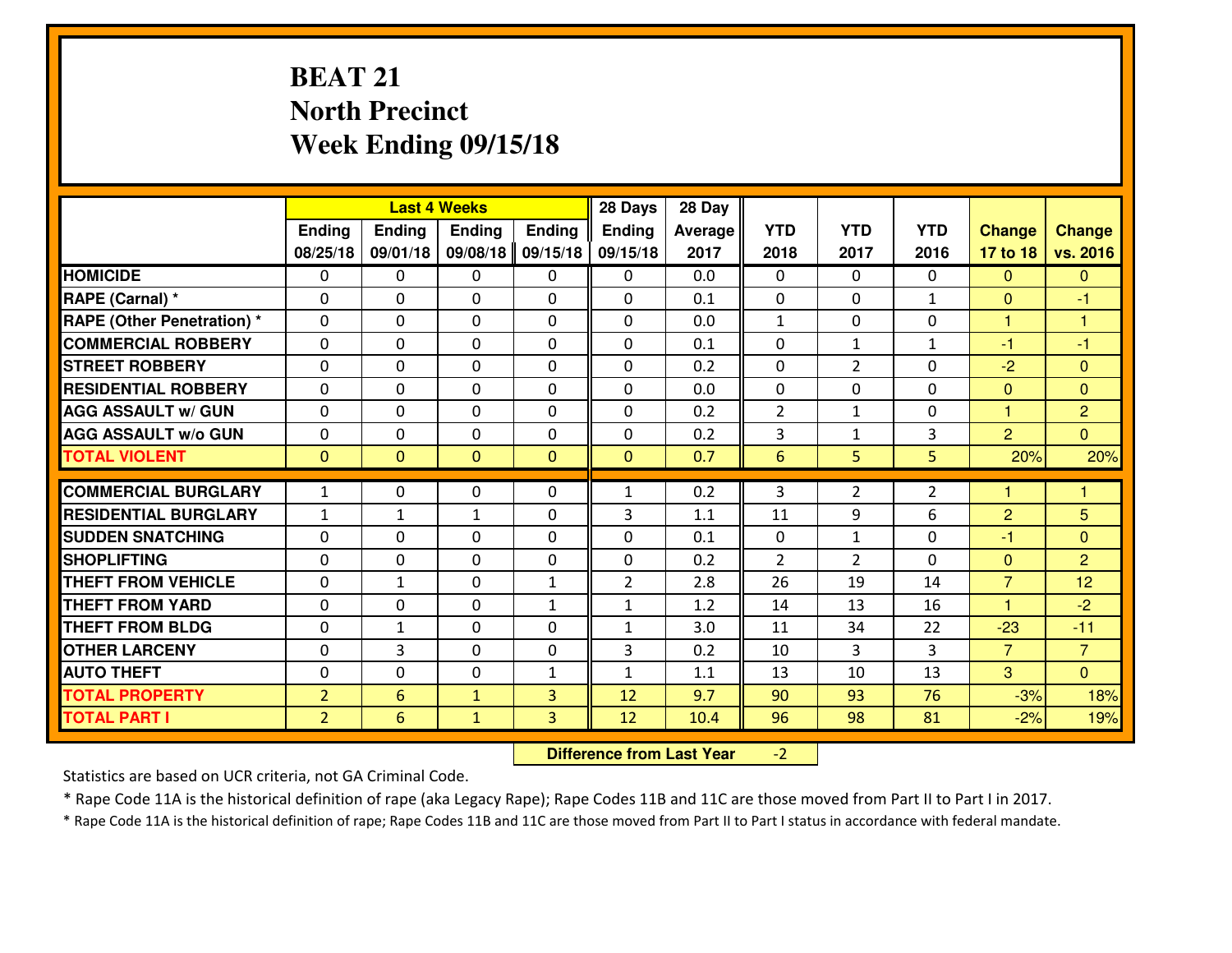# **BEAT 21 North PrecinctWeek Ending 09/15/18**

|                                  |                |                | <b>Last 4 Weeks</b> |               | 28 Days        | 28 Day  |                |                |                |                |                |
|----------------------------------|----------------|----------------|---------------------|---------------|----------------|---------|----------------|----------------|----------------|----------------|----------------|
|                                  | Ending         | <b>Ending</b>  | <b>Ending</b>       | <b>Ending</b> | <b>Ending</b>  | Average | <b>YTD</b>     | <b>YTD</b>     | <b>YTD</b>     | <b>Change</b>  | <b>Change</b>  |
|                                  | 08/25/18       | 09/01/18       | 09/08/18            | 09/15/18      | 09/15/18       | 2017    | 2018           | 2017           | 2016           | 17 to 18       | vs. 2016       |
| <b>HOMICIDE</b>                  | $\Omega$       | 0              | 0                   | 0             | $\Omega$       | 0.0     | 0              | $\Omega$       | 0              | $\Omega$       | $\Omega$       |
| RAPE (Carnal) *                  | $\Omega$       | 0              | $\Omega$            | $\Omega$      | $\Omega$       | 0.1     | $\Omega$       | $\Omega$       | $\mathbf{1}$   | $\Omega$       | -1             |
| <b>RAPE (Other Penetration)*</b> | 0              | 0              | $\mathbf 0$         | 0             | 0              | 0.0     | $\mathbf{1}$   | 0              | 0              | $\mathbf{1}$   | $\overline{1}$ |
| <b>COMMERCIAL ROBBERY</b>        | 0              | 0              | $\mathbf 0$         | 0             | 0              | 0.1     | 0              | $\mathbf{1}$   | $\mathbf{1}$   | $-1$           | $-1$           |
| <b>STREET ROBBERY</b>            | 0              | 0              | $\mathbf 0$         | 0             | 0              | 0.2     | 0              | $\overline{2}$ | 0              | $-2$           | $\mathbf{0}$   |
| <b>RESIDENTIAL ROBBERY</b>       | 0              | 0              | $\mathbf 0$         | $\mathbf{0}$  | 0              | 0.0     | $\mathbf 0$    | 0              | 0              | $\mathbf{0}$   | $\mathbf{0}$   |
| <b>AGG ASSAULT w/ GUN</b>        | 0              | 0              | $\mathbf 0$         | 0             | 0              | 0.2     | $\overline{2}$ | $\mathbf{1}$   | 0              | $\mathbf{1}$   | $\overline{2}$ |
| <b>AGG ASSAULT W/o GUN</b>       | 0              | 0              | 0                   | 0             | $\mathbf 0$    | 0.2     | 3              | $\mathbf{1}$   | 3              | $\overline{2}$ | $\overline{0}$ |
| <b>TOTAL VIOLENT</b>             | $\mathbf{0}$   | $\overline{0}$ | $\mathbf{O}$        | $\mathbf{0}$  | $\mathbf{0}$   | 0.7     | $6\phantom{1}$ | 5              | 5              | 20%            | 20%            |
| <b>COMMERCIAL BURGLARY</b>       | $\mathbf{1}$   | 0              | $\mathbf{0}$        | 0             | $\mathbf{1}$   | 0.2     | 3              | $\overline{2}$ | $\overline{2}$ | 1              | 1              |
| <b>RESIDENTIAL BURGLARY</b>      | $\mathbf{1}$   | 1              | 1                   | 0             | 3              | 1.1     | 11             | 9              | 6              | $\overline{2}$ | 5              |
| <b>SUDDEN SNATCHING</b>          | $\mathbf{0}$   | 0              | $\mathbf 0$         | 0             | 0              | 0.1     | $\mathbf{0}$   | $\mathbf{1}$   | 0              | $-1$           | $\mathbf{0}$   |
| <b>SHOPLIFTING</b>               | 0              | 0              | $\mathbf 0$         | 0             | 0              | 0.2     | $\overline{2}$ | $\overline{2}$ | $\Omega$       | $\mathbf{0}$   | $\overline{2}$ |
| <b>THEFT FROM VEHICLE</b>        | 0              | $\mathbf{1}$   | $\mathbf 0$         | $\mathbf{1}$  | $\overline{2}$ | 2.8     | 26             | 19             | 14             | $\overline{7}$ | 12             |
| <b>THEFT FROM YARD</b>           | 0              | 0              | $\mathbf 0$         | $\mathbf{1}$  | $\mathbf{1}$   | 1.2     | 14             | 13             | 16             | 1              | $-2$           |
| <b>THEFT FROM BLDG</b>           | 0              | $\mathbf{1}$   | $\mathbf 0$         | $\mathbf{0}$  | $\mathbf{1}$   | 3.0     | 11             | 34             | 22             | $-23$          | $-11$          |
| <b>OTHER LARCENY</b>             | 0              | 3              | $\mathbf 0$         | $\mathbf 0$   | 3              | 0.2     | 10             | 3              | 3              | $\overline{7}$ | $\overline{7}$ |
| <b>AUTO THEFT</b>                | 0              | 0              | $\mathbf 0$         | $\mathbf{1}$  | $\mathbf{1}$   | 1.1     | 13             | 10             | 13             | 3              | $\overline{0}$ |
| <b>TOTAL PROPERTY</b>            | $\overline{2}$ | 6              | $\mathbf{1}$        | 3             | 12             | 9.7     | 90             | 93             | 76             | $-3%$          | 18%            |
| <b>TOTAL PART I</b>              | $\overline{2}$ | 6              | $\mathbf{1}$        | 3             | 12             | 10.4    | 96             | 98             | 81             | $-2%$          | 19%            |

 **Difference from Last Year**-2

Statistics are based on UCR criteria, not GA Criminal Code.

\* Rape Code 11A is the historical definition of rape (aka Legacy Rape); Rape Codes 11B and 11C are those moved from Part II to Part I in 2017.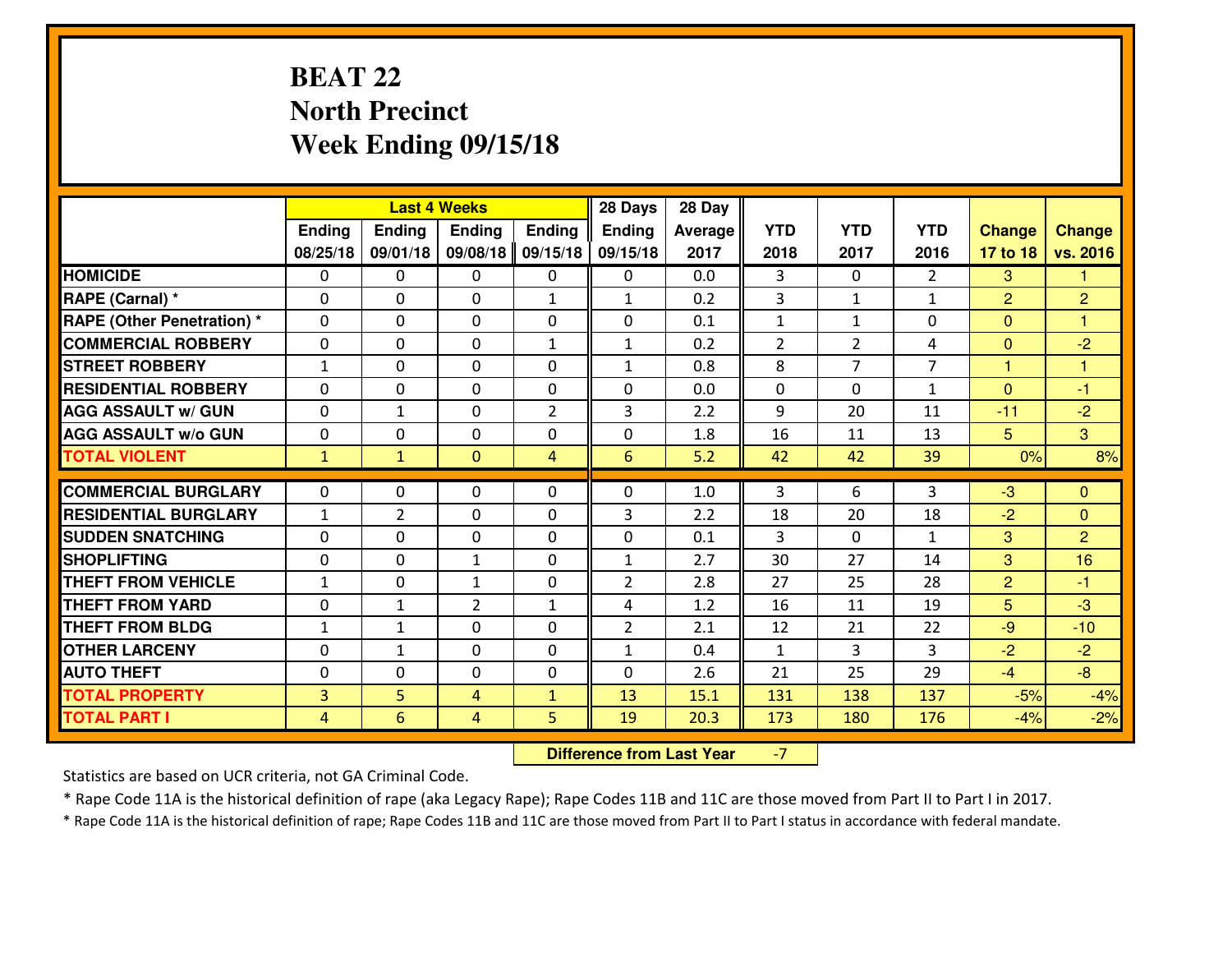# **BEAT 22 North PrecinctWeek Ending 09/15/18**

|                                   |                | <b>Last 4 Weeks</b> |                |                | 28 Days        | 28 Day  |                |                |                |                |                |
|-----------------------------------|----------------|---------------------|----------------|----------------|----------------|---------|----------------|----------------|----------------|----------------|----------------|
|                                   | Ending         | Ending              | <b>Ending</b>  | <b>Ending</b>  | <b>Ending</b>  | Average | <b>YTD</b>     | <b>YTD</b>     | <b>YTD</b>     | <b>Change</b>  | <b>Change</b>  |
|                                   | 08/25/18       | 09/01/18            | 09/08/18       | 09/15/18       | 09/15/18       | 2017    | 2018           | 2017           | 2016           | 17 to 18       | vs. 2016       |
| <b>HOMICIDE</b>                   | $\Omega$       | 0                   | $\Omega$       | 0              | $\Omega$       | 0.0     | 3              | 0              | $\overline{2}$ | 3              | 1.             |
| RAPE (Carnal) *                   | $\Omega$       | 0                   | $\Omega$       | $\mathbf{1}$   | $\mathbf{1}$   | 0.2     | 3              | $\mathbf{1}$   | $\mathbf{1}$   | $\overline{2}$ | $\overline{2}$ |
| <b>RAPE (Other Penetration) *</b> | $\Omega$       | 0                   | $\mathbf 0$    | 0              | 0              | 0.1     | $\mathbf{1}$   | $\mathbf{1}$   | 0              | $\mathbf{0}$   | 1              |
| <b>COMMERCIAL ROBBERY</b>         | $\mathbf 0$    | 0                   | $\mathbf 0$    | $\mathbf{1}$   | $\mathbf{1}$   | 0.2     | 2              | $\overline{2}$ | 4              | $\mathbf{0}$   | $-2$           |
| <b>STREET ROBBERY</b>             | $\mathbf{1}$   | 0                   | $\mathbf 0$    | 0              | $\mathbf{1}$   | 0.8     | 8              | $\overline{7}$ | $\overline{7}$ | $\mathbf{1}$   | $\mathbf{1}$   |
| <b>RESIDENTIAL ROBBERY</b>        | $\mathbf 0$    | 0                   | $\mathbf 0$    | 0              | 0              | 0.0     | $\mathbf 0$    | $\Omega$       | $\mathbf{1}$   | $\mathbf{0}$   | $-1$           |
| <b>AGG ASSAULT W/ GUN</b>         | $\mathbf 0$    | $\mathbf{1}$        | $\mathbf 0$    | $\overline{2}$ | 3              | 2.2     | 9              | 20             | 11             | $-11$          | $-2$           |
| <b>AGG ASSAULT W/o GUN</b>        | $\mathbf 0$    | 0                   | 0              | 0              | 0              | 1.8     | 16             | 11             | 13             | $5\phantom{.}$ | $\mathbf{3}$   |
| <b>TOTAL VIOLENT</b>              | $\mathbf{1}$   | $\mathbf{1}$        | $\overline{0}$ | $\overline{4}$ | 6              | 5.2     | 42             | 42             | 39             | 0%             | 8%             |
| <b>COMMERCIAL BURGLARY</b>        | $\Omega$       | 0                   | $\mathbf{0}$   | $\Omega$       | 0              | 1.0     | 3              | 6              | 3              | $-3$           | $\mathbf{0}$   |
|                                   |                |                     |                |                |                |         |                |                | 18             |                |                |
| <b>RESIDENTIAL BURGLARY</b>       | $\mathbf{1}$   | $\overline{2}$      | $\mathbf{0}$   | $\Omega$       | 3              | 2.2     | 18             | 20             |                | $-2$           | $\mathbf{0}$   |
| <b>SUDDEN SNATCHING</b>           | $\mathbf 0$    | 0                   | $\mathbf{0}$   | 0              | 0              | 0.1     | $\overline{3}$ | 0              | $\mathbf{1}$   | 3              | $\overline{2}$ |
| <b>SHOPLIFTING</b>                | $\mathbf 0$    | 0                   | $\mathbf{1}$   | 0              | $\mathbf{1}$   | 2.7     | 30             | 27             | 14             | 3              | 16             |
| <b>THEFT FROM VEHICLE</b>         | $\mathbf{1}$   | 0                   | $\mathbf{1}$   | 0              | $\overline{2}$ | 2.8     | 27             | 25             | 28             | $\overline{2}$ | $-1$           |
| <b>THEFT FROM YARD</b>            | $\mathbf 0$    | 1                   | $\overline{2}$ | $\mathbf{1}$   | 4              | 1.2     | 16             | 11             | 19             | 5              | $-3$           |
| <b>THEFT FROM BLDG</b>            | $\mathbf{1}$   | $\mathbf{1}$        | $\mathbf 0$    | 0              | $\overline{2}$ | 2.1     | 12             | 21             | 22             | $-9$           | $-10$          |
| <b>OTHER LARCENY</b>              | $\mathbf 0$    | $\mathbf{1}$        | $\mathbf 0$    | 0              | $\mathbf{1}$   | 0.4     | $\mathbf{1}$   | 3              | 3              | $-2$           | $-2$           |
| <b>AUTO THEFT</b>                 | 0              | 0                   | $\mathbf 0$    | 0              | 0              | 2.6     | 21             | 25             | 29             | $-4$           | $-8$           |
| <b>TOTAL PROPERTY</b>             | $\overline{3}$ | 5                   | 4              | $\mathbf{1}$   | 13             | 15.1    | 131            | 138            | 137            | $-5%$          | $-4%$          |
| <b>TOTAL PART I</b>               | $\overline{4}$ | $6\overline{6}$     | 4              | 5              | 19             | 20.3    | 173            | 180            | 176            | $-4%$          | $-2%$          |

 **Difference from Last Year**-7

Statistics are based on UCR criteria, not GA Criminal Code.

\* Rape Code 11A is the historical definition of rape (aka Legacy Rape); Rape Codes 11B and 11C are those moved from Part II to Part I in 2017.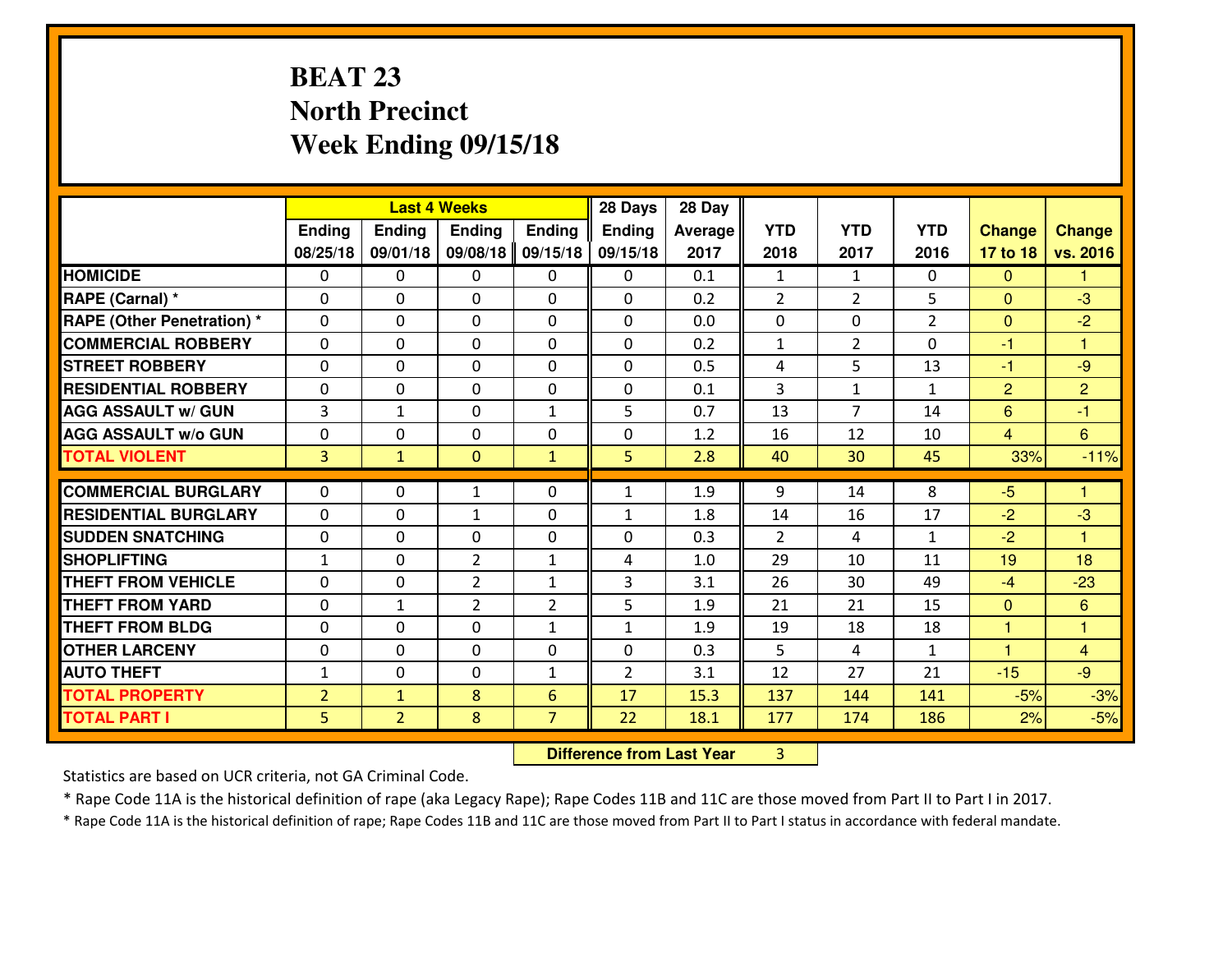# **BEAT 23 North PrecinctWeek Ending 09/15/18**

|                                              |                                  |                                | <b>Last 4 Weeks</b> |                     | 28 Days        | 28 Day       |                |                |                |                      |                |
|----------------------------------------------|----------------------------------|--------------------------------|---------------------|---------------------|----------------|--------------|----------------|----------------|----------------|----------------------|----------------|
|                                              | Ending                           | <b>Ending</b>                  | Ending              | <b>Ending</b>       | <b>Ending</b>  | Average      | <b>YTD</b>     | <b>YTD</b>     | <b>YTD</b>     | <b>Change</b>        | <b>Change</b>  |
|                                              | 08/25/18                         | 09/01/18                       | 09/08/18            | 09/15/18            | 09/15/18       | 2017         | 2018           | 2017           | 2016           | 17 to 18             | vs. 2016       |
| <b>HOMICIDE</b>                              | $\Omega$                         | 0                              | 0                   | 0                   | 0              | 0.1          | $\mathbf{1}$   | $\mathbf{1}$   | 0              | $\Omega$             | 1              |
| RAPE (Carnal) *                              | $\mathbf{0}$                     | 0                              | $\mathbf{0}$        | 0                   | 0              | 0.2          | $\overline{2}$ | $\overline{2}$ | 5              | $\Omega$             | $-3$           |
| <b>RAPE (Other Penetration) *</b>            | $\mathbf{0}$                     | 0                              | $\mathbf{0}$        | 0                   | $\Omega$       | 0.0          | $\Omega$       | 0              | $\overline{2}$ | $\mathbf{0}$         | $-2$           |
| <b>COMMERCIAL ROBBERY</b>                    | $\mathbf{0}$                     | 0                              | 0                   | $\Omega$            | $\Omega$       | 0.2          | 1              | 2              | 0              | $-1$                 | 1              |
| <b>STREET ROBBERY</b>                        | $\mathbf{0}$                     | 0                              | $\mathbf 0$         | 0                   | $\Omega$       | 0.5          | 4              | 5              | 13             | $-1$                 | $-9$           |
| <b>RESIDENTIAL ROBBERY</b>                   | 0                                | 0                              | $\mathbf 0$         | 0                   | 0              | 0.1          | $\overline{3}$ | $\mathbf{1}$   | $\mathbf{1}$   | $\overline{2}$       | $\overline{2}$ |
| <b>AGG ASSAULT W/ GUN</b>                    | $\overline{3}$                   | $\mathbf{1}$                   | $\mathbf 0$         | $\mathbf{1}$        | 5              | 0.7          | 13             | $\overline{7}$ | 14             | $6\phantom{1}$       | $-1$           |
| <b>AGG ASSAULT W/o GUN</b>                   | 0                                | 0                              | $\mathbf 0$         | 0                   | 0              | 1.2          | 16             | 12             | 10             | $\overline{4}$       | 6              |
| <b>TOTAL VIOLENT</b>                         | $\overline{3}$                   | $\mathbf{1}$                   | $\overline{0}$      | $\mathbf{1}$        | 5              | 2.8          | 40             | 30             | 45             | 33%                  | $-11%$         |
| <b>COMMERCIAL BURGLARY</b>                   | $\mathbf{0}$                     | 0                              | 1                   | 0                   | 1              | 1.9          | 9              | 14             | 8              | $-5$                 | 1              |
| <b>RESIDENTIAL BURGLARY</b>                  | $\Omega$                         | 0                              | 1                   | 0                   | 1              | 1.8          | 14             | 16             | 17             | $-2$                 | $-3$           |
| <b>SUDDEN SNATCHING</b>                      | $\mathbf{0}$                     | 0                              | $\mathbf 0$         | 0                   | $\Omega$       | 0.3          | $\mathcal{L}$  | 4              | $\mathbf{1}$   | $-2$                 | 1              |
| <b>SHOPLIFTING</b>                           | $\mathbf{1}$                     | 0                              | $\overline{2}$      | $\mathbf{1}$        | 4              | 1.0          | 29             | 10             | 11             | 19                   | 18             |
| <b>THEFT FROM VEHICLE</b>                    | $\Omega$                         | 0                              | $\overline{2}$      | $\mathbf{1}$        | 3              | 3.1          | 26             | 30             | 49             | $-4$                 | $-23$          |
| <b>THEFT FROM YARD</b>                       | 0                                | $\mathbf{1}$                   | $\overline{2}$      | $\overline{2}$      | 5              | 1.9          | 21             | 21             | 15             | $\mathbf{0}$         | 6              |
| <b>THEFT FROM BLDG</b>                       | $\mathbf{0}$                     | 0                              | $\mathbf 0$         | $\mathbf{1}$        | $\mathbf{1}$   | 1.9          | 19             | 18             | 18             | $\mathbf{1}$         | 1              |
| <b>OTHER LARCENY</b>                         | 0                                | 0                              | $\mathbf 0$         | 0                   | 0              | 0.3          | 5              | 4              | $\mathbf{1}$   | $\blacktriangleleft$ | $\overline{4}$ |
| <b>AUTO THEFT</b>                            | $\mathbf{1}$                     | 0                              | 0                   | $\mathbf{1}$        | $\overline{2}$ | 3.1          | 12             | 27             | 21             | $-15$                | $-9$           |
|                                              |                                  |                                |                     |                     |                |              | 137            |                |                |                      |                |
|                                              |                                  |                                |                     |                     |                |              |                |                |                |                      |                |
| <b>TOTAL PROPERTY</b><br><b>TOTAL PART I</b> | $\overline{2}$<br>5 <sup>1</sup> | $\mathbf{1}$<br>$\overline{2}$ | 8<br>8              | 6<br>$\overline{7}$ | 17<br>22       | 15.3<br>18.1 | 177            | 144<br>174     | 141<br>186     | $-5%$<br>2%          | $-3%$<br>$-5%$ |

 **Difference from Last Year**<sup>3</sup>

Statistics are based on UCR criteria, not GA Criminal Code.

\* Rape Code 11A is the historical definition of rape (aka Legacy Rape); Rape Codes 11B and 11C are those moved from Part II to Part I in 2017.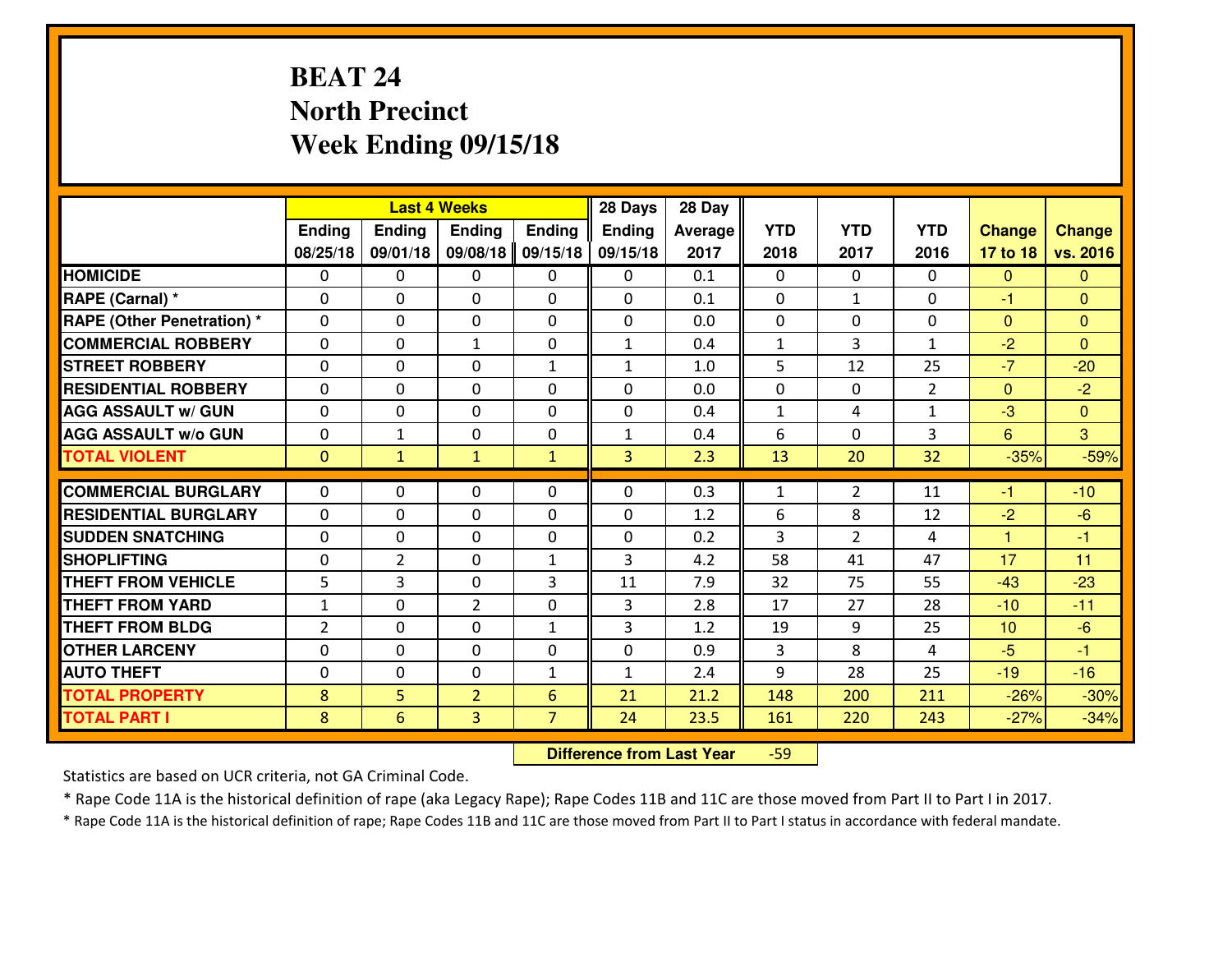# **BEAT 24 North PrecinctWeek Ending 09/15/18**

|                                  |              |                | <b>Last 4 Weeks</b> |                | 28 Days       | 28 Day  |                |                |                |                |                |
|----------------------------------|--------------|----------------|---------------------|----------------|---------------|---------|----------------|----------------|----------------|----------------|----------------|
|                                  | Ending       | <b>Ending</b>  | <b>Ending</b>       | <b>Ending</b>  | <b>Ending</b> | Average | <b>YTD</b>     | <b>YTD</b>     | <b>YTD</b>     | <b>Change</b>  | <b>Change</b>  |
|                                  | 08/25/18     | 09/01/18       | 09/08/18            | 09/15/18       | 09/15/18      | 2017    | 2018           | 2017           | 2016           | 17 to 18       | vs. 2016       |
| <b>HOMICIDE</b>                  | $\Omega$     | 0              | 0                   | 0              | 0             | 0.1     | 0              | $\Omega$       | 0              | $\Omega$       | $\Omega$       |
| RAPE (Carnal) *                  | $\Omega$     | 0              | $\Omega$            | 0              | $\Omega$      | 0.1     | $\Omega$       | $\mathbf{1}$   | 0              | $-1$           | $\Omega$       |
| <b>RAPE (Other Penetration)*</b> | 0            | 0              | $\mathbf 0$         | 0              | 0             | 0.0     | 0              | 0              | 0              | $\overline{0}$ | $\overline{0}$ |
| <b>COMMERCIAL ROBBERY</b>        | 0            | 0              | $\mathbf{1}$        | 0              | $\mathbf{1}$  | 0.4     | $\mathbf{1}$   | 3              | $\mathbf{1}$   | $-2$           | $\Omega$       |
| <b>STREET ROBBERY</b>            | $\mathbf{0}$ | 0              | $\mathbf 0$         | $\mathbf{1}$   | $\mathbf{1}$  | 1.0     | 5              | 12             | 25             | $-7$           | $-20$          |
| <b>RESIDENTIAL ROBBERY</b>       | 0            | 0              | $\mathbf 0$         | 0              | 0             | 0.0     | 0              | $\mathbf{0}$   | $\overline{2}$ | $\mathbf{0}$   | $-2$           |
| <b>AGG ASSAULT w/ GUN</b>        | 0            | 0              | $\mathbf 0$         | 0              | 0             | 0.4     | $\mathbf{1}$   | 4              | $\mathbf{1}$   | $-3$           | $\overline{0}$ |
| <b>AGG ASSAULT W/o GUN</b>       | 0            | $\mathbf{1}$   | 0                   | 0              | $\mathbf{1}$  | 0.4     | 6              | $\Omega$       | 3              | $6\phantom{1}$ | 3              |
| <b>TOTAL VIOLENT</b>             | $\mathbf{0}$ | $\mathbf{1}$   | $\mathbf{1}$        | $\mathbf{1}$   | 3             | 2.3     | 13             | 20             | 32             | $-35%$         | $-59%$         |
| <b>COMMERCIAL BURGLARY</b>       | $\Omega$     | 0              | $\mathbf{0}$        | 0              | $\Omega$      | 0.3     | $\mathbf{1}$   | $\overline{2}$ | 11             | $-1$           | $-10$          |
| <b>RESIDENTIAL BURGLARY</b>      | $\mathbf{0}$ | 0              | 0                   | 0              | 0             | 1.2     | 6              | 8              | 12             | $-2$           | $-6$           |
| <b>SUDDEN SNATCHING</b>          | $\mathbf{0}$ | 0              | $\mathbf 0$         | 0              | 0             | 0.2     | $\overline{3}$ | $\overline{2}$ | 4              | $\mathbf{1}$   | $-1$           |
| <b>SHOPLIFTING</b>               | 0            | $\overline{2}$ | $\mathbf 0$         | $\mathbf{1}$   | 3             | 4.2     | 58             | 41             | 47             | 17             | 11             |
| <b>THEFT FROM VEHICLE</b>        | 5            | 3              | $\mathbf 0$         | 3              | 11            | 7.9     | 32             | 75             | 55             | $-43$          | $-23$          |
| <b>THEFT FROM YARD</b>           | $\mathbf{1}$ | 0              | $\overline{2}$      | 0              | 3             | 2.8     | 17             | 27             | 28             | $-10$          | $-11$          |
| <b>THEFT FROM BLDG</b>           | 2            | 0              | $\mathbf 0$         | $\mathbf{1}$   | 3             | 1.2     | 19             | 9              | 25             | 10             | $-6$           |
| <b>OTHER LARCENY</b>             | 0            | 0              | $\mathbf 0$         | 0              | 0             | 0.9     | 3              | 8              | 4              | $-5$           | $-1$           |
| <b>AUTO THEFT</b>                | 0            | 0              | $\mathbf 0$         | $\mathbf{1}$   | $\mathbf{1}$  | 2.4     | 9              | 28             | 25             | $-19$          | $-16$          |
| <b>TOTAL PROPERTY</b>            | 8            | 5              | $\overline{2}$      | 6              | 21            | 21.2    | 148            | 200            | 211            | $-26%$         | $-30%$         |
| <b>TOTAL PART I</b>              | 8            | 6              | 3                   | $\overline{7}$ | 24            | 23.5    | 161            | 220            | 243            | $-27%$         | $-34%$         |
|                                  |              |                |                     |                |               |         |                |                |                |                |                |

 **Difference from Last Year**-59

Statistics are based on UCR criteria, not GA Criminal Code.

\* Rape Code 11A is the historical definition of rape (aka Legacy Rape); Rape Codes 11B and 11C are those moved from Part II to Part I in 2017.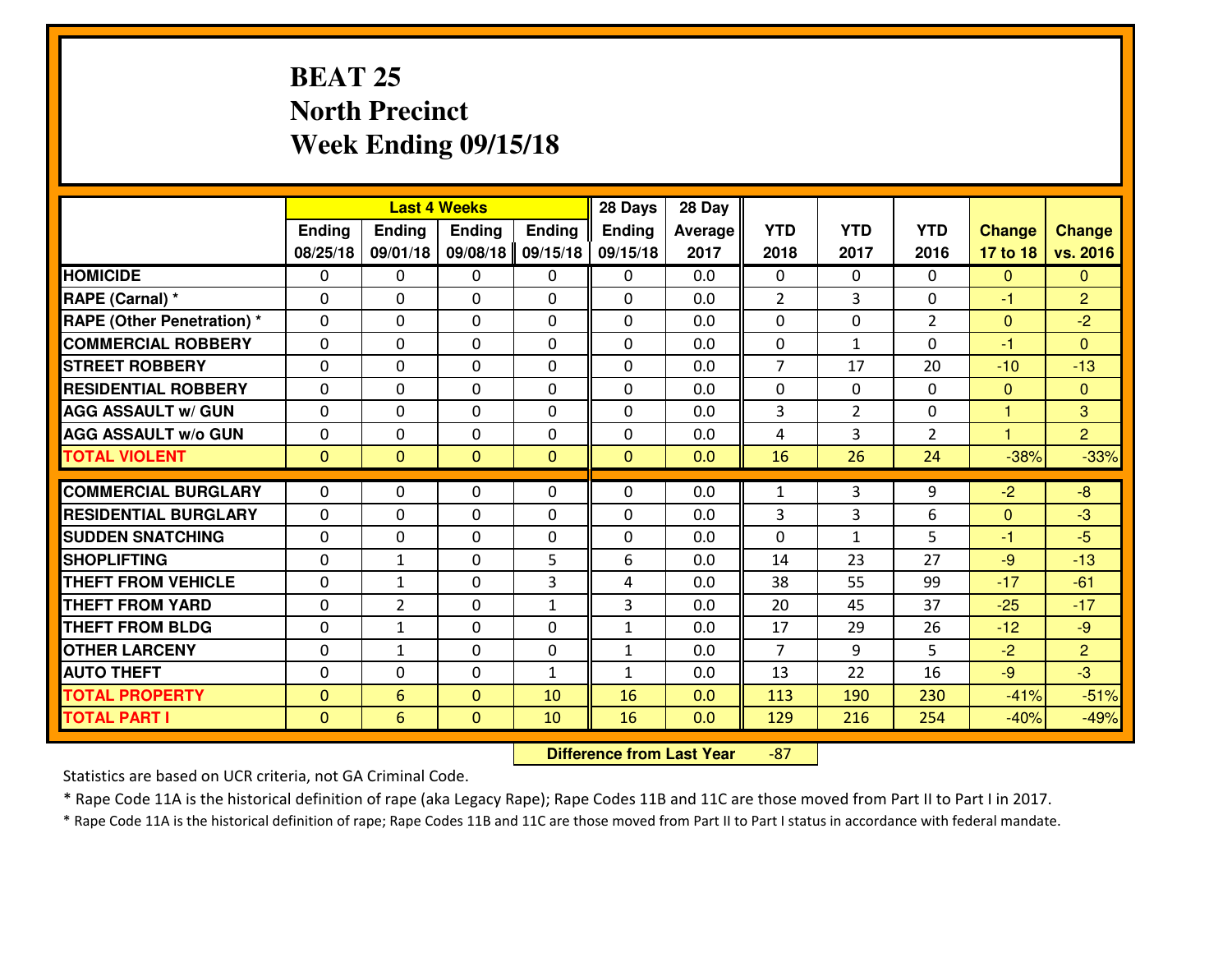# **BEAT 25 North PrecinctWeek Ending 09/15/18**

|                                              |                              |                | <b>Last 4 Weeks</b>          |               | 28 Days       | 28 Day     |                |                |                |                  |                  |
|----------------------------------------------|------------------------------|----------------|------------------------------|---------------|---------------|------------|----------------|----------------|----------------|------------------|------------------|
|                                              | Ending                       | <b>Ending</b>  | Ending                       | <b>Ending</b> | <b>Ending</b> | Average    | <b>YTD</b>     | <b>YTD</b>     | <b>YTD</b>     | <b>Change</b>    | <b>Change</b>    |
|                                              | 08/25/18                     | 09/01/18       | 09/08/18                     | 09/15/18      | 09/15/18      | 2017       | 2018           | 2017           | 2016           | 17 to 18         | vs. 2016         |
| <b>HOMICIDE</b>                              | $\Omega$                     | 0              | 0                            | $\Omega$      | 0             | 0.0        | 0              | $\Omega$       | 0              | $\Omega$         | $\Omega$         |
| RAPE (Carnal) *                              | $\mathbf{0}$                 | 0              | $\mathbf{0}$                 | 0             | $\Omega$      | 0.0        | $\overline{2}$ | 3              | 0              | -1               | $\overline{2}$   |
| <b>RAPE (Other Penetration) *</b>            | $\mathbf{0}$                 | 0              | $\mathbf{0}$                 | $\Omega$      | $\Omega$      | 0.0        | $\mathbf{0}$   | 0              | $\overline{2}$ | $\mathbf{0}$     | $-2$             |
| <b>COMMERCIAL ROBBERY</b>                    | $\mathbf{0}$                 | 0              | 0                            | $\Omega$      | $\Omega$      | 0.0        | $\mathbf{0}$   | $\mathbf{1}$   | 0              | $-1$             | $\Omega$         |
| <b>ISTREET ROBBERY</b>                       | $\mathbf{0}$                 | 0              | $\mathbf{0}$                 | 0             | $\Omega$      | 0.0        | $\overline{7}$ | 17             | 20             | $-10$            | $-13$            |
| <b>RESIDENTIAL ROBBERY</b>                   | $\Omega$                     | 0              | $\mathbf 0$                  | 0             | 0             | 0.0        | 0              | $\mathbf{0}$   | 0              | $\mathbf{0}$     | $\overline{0}$   |
| <b>AGG ASSAULT W/ GUN</b>                    | 0                            | 0              | $\mathbf 0$                  | 0             | 0             | 0.0        | 3              | $\overline{2}$ | 0              | $\mathbf{1}$     | 3                |
| <b>AGG ASSAULT W/o GUN</b>                   | 0                            | 0              | $\mathbf 0$                  | 0             | 0             | 0.0        | 4              | 3              | $\overline{2}$ | $\mathbf{1}$     | $\overline{2}$   |
| <b>TOTAL VIOLENT</b>                         | $\mathbf{0}$                 | $\overline{0}$ | $\mathbf{0}$                 | $\mathbf{0}$  | $\mathbf{0}$  | 0.0        | 16             | 26             | 24             | $-38%$           | $-33%$           |
| <b>COMMERCIAL BURGLARY</b>                   | $\mathbf{0}$                 | 0              | 0                            | 0             | $\Omega$      | 0.0        | 1              | 3              | 9              | $-2$             | $-8$             |
| <b>RESIDENTIAL BURGLARY</b>                  | $\Omega$                     | 0              | $\mathbf{0}$                 | 0             | $\Omega$      | 0.0        | 3              | 3              | 6              | $\mathbf{0}$     | $-3$             |
| <b>SUDDEN SNATCHING</b>                      | $\mathbf{0}$                 | 0              | 0                            | 0             | $\Omega$      | 0.0        | $\Omega$       | $\mathbf{1}$   | 5              | -1               | $-5$             |
| <b>SHOPLIFTING</b>                           |                              |                |                              |               |               |            |                |                |                |                  |                  |
|                                              |                              |                |                              |               |               |            |                |                |                |                  |                  |
|                                              | $\Omega$                     | $\mathbf{1}$   | $\mathbf 0$                  | 5             | 6             | 0.0        | 14             | 23             | 27             | $-9$             | $-13$            |
| <b>THEFT FROM VEHICLE</b>                    | $\Omega$                     | $\mathbf{1}$   | $\mathbf 0$                  | 3             | 4             | 0.0        | 38             | 55             | 99             | $-17$            | $-61$            |
| <b>THEFT FROM YARD</b>                       | 0                            | $\overline{2}$ | $\mathbf 0$                  | $\mathbf{1}$  | 3             | 0.0        | 20             | 45             | 37             | $-25$            | $-17$            |
| <b>THEFT FROM BLDG</b>                       | $\mathbf{0}$                 | $\mathbf{1}$   | 0                            | 0             | $\mathbf{1}$  | 0.0        | 17             | 29             | 26             | $-12$            | $-9$             |
| <b>OTHER LARCENY</b>                         | 0                            | $\mathbf{1}$   | $\mathbf 0$                  | 0             | $\mathbf{1}$  | 0.0        | $\overline{7}$ | 9              | 5              | $-2$             | $\overline{2}$   |
| <b>AUTO THEFT</b>                            | $\mathbf{0}$                 | 0              | 0                            | $\mathbf{1}$  | $\mathbf{1}$  | 0.0        | 13             | 22             | 16             | $-9$             | $-3$             |
| <b>TOTAL PROPERTY</b><br><b>TOTAL PART I</b> | $\mathbf{0}$<br>$\mathbf{0}$ | 6<br>6         | $\mathbf{0}$<br>$\mathbf{0}$ | 10<br>10      | 16<br>16      | 0.0<br>0.0 | 113<br>129     | 190<br>216     | 230<br>254     | $-41%$<br>$-40%$ | $-51%$<br>$-49%$ |

 **Difference from Last Year**-87

Statistics are based on UCR criteria, not GA Criminal Code.

\* Rape Code 11A is the historical definition of rape (aka Legacy Rape); Rape Codes 11B and 11C are those moved from Part II to Part I in 2017.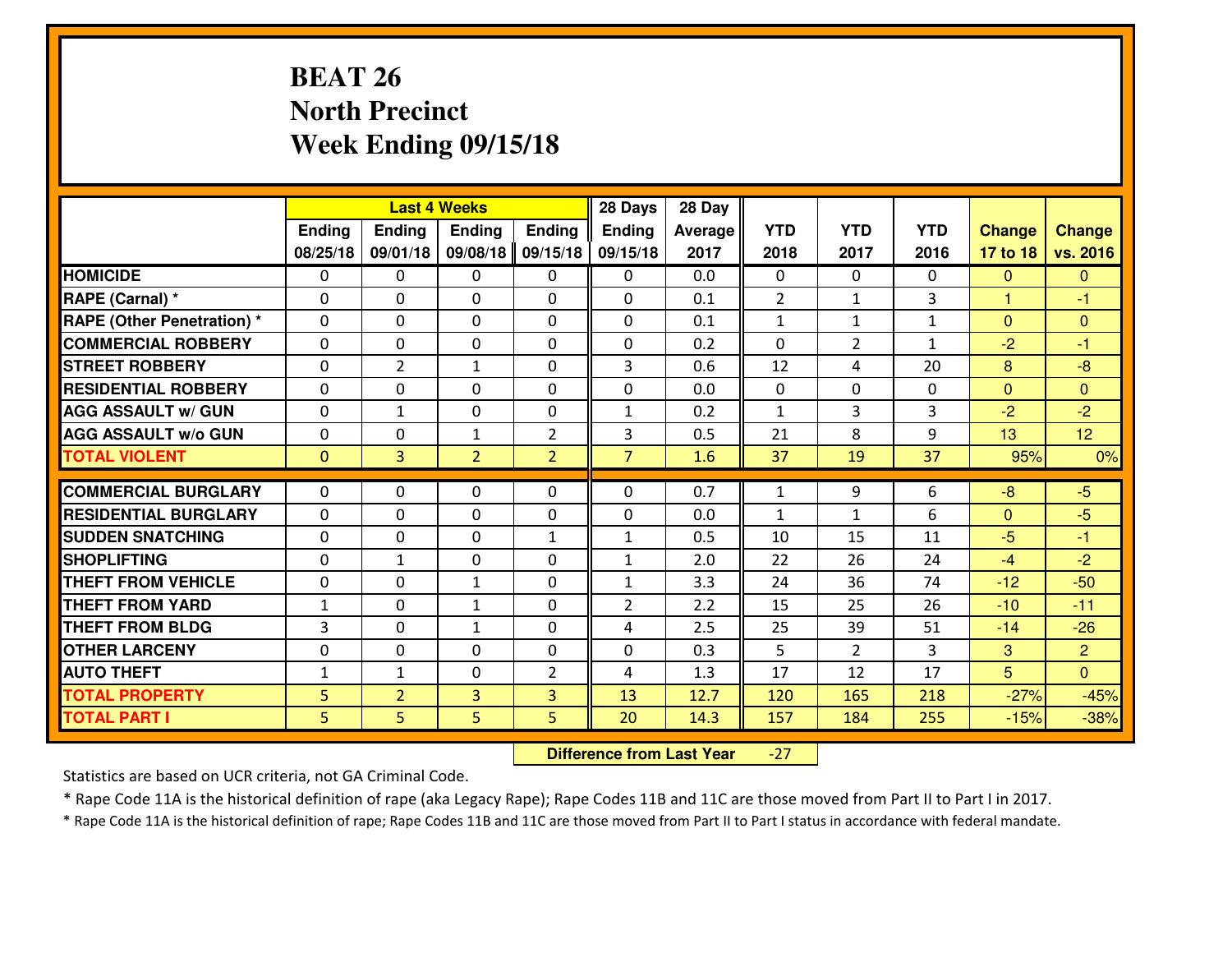# **BEAT 26 North PrecinctWeek Ending 09/15/18**

|                                  |               |                | <b>Last 4 Weeks</b> |                | 28 Days        | 28 Day         |                |                |              |                 |                |
|----------------------------------|---------------|----------------|---------------------|----------------|----------------|----------------|----------------|----------------|--------------|-----------------|----------------|
|                                  | <b>Ending</b> | <b>Ending</b>  | <b>Endina</b>       | <b>Ending</b>  | Ending         | <b>Average</b> | <b>YTD</b>     | <b>YTD</b>     | <b>YTD</b>   | <b>Change</b>   | <b>Change</b>  |
|                                  | 08/25/18      | 09/01/18       | 09/08/18            | 09/15/18       | 09/15/18       | 2017           | 2018           | 2017           | 2016         | 17 to 18        | vs. 2016       |
| <b>HOMICIDE</b>                  | $\Omega$      | 0              | $\mathbf{0}$        | $\mathbf{0}$   | 0              | 0.0            | $\Omega$       | 0              | $\Omega$     | $\mathbf{0}$    | $\Omega$       |
| RAPE (Carnal) *                  | $\Omega$      | 0              | $\mathbf{0}$        | $\Omega$       | $\Omega$       | 0.1            | $\overline{2}$ | $\mathbf{1}$   | 3            | $\mathbf{1}$    | $-1$           |
| <b>RAPE (Other Penetration)*</b> | $\Omega$      | 0              | $\mathbf{0}$        | 0              | $\Omega$       | 0.1            | 1              | $\mathbf{1}$   | $\mathbf{1}$ | $\mathbf{0}$    | $\mathbf{0}$   |
| <b>COMMERCIAL ROBBERY</b>        | $\mathbf{0}$  | 0              | $\mathbf 0$         | 0              | 0              | 0.2            | $\mathbf{0}$   | $\overline{2}$ | $\mathbf{1}$ | $-2$            | $-1$           |
| <b>STREET ROBBERY</b>            | 0             | $\overline{2}$ | $\mathbf{1}$        | 0              | 3              | 0.6            | 12             | 4              | 20           | 8               | $-8$           |
| <b>RESIDENTIAL ROBBERY</b>       | $\Omega$      | 0              | 0                   | 0              | 0              | 0.0            | $\mathbf{0}$   | $\Omega$       | 0            | $\mathbf{0}$    | $\overline{0}$ |
| <b>AGG ASSAULT w/ GUN</b>        | 0             | $\mathbf{1}$   | 0                   | 0              | $\mathbf{1}$   | 0.2            | $\mathbf{1}$   | 3              | 3            | $-2$            | $-2$           |
| <b>AGG ASSAULT W/o GUN</b>       | 0             | 0              | $\mathbf{1}$        | $\overline{2}$ | 3              | 0.5            | 21             | 8              | 9            | 13              | 12             |
| <b>TOTAL VIOLENT</b>             | $\mathbf{0}$  | $\overline{3}$ | $\overline{2}$      | $\overline{2}$ | $\overline{7}$ | 1.6            | 37             | 19             | 37           | 95%             | 0%             |
| <b>COMMERCIAL BURGLARY</b>       | $\Omega$      | 0              | $\mathbf{0}$        | $\Omega$       | $\Omega$       | 0.7            | $\mathbf{1}$   | 9              | 6            | $-8$            | $-5$           |
| <b>RESIDENTIAL BURGLARY</b>      | $\Omega$      | 0              | $\mathbf 0$         | 0              | 0              | 0.0            | $\mathbf{1}$   | $\mathbf{1}$   | 6            | $\mathbf{0}$    | $-5$           |
| <b>SUDDEN SNATCHING</b>          | $\Omega$      | $\Omega$       | 0                   | $\mathbf{1}$   | $\mathbf{1}$   | 0.5            | 10             | 15             | 11           | $-5$            | $-1$           |
| <b>SHOPLIFTING</b>               | 0             | $\mathbf{1}$   | 0                   | $\Omega$       | $\mathbf{1}$   | 2.0            | 22             | 26             | 24           | $-4$            | $-2$           |
| <b>THEFT FROM VEHICLE</b>        | 0             | $\Omega$       | $\mathbf{1}$        | 0              | $\mathbf{1}$   | 3.3            | 24             | 36             | 74           | $-12$           | $-50$          |
| <b>THEFT FROM YARD</b>           | $1\,$         | 0              | $\mathbf{1}$        | 0              | $\overline{2}$ | 2.2            | 15             | 25             | 26           | $-10$           | $-11$          |
| <b>THEFT FROM BLDG</b>           | 3             | 0              | $\mathbf{1}$        | 0              | 4              | 2.5            | 25             | 39             | 51           | $-14$           | $-26$          |
| <b>OTHER LARCENY</b>             | 0             | 0              | $\mathbf 0$         | 0              | 0              | 0.3            | 5              | $\overline{2}$ | 3            | 3               | $\overline{2}$ |
| <b>AUTO THEFT</b>                | $\mathbf{1}$  | $\mathbf{1}$   | $\mathbf{0}$        | $\overline{2}$ | 4              | 1.3            | 17             | 12             | 17           | $5\overline{)}$ | $\Omega$       |
| <b>TOTAL PROPERTY</b>            | 5             | $\overline{2}$ | 3                   | 3              | 13             | 12.7           | 120            | 165            | 218          | $-27%$          | $-45%$         |
| <b>TOTAL PART I</b>              | 5             | 5.             | 5                   | 5              | 20             | 14.3           | 157            | 184            | 255          | $-15%$          | $-38%$         |
|                                  |               |                |                     |                |                |                |                |                |              |                 |                |

 **Difference from Last Year**-27

Statistics are based on UCR criteria, not GA Criminal Code.

\* Rape Code 11A is the historical definition of rape (aka Legacy Rape); Rape Codes 11B and 11C are those moved from Part II to Part I in 2017.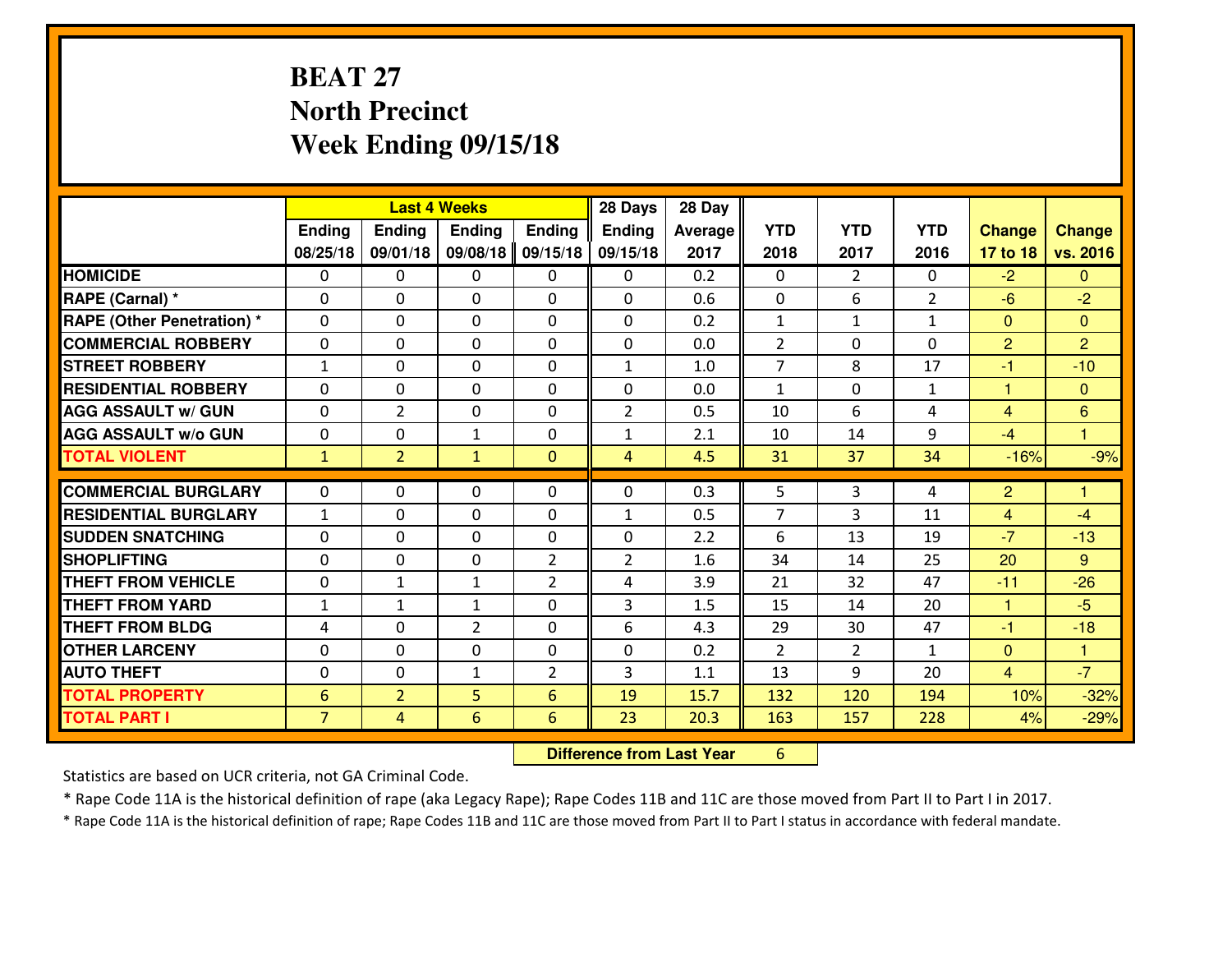# **BEAT 27 North PrecinctWeek Ending 09/15/18**

|                             |                 |                | <b>Last 4 Weeks</b> |                | 28 Days        | 28 Day  |                |                |                |                |                |
|-----------------------------|-----------------|----------------|---------------------|----------------|----------------|---------|----------------|----------------|----------------|----------------|----------------|
|                             | Ending          | <b>Ending</b>  | <b>Ending</b>       | <b>Ending</b>  | <b>Ending</b>  | Average | <b>YTD</b>     | <b>YTD</b>     | <b>YTD</b>     | <b>Change</b>  | <b>Change</b>  |
|                             | 08/25/18        | 09/01/18       | 09/08/18            | 09/15/18       | 09/15/18       | 2017    | 2018           | 2017           | 2016           | 17 to 18       | vs. 2016       |
| <b>HOMICIDE</b>             | $\Omega$        | 0              | 0                   | $\Omega$       | 0              | 0.2     | 0              | $\overline{2}$ | 0              | $-2$           | $\Omega$       |
| RAPE (Carnal) *             | $\mathbf{0}$    | 0              | $\mathbf{0}$        | 0              | $\Omega$       | 0.6     | $\mathbf{0}$   | 6              | $\overline{2}$ | $-6$           | $-2$           |
| RAPE (Other Penetration) *  | $\Omega$        | 0              | $\mathbf{0}$        | $\Omega$       | $\Omega$       | 0.2     | $\mathbf{1}$   | $\mathbf{1}$   | $\mathbf{1}$   | $\Omega$       | $\Omega$       |
| <b>COMMERCIAL ROBBERY</b>   | 0               | 0              | 0                   | 0              | 0              | 0.0     | $\overline{2}$ | 0              | 0              | $\overline{2}$ | $\overline{2}$ |
| <b>STREET ROBBERY</b>       | $\mathbf{1}$    | 0              | $\mathbf 0$         | 0              | $\mathbf{1}$   | 1.0     | $\overline{7}$ | 8              | 17             | $-1$           | $-10$          |
| <b>RESIDENTIAL ROBBERY</b>  | $\Omega$        | $\Omega$       | $\mathbf 0$         | $\Omega$       | 0              | 0.0     | $\mathbf{1}$   | $\Omega$       | $\mathbf{1}$   | $\mathbf{1}$   | $\Omega$       |
| <b>AGG ASSAULT w/ GUN</b>   | 0               | $\overline{2}$ | $\mathbf 0$         | 0              | $\overline{2}$ | 0.5     | 10             | 6              | 4              | $\overline{4}$ | 6              |
| <b>AGG ASSAULT W/o GUN</b>  | 0               | 0              | 1                   | $\mathbf 0$    | $\mathbf{1}$   | 2.1     | 10             | 14             | 9              | $-4$           | $\overline{1}$ |
| <b>TOTAL VIOLENT</b>        | $\mathbf{1}$    | $\overline{2}$ | $\mathbf{1}$        | $\mathbf{0}$   | $\overline{4}$ | 4.5     | 31             | 37             | 34             | $-16%$         | $-9%$          |
| <b>COMMERCIAL BURGLARY</b>  | $\Omega$        | 0              | $\mathbf{0}$        | $\Omega$       | $\Omega$       | 0.3     | 5              | 3              | 4              | $\overline{2}$ | 1              |
| <b>RESIDENTIAL BURGLARY</b> | $\mathbf{1}$    | 0              | $\mathbf 0$         | 0              | $\mathbf{1}$   | 0.5     | $\overline{7}$ | 3              | 11             | $\overline{4}$ | $-4$           |
| <b>SUDDEN SNATCHING</b>     | 0               | 0              | 0                   | 0              | 0              | 2.2     | 6              | 13             | 19             | $-7$           | $-13$          |
| <b>SHOPLIFTING</b>          | 0               | 0              | $\mathbf 0$         | $\overline{2}$ | $\overline{2}$ | 1.6     | 34             | 14             | 25             | 20             | 9              |
| <b>THEFT FROM VEHICLE</b>   | 0               | 1              | $\mathbf{1}$        | $\overline{2}$ | 4              | 3.9     | 21             | 32             | 47             | $-11$          | $-26$          |
| <b>THEFT FROM YARD</b>      | $\mathbf 1$     | $\mathbf{1}$   | $\mathbf{1}$        | 0              | 3              | 1.5     | 15             | 14             | 20             | $\mathbf{1}$   | $-5$           |
| <b>THEFT FROM BLDG</b>      | 4               | 0              | $\overline{2}$      | 0              | 6              | 4.3     | 29             | 30             | 47             | $-1$           | $-18$          |
| <b>OTHER LARCENY</b>        | 0               | 0              | $\mathbf 0$         | 0              | 0              | 0.2     | 2              | $\overline{2}$ | $\mathbf{1}$   | $\mathbf{0}$   | $\overline{1}$ |
| <b>AUTO THEFT</b>           | $\mathbf{0}$    | 0              | $\mathbf{1}$        | 2              | 3              | 1.1     | 13             | 9              | 20             | $\overline{4}$ | $-7$           |
| <b>TOTAL PROPERTY</b>       | $6\phantom{1}6$ | $\overline{2}$ | 5                   | 6              | 19             | 15.7    | 132            | 120            | 194            | 10%            | $-32%$         |
| <b>TOTAL PART I</b>         | $\overline{7}$  | $\overline{4}$ | 6                   | 6              | 23             | 20.3    | 163            | 157            | 228            | 4%             | $-29%$         |

 **Difference from Last Year**<sup>6</sup>

Statistics are based on UCR criteria, not GA Criminal Code.

\* Rape Code 11A is the historical definition of rape (aka Legacy Rape); Rape Codes 11B and 11C are those moved from Part II to Part I in 2017.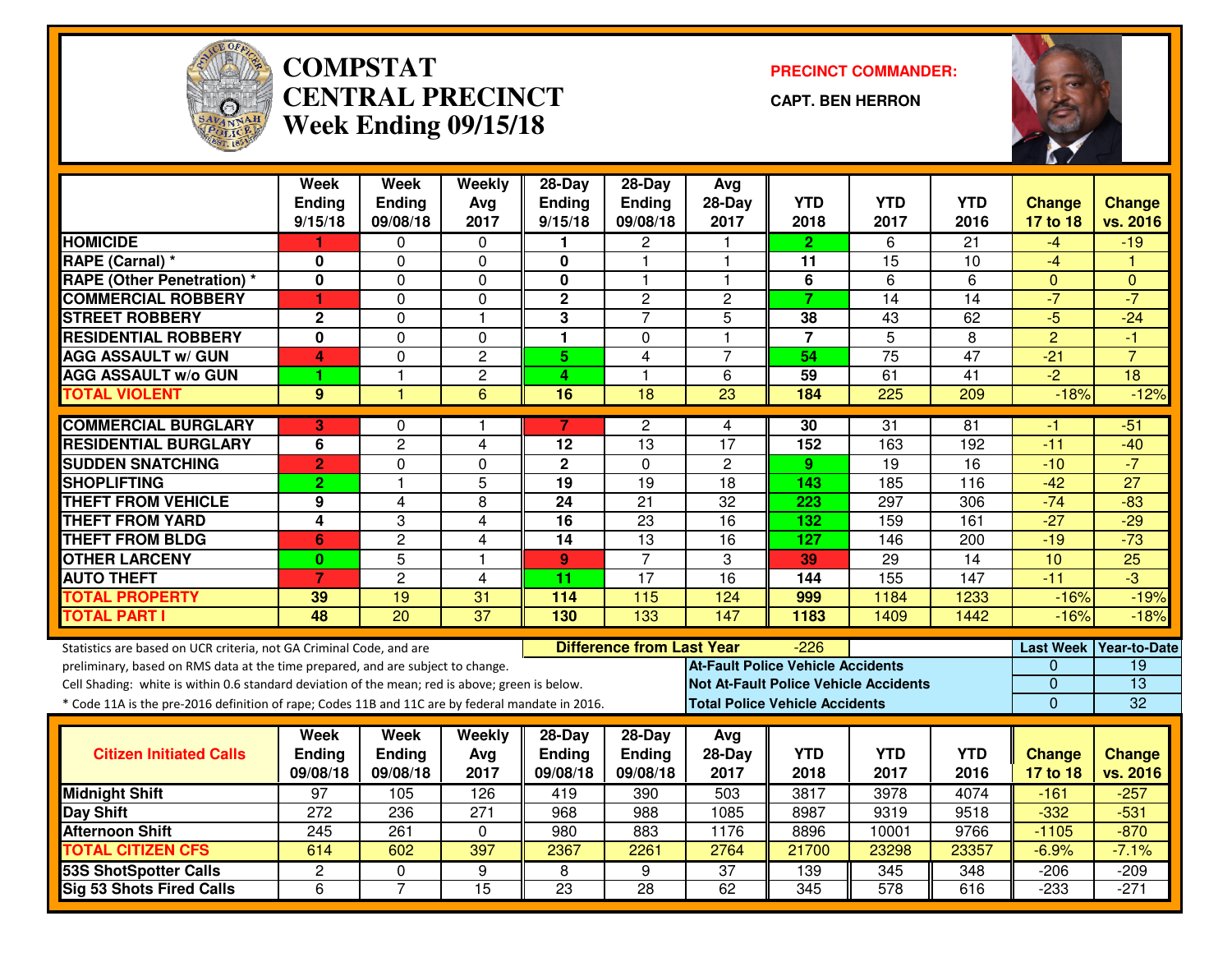

#### **COMPSTAT PRECINCT COMMANDER: CENTRAL PRECINCTWeek Ending 09/15/18**

**CAPT. BEN HERRON**



|                                                                                                                                                                                    | <b>Week</b>      | <b>Week</b>     | Weekly           | $28-Day$                | $28-Day$                         | Avg                                          |                  |                  |                 |                              |                     |
|------------------------------------------------------------------------------------------------------------------------------------------------------------------------------------|------------------|-----------------|------------------|-------------------------|----------------------------------|----------------------------------------------|------------------|------------------|-----------------|------------------------------|---------------------|
|                                                                                                                                                                                    | <b>Ending</b>    | <b>Ending</b>   | Ava              | <b>Ending</b>           | Ending                           | $28-Day$                                     | <b>YTD</b>       | <b>YTD</b>       | <b>YTD</b>      | <b>Change</b>                | <b>Change</b>       |
|                                                                                                                                                                                    | 9/15/18          | 09/08/18        | 2017             | 9/15/18                 | 09/08/18                         | 2017                                         | 2018             | 2017             | 2016            | 17 to 18                     | vs. 2016            |
| <b>HOMICIDE</b>                                                                                                                                                                    |                  | 0               | 0                | 1.                      | 2                                |                                              | $\mathbf{2}$     | 6                | 21              | -4                           | $-19$               |
| RAPE (Carnal) *                                                                                                                                                                    | 0                | 0               | $\Omega$         | 0                       | $\mathbf{1}$                     | 1                                            | 11               | 15               | 10              | $-4$                         |                     |
| <b>RAPE (Other Penetration) *</b>                                                                                                                                                  | 0                | $\overline{0}$  | $\mathbf 0$      | $\overline{\mathbf{0}}$ | $\mathbf{1}$                     | $\overline{1}$                               | $\overline{6}$   | 6                | 6               | $\mathbf{0}$                 | $\Omega$            |
| <b>COMMERCIAL ROBBERY</b>                                                                                                                                                          | 1                | 0               | $\mathbf 0$      | $\overline{2}$          | $\overline{c}$                   | $\overline{c}$                               | $\overline{7}$   | 14               | 14              | $-7$                         | $-7$                |
| <b>STREET ROBBERY</b>                                                                                                                                                              | $\mathbf 2$      | $\mathbf 0$     | $\overline{1}$   | 3                       | $\overline{7}$                   | 5                                            | 38               | 43               | 62              | $-5$                         | $-24$               |
| <b>RESIDENTIAL ROBBERY</b>                                                                                                                                                         | 0                | 0               | $\Omega$         | $\mathbf{1}$            | 0                                | $\overline{1}$                               | $\overline{7}$   | $\overline{5}$   | 8               | $\overline{2}$               | $-1$                |
| <b>AGG ASSAULT w/ GUN</b>                                                                                                                                                          | $\overline{4}$   | $\mathbf 0$     | $\overline{2}$   | 5                       | $\overline{4}$                   | $\overline{7}$                               | 54               | $\overline{75}$  | 47              | $-21$                        | $\overline{7}$      |
| <b>AGG ASSAULT w/o GUN</b>                                                                                                                                                         | 1                | 1               | $\overline{c}$   | 4                       | $\mathbf{1}$                     | 6                                            | 59               | 61               | $\overline{41}$ | $\overline{-2}$              | $\overline{18}$     |
| <b>TOTAL VIOLENT</b>                                                                                                                                                               | 9                | 1               | 6                | 16                      | $\overline{18}$                  | $\overline{23}$                              | 184              | 225              | 209             | $-18%$                       | $-12%$              |
| <b>COMMERCIAL BURGLARY</b>                                                                                                                                                         | 3                | 0               | -1               | 7                       | 2                                | 4                                            | 30               | 31               | 81              | -1                           | $-51$               |
| <b>RESIDENTIAL BURGLARY</b>                                                                                                                                                        | 6                | $\overline{c}$  | 4                | 12                      | 13                               | 17                                           | 152              | 163              | 192             | $-11$                        | $-40$               |
| <b>SUDDEN SNATCHING</b>                                                                                                                                                            | $\overline{2}$   | $\overline{0}$  | $\overline{0}$   | $\overline{2}$          | $\overline{0}$                   | $\overline{2}$                               | 9 <sup>°</sup>   | 19               | 16              | $-10$                        | $-7$                |
| <b>SHOPLIFTING</b>                                                                                                                                                                 | $\overline{2}$   | 1               | 5                | 19                      | 19                               | 18                                           | 143              | 185              | 116             | $-42$                        | $\overline{27}$     |
| <b>THEFT FROM VEHICLE</b>                                                                                                                                                          | 9                | $\overline{4}$  | $\overline{8}$   | 24                      | $\overline{21}$                  | 32                                           | $\overline{223}$ | 297              | 306             | $-74$                        | $-83$               |
| <b>THEFT FROM YARD</b>                                                                                                                                                             | 4                | 3               | 4                | $\overline{16}$         | $\overline{23}$                  | $\overline{16}$                              | 132              | 159              | 161             | $-27$                        | $-29$               |
| <b>THEFT FROM BLDG</b>                                                                                                                                                             | 6                | $\overline{2}$  | $\overline{4}$   | 14                      | 13                               | $\overline{16}$                              | 127              | 146              | 200             | $-19$                        | $-73$               |
| <b>OTHER LARCENY</b>                                                                                                                                                               | $\bf{0}$         | $\overline{5}$  | $\overline{1}$   | $\mathbf{9}$            | $\overline{7}$                   | 3                                            | 39               | $\overline{29}$  | $\overline{14}$ | 10                           | $\overline{25}$     |
| <b>AUTO THEFT</b>                                                                                                                                                                  | $\overline{7}$   | $\overline{2}$  | $\overline{4}$   | 11                      | $\overline{17}$                  | $\overline{16}$                              | 144              | 155              | 147             | $-11$                        | $-3$                |
| <b>TOTAL PROPERTY</b>                                                                                                                                                              | 39               | 19              | 31               | 114                     | 115                              | 124                                          | 999              | 1184             | 1233            | $-16%$                       | $-19%$              |
| <b>TOTAL PART I</b>                                                                                                                                                                | 48               | $\overline{20}$ | $\overline{37}$  | $\frac{130}{ }$         | 133                              | 147                                          | 1183             | 1409             | 1442            | $-16%$                       | $-18%$              |
|                                                                                                                                                                                    |                  |                 |                  |                         |                                  |                                              |                  |                  |                 |                              | <b>Year-to-Date</b> |
| Statistics are based on UCR criteria, not GA Criminal Code, and are                                                                                                                |                  |                 |                  |                         | <b>Difference from Last Year</b> | <b>At-Fault Police Vehicle Accidents</b>     | -226             |                  |                 | <b>Last Week</b><br>$\Omega$ | $\overline{19}$     |
| preliminary, based on RMS data at the time prepared, and are subject to change.<br>Cell Shading: white is within 0.6 standard deviation of the mean; red is above; green is below. |                  |                 |                  |                         |                                  | <b>Not At-Fault Police Vehicle Accidents</b> |                  |                  |                 | 0                            | $\overline{13}$     |
| * Code 11A is the pre-2016 definition of rape; Codes 11B and 11C are by federal mandate in 2016.                                                                                   |                  |                 |                  |                         |                                  | <b>Total Police Vehicle Accidents</b>        |                  |                  |                 | $\mathbf 0$                  | 32                  |
|                                                                                                                                                                                    |                  |                 |                  |                         |                                  |                                              |                  |                  |                 |                              |                     |
|                                                                                                                                                                                    | Week             | Week            | Weekly           | $28$ -Day               | $28-Day$                         | Avg                                          |                  |                  |                 |                              |                     |
| <b>Citizen Initiated Calls</b>                                                                                                                                                     | <b>Ending</b>    | Ending          | Avg              | <b>Ending</b>           | Ending                           | 28-Day                                       | <b>YTD</b>       | <b>YTD</b>       | <b>YTD</b>      | <b>Change</b>                | <b>Change</b>       |
|                                                                                                                                                                                    | 09/08/18         | 09/08/18        | 2017             | 09/08/18                | 09/08/18                         | 2017                                         | 2018             | 2017             | 2016            | 17 to 18                     | vs. 2016            |
| <b>Midnight Shift</b>                                                                                                                                                              | 97               | 105             | 126              | 419                     | 390                              | 503                                          | 3817             | 3978             | 4074            | $-161$                       | $-257$              |
| Day Shift                                                                                                                                                                          | $\overline{272}$ | 236             | $\overline{271}$ | 968                     | 988                              | 1085                                         | 8987             | 9319             | 9518            | $-332$                       | $-531$              |
| <b>Afternoon Shift</b>                                                                                                                                                             | 245              | 261             | $\Omega$         | 980                     | 883                              | 1176                                         | 8896             | 10001            | 9766            | $-1105$                      | $-870$              |
| <b>TOTAL CITIZEN CFS</b>                                                                                                                                                           | 614              | 602             | 397              | 2367                    | 2261                             | 2764                                         | 21700            | 23298            | 23357           | $-6.9%$                      | $-7.1%$             |
| 53S ShotSpotter Calls                                                                                                                                                              | $\overline{c}$   | $\Omega$        | 9                | 8                       | 9                                | $\overline{37}$                              | 139              | 345              | 348             | $-206$                       | $-209$              |
| <b>Sig 53 Shots Fired Calls</b>                                                                                                                                                    | 6                | $\overline{7}$  | $\overline{15}$  | $\overline{23}$         | $\overline{28}$                  | 62                                           | 345              | $\overline{578}$ | 616             | $-233$                       | $-271$              |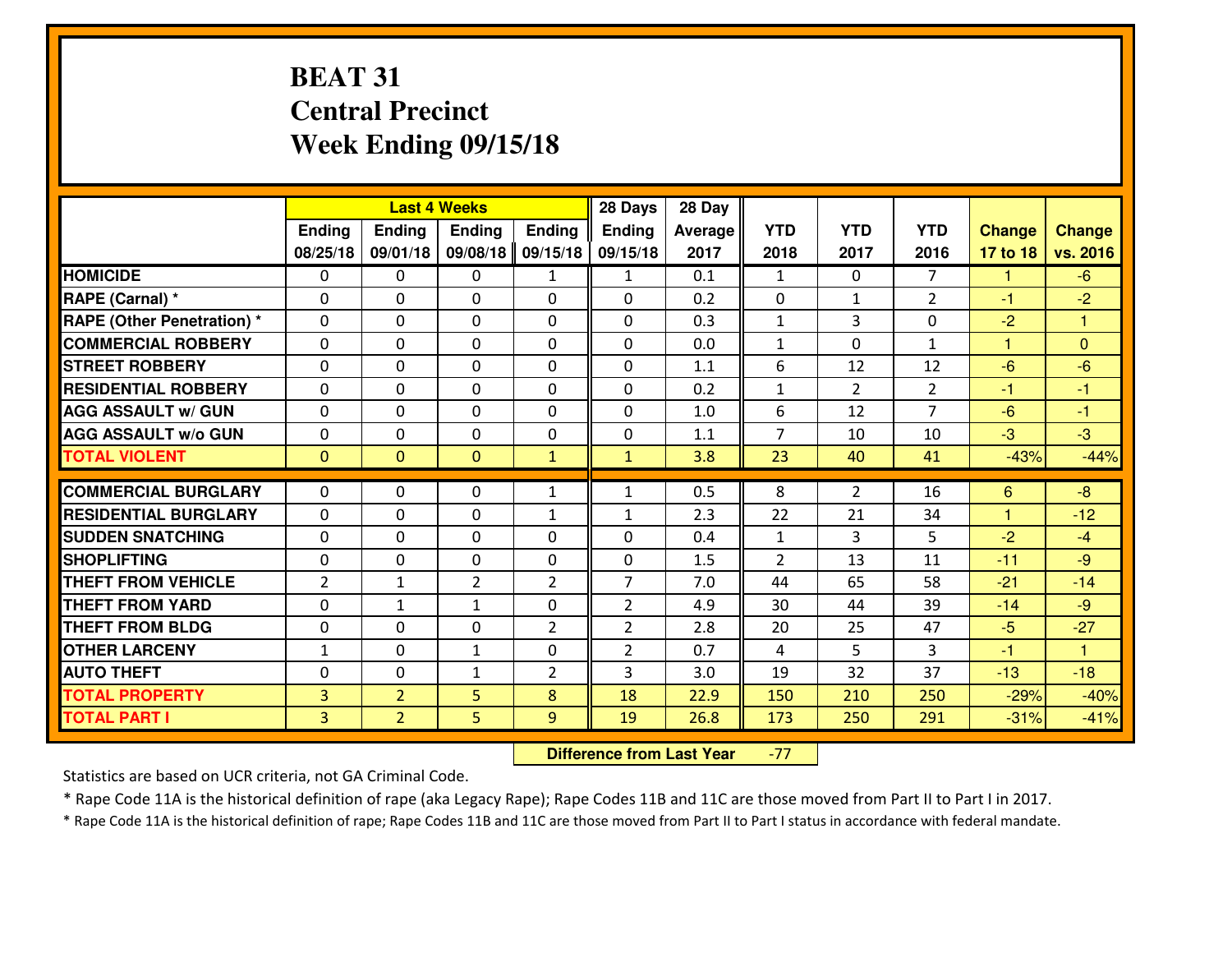# **BEAT 31 Central PrecinctWeek Ending 09/15/18**

|                                   |                |                | <b>Last 4 Weeks</b> |                | 28 Days        | 28 Day  |                |                |                |               |                         |
|-----------------------------------|----------------|----------------|---------------------|----------------|----------------|---------|----------------|----------------|----------------|---------------|-------------------------|
|                                   | <b>Ending</b>  | <b>Ending</b>  | <b>Endina</b>       | <b>Ending</b>  | <b>Ending</b>  | Average | <b>YTD</b>     | <b>YTD</b>     | <b>YTD</b>     | <b>Change</b> | <b>Change</b>           |
|                                   | 08/25/18       | 09/01/18       | 09/08/18            | 09/15/18       | 09/15/18       | 2017    | 2018           | 2017           | 2016           | 17 to 18      | vs. 2016                |
| <b>HOMICIDE</b>                   | $\Omega$       | 0              | 0                   | $\mathbf{1}$   | $\mathbf{1}$   | 0.1     | $\mathbf{1}$   | $\Omega$       | $\overline{7}$ | 1             | $-6$                    |
| RAPE (Carnal) *                   | $\Omega$       | $\Omega$       | $\mathbf 0$         | $\Omega$       | $\Omega$       | 0.2     | $\Omega$       | $\mathbf{1}$   | $\overline{2}$ | $-1$          | $-2$                    |
| <b>RAPE (Other Penetration) *</b> | 0              | 0              | $\mathbf 0$         | 0              | 0              | 0.3     | $\mathbf{1}$   | 3              | 0              | $-2$          | $\overline{\mathbf{1}}$ |
| <b>COMMERCIAL ROBBERY</b>         | 0              | 0              | $\mathbf 0$         | 0              | 0              | 0.0     | $\mathbf{1}$   | 0              | $\mathbf{1}$   | $\mathbf{1}$  | $\overline{0}$          |
| <b>STREET ROBBERY</b>             | 0              | 0              | $\mathbf 0$         | 0              | 0              | 1.1     | 6              | 12             | 12             | $-6$          | $-6$                    |
| <b>RESIDENTIAL ROBBERY</b>        | 0              | 0              | $\mathbf 0$         | $\Omega$       | 0              | 0.2     | $\mathbf{1}$   | $\overline{2}$ | $\overline{2}$ | $-1$          | $-1$                    |
| <b>AGG ASSAULT w/ GUN</b>         | 0              | 0              | $\mathbf 0$         | 0              | 0              | 1.0     | 6              | 12             | $\overline{7}$ | $-6$          | $-1$                    |
| <b>AGG ASSAULT W/o GUN</b>        | 0              | 0              | $\mathbf 0$         | 0              | 0              | 1.1     | $\overline{7}$ | 10             | 10             | $-3$          | $-3$                    |
| <b>TOTAL VIOLENT</b>              | $\mathbf{0}$   | $\overline{0}$ | $\mathbf{0}$        | $\mathbf{1}$   | $\mathbf{1}$   | 3.8     | 23             | 40             | 41             | $-43%$        | $-44%$                  |
| <b>COMMERCIAL BURGLARY</b>        | $\Omega$       | 0              |                     | $\mathbf{1}$   | $\mathbf{1}$   | 0.5     | 8              | $\overline{2}$ | 16             |               | $-8$                    |
|                                   |                |                | 0                   |                |                |         |                |                |                | 6             |                         |
| <b>RESIDENTIAL BURGLARY</b>       | 0              | 0              | $\mathbf 0$         | $\mathbf{1}$   | $\mathbf{1}$   | 2.3     | 22             | 21             | 34             | $\mathbf{1}$  | $-12$                   |
| <b>SUDDEN SNATCHING</b>           | 0              | $\Omega$       | $\mathbf 0$         | $\Omega$       | 0              | 0.4     | $\mathbf{1}$   | 3              | 5              | $-2$          | $-4$                    |
| <b>SHOPLIFTING</b>                | $\mathbf{0}$   | 0              | $\mathbf 0$         | 0              | 0              | 1.5     | $\overline{2}$ | 13             | 11             | $-11$         | $-9$                    |
| <b>THEFT FROM VEHICLE</b>         | $\overline{2}$ | $\mathbf{1}$   | $\overline{2}$      | $\overline{2}$ | $\overline{7}$ | 7.0     | 44             | 65             | 58             | $-21$         | $-14$                   |
| <b>THEFT FROM YARD</b>            | 0              | 1              | 1                   | 0              | $\overline{2}$ | 4.9     | 30             | 44             | 39             | $-14$         | $-9$                    |
| <b>THEFT FROM BLDG</b>            | 0              | 0              | $\mathbf 0$         | $\mathcal{P}$  | $\overline{2}$ | 2.8     | 20             | 25             | 47             | $-5$          | $-27$                   |
| <b>OTHER LARCENY</b>              | $1\,$          | $\mathbf 0$    | $\mathbf{1}$        | 0              | $\overline{2}$ | 0.7     | 4              | 5              | 3              | $-1$          | $\overline{1}$          |
| <b>AUTO THEFT</b>                 | $\mathbf 0$    | $\Omega$       | $\mathbf{1}$        | $\overline{2}$ | 3              | 3.0     | 19             | 32             | 37             | $-13$         | $-18$                   |
| <b>TOTAL PROPERTY</b>             | $\overline{3}$ | $\overline{2}$ | 5                   | 8              | 18             | 22.9    | 150            | 210            | 250            | $-29%$        | $-40%$                  |
| <b>TOTAL PART I</b>               | $\overline{3}$ | $\overline{2}$ | 5                   | 9              | 19             | 26.8    | 173            | 250            | 291            | $-31%$        | $-41%$                  |

 **Difference from Last Year**-77

Statistics are based on UCR criteria, not GA Criminal Code.

\* Rape Code 11A is the historical definition of rape (aka Legacy Rape); Rape Codes 11B and 11C are those moved from Part II to Part I in 2017.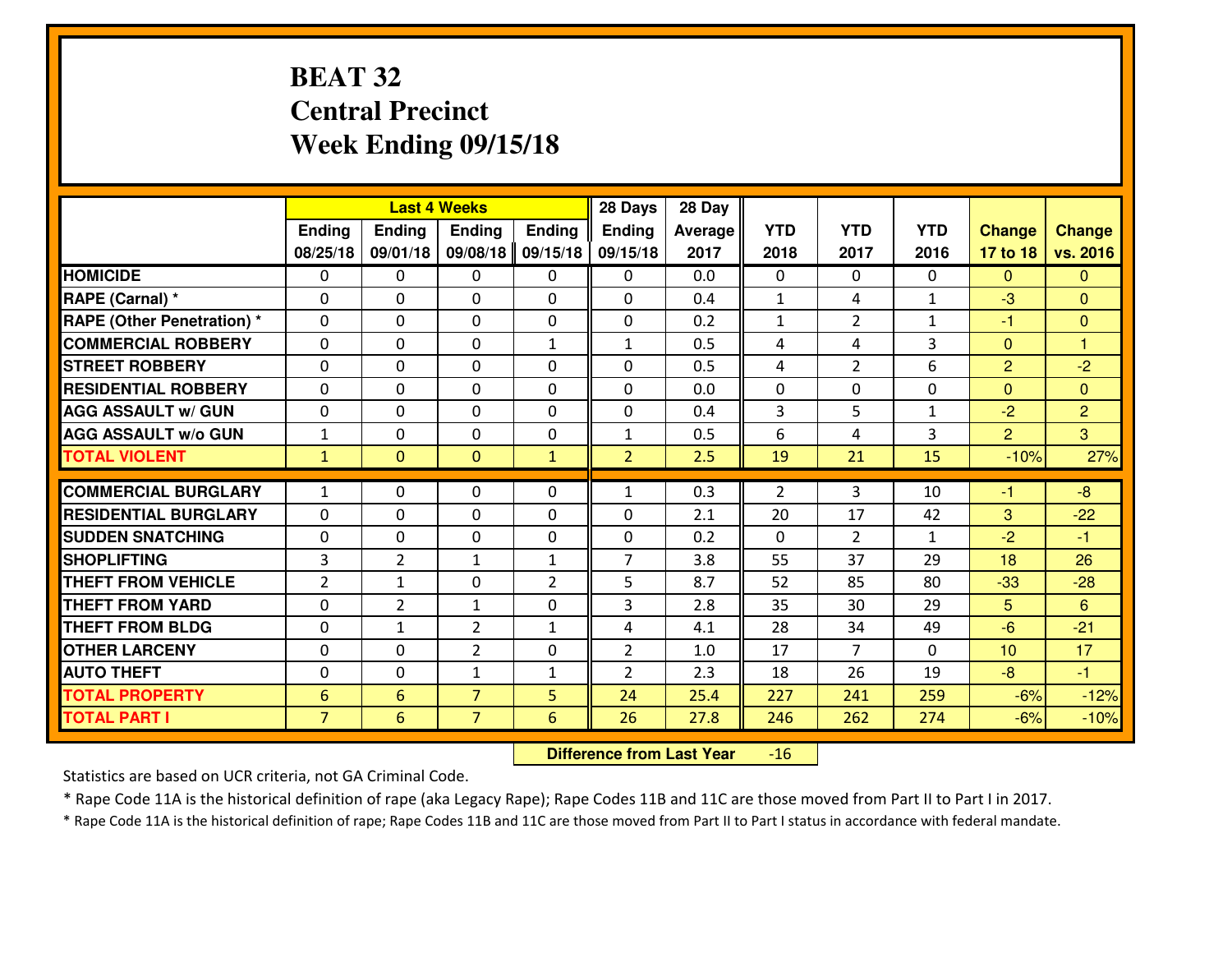# **BEAT 32 Central PrecinctWeek Ending 09/15/18**

|                                   |                 |                | <b>Last 4 Weeks</b> |                | 28 Days        | 28 Day         |                |                |              |                |                |
|-----------------------------------|-----------------|----------------|---------------------|----------------|----------------|----------------|----------------|----------------|--------------|----------------|----------------|
|                                   | <b>Ending</b>   | <b>Ending</b>  | <b>Ending</b>       | <b>Ending</b>  | Ending         | <b>Average</b> | <b>YTD</b>     | <b>YTD</b>     | <b>YTD</b>   | <b>Change</b>  | <b>Change</b>  |
|                                   | 08/25/18        | 09/01/18       | 09/08/18            | 09/15/18       | 09/15/18       | 2017           | 2018           | 2017           | 2016         | 17 to 18       | vs. 2016       |
| <b>HOMICIDE</b>                   | $\Omega$        | 0              | $\mathbf{0}$        | $\mathbf{0}$   | 0              | 0.0            | $\Omega$       | $\Omega$       | $\Omega$     | $\Omega$       | $\mathbf{0}$   |
| RAPE (Carnal) *                   | $\Omega$        | 0              | $\mathbf{0}$        | 0              | $\Omega$       | 0.4            | $\mathbf{1}$   | 4              | $\mathbf{1}$ | $-3$           | $\Omega$       |
| <b>RAPE (Other Penetration)</b> * | $\Omega$        | 0              | $\mathbf{0}$        | 0              | 0              | 0.2            | $\mathbf{1}$   | $\overline{2}$ | $\mathbf{1}$ | $-1$           | $\mathbf{0}$   |
| <b>COMMERCIAL ROBBERY</b>         | $\Omega$        | $\Omega$       | $\mathbf 0$         | $\mathbf{1}$   | $\mathbf{1}$   | 0.5            | 4              | 4              | 3            | $\mathbf{0}$   | $\mathbf{1}$   |
| <b>STREET ROBBERY</b>             | $\mathbf{0}$    | 0              | $\mathbf 0$         | 0              | 0              | 0.5            | 4              | $\overline{2}$ | 6            | 2              | $-2$           |
| <b>RESIDENTIAL ROBBERY</b>        | 0               | 0              | 0                   | 0              | 0              | 0.0            | $\mathbf 0$    | 0              | 0            | $\mathbf{0}$   | $\overline{0}$ |
| <b>AGG ASSAULT w/ GUN</b>         | 0               | 0              | 0                   | 0              | 0              | 0.4            | 3              | 5              | $\mathbf{1}$ | $-2$           | $\overline{2}$ |
| <b>AGG ASSAULT w/o GUN</b>        | $1\,$           | 0              | $\mathbf 0$         | 0              | $\mathbf{1}$   | 0.5            | 6              | 4              | 3            | $\overline{2}$ | 3              |
| <b>TOTAL VIOLENT</b>              | $\mathbf{1}$    | $\overline{0}$ | $\mathbf{0}$        | $\mathbf{1}$   | $\overline{2}$ | 2.5            | 19             | 21             | 15           | $-10%$         | 27%            |
| <b>COMMERCIAL BURGLARY</b>        |                 |                |                     |                |                | 0.3            |                |                |              |                |                |
|                                   | $\mathbf{1}$    | 0              | $\mathbf{0}$        | 0              | $\mathbf{1}$   |                | $\overline{2}$ | 3              | 10           | $-1$           | $-8$           |
| <b>RESIDENTIAL BURGLARY</b>       | 0               | 0              | 0                   | 0              | 0              | 2.1            | 20             | 17             | 42           | 3              | $-22$          |
| <b>SUDDEN SNATCHING</b>           | 0               | 0              | 0                   | 0              | 0              | 0.2            | $\mathbf 0$    | $\overline{2}$ | $\mathbf{1}$ | $-2$           | $-1$           |
| <b>SHOPLIFTING</b>                | 3               | $\overline{2}$ | $\mathbf{1}$        | $\mathbf{1}$   | $\overline{7}$ | 3.8            | 55             | 37             | 29           | 18             | 26             |
| <b>THEFT FROM VEHICLE</b>         | $\overline{2}$  | $\mathbf{1}$   | 0                   | $\overline{2}$ | 5              | 8.7            | 52             | 85             | 80           | $-33$          | $-28$          |
| <b>THEFT FROM YARD</b>            | 0               | $\overline{2}$ | $\mathbf{1}$        | $\Omega$       | 3              | 2.8            | 35             | 30             | 29           | 5              | 6              |
| <b>THEFT FROM BLDG</b>            | 0               | $\mathbf{1}$   | $\overline{2}$      | $\mathbf{1}$   | 4              | 4.1            | 28             | 34             | 49           | $-6$           | $-21$          |
| <b>OTHER LARCENY</b>              | 0               | 0              | $\overline{2}$      | $\Omega$       | $\overline{2}$ | 1.0            | 17             | $\overline{7}$ | $\Omega$     | 10             | 17             |
| <b>AUTO THEFT</b>                 | 0               | 0              | $\mathbf{1}$        | $\mathbf{1}$   | $\overline{2}$ | 2.3            | 18             | 26             | 19           | $-8$           | $-1$           |
| <b>TOTAL PROPERTY</b>             | $6\phantom{1}6$ | 6              | $\overline{7}$      | 5              | 24             | 25.4           | 227            | 241            | 259          | $-6%$          | $-12%$         |
| <b>TOTAL PART I</b>               | $\overline{7}$  | 6              | $\overline{7}$      | 6              | 26             | 27.8           | 246            | 262            | 274          | $-6%$          | $-10%$         |

 **Difference from Last Year**-16

Statistics are based on UCR criteria, not GA Criminal Code.

\* Rape Code 11A is the historical definition of rape (aka Legacy Rape); Rape Codes 11B and 11C are those moved from Part II to Part I in 2017.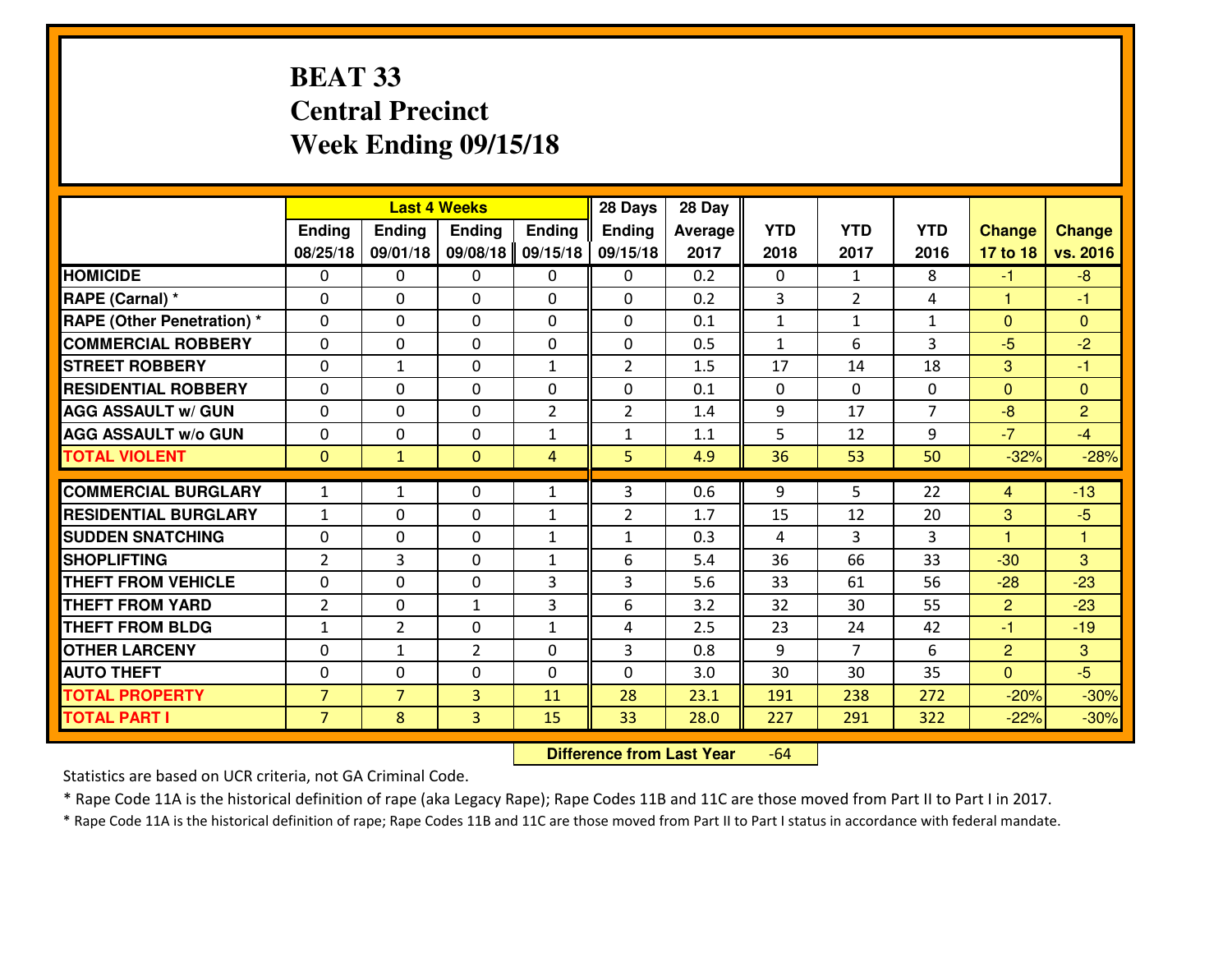# **BEAT 33 Central PrecinctWeek Ending 09/15/18**

|                                   |                | 28 Days<br><b>Last 4 Weeks</b> |                |                |                | 28 Day  |              |                |                |                      |                         |
|-----------------------------------|----------------|--------------------------------|----------------|----------------|----------------|---------|--------------|----------------|----------------|----------------------|-------------------------|
|                                   | <b>Ending</b>  | Ending                         | <b>Endina</b>  | <b>Ending</b>  | <b>Ending</b>  | Average | <b>YTD</b>   | <b>YTD</b>     | <b>YTD</b>     | <b>Change</b>        | <b>Change</b>           |
|                                   | 08/25/18       | 09/01/18                       | 09/08/18       | 09/15/18       | 09/15/18       | 2017    | 2018         | 2017           | 2016           | 17 to 18             | vs. 2016                |
| <b>HOMICIDE</b>                   | $\Omega$       | 0                              | $\mathbf{0}$   | 0              | 0              | 0.2     | $\Omega$     | $\mathbf{1}$   | 8              | $-1$                 | $-8$                    |
| RAPE (Carnal) *                   | $\Omega$       | 0                              | $\mathbf{0}$   | 0              | $\Omega$       | 0.2     | 3            | $\overline{2}$ | 4              | 1                    | -1                      |
| <b>RAPE (Other Penetration) *</b> | $\Omega$       | 0                              | $\mathbf 0$    | $\Omega$       | $\Omega$       | 0.1     | $\mathbf{1}$ | $\mathbf{1}$   | $\mathbf{1}$   | $\Omega$             | $\Omega$                |
| <b>COMMERCIAL ROBBERY</b>         | 0              | 0                              | $\mathbf 0$    | 0              | 0              | 0.5     | $\mathbf{1}$ | 6              | 3              | $-5$                 | $-2$                    |
| <b>STREET ROBBERY</b>             | 0              | $\mathbf{1}$                   | $\mathbf 0$    | $\mathbf{1}$   | $\overline{2}$ | 1.5     | 17           | 14             | 18             | 3                    | $-1$                    |
| <b>RESIDENTIAL ROBBERY</b>        | 0              | 0                              | $\mathbf 0$    | 0              | 0              | 0.1     | $\mathbf{0}$ | $\Omega$       | 0              | $\Omega$             | $\mathbf{0}$            |
| <b>AGG ASSAULT w/ GUN</b>         | 0              | 0                              | $\mathbf 0$    | $\overline{2}$ | $\overline{2}$ | 1.4     | 9            | 17             | $\overline{7}$ | $-8$                 | $\overline{2}$          |
| <b>AGG ASSAULT W/o GUN</b>        | 0              | 0                              | $\mathbf 0$    | 1              | 1              | 1.1     | 5            | 12             | 9              | $-7$                 | $-4$                    |
| <b>TOTAL VIOLENT</b>              | $\mathbf{0}$   | $\mathbf{1}$                   | $\overline{0}$ | $\overline{4}$ | 5              | 4.9     | 36           | 53             | 50             | $-32%$               | $-28%$                  |
| <b>COMMERCIAL BURGLARY</b>        | $\mathbf{1}$   | $\mathbf{1}$                   | 0              | $\mathbf{1}$   | 3              | 0.6     | 9            | 5              | 22             | $\overline{4}$       | $-13$                   |
| <b>RESIDENTIAL BURGLARY</b>       | $\mathbf{1}$   | 0                              | $\mathbf 0$    | $\mathbf{1}$   | $\overline{2}$ | 1.7     | 15           | 12             | 20             | 3                    | $-5$                    |
| <b>SUDDEN SNATCHING</b>           | 0              | 0                              | $\mathbf 0$    | $\mathbf{1}$   | $\mathbf{1}$   | 0.3     | 4            | 3              | 3              | $\blacktriangleleft$ | $\overline{\mathbf{1}}$ |
| <b>SHOPLIFTING</b>                | $\overline{2}$ | 3                              | $\mathbf 0$    | $\mathbf{1}$   | 6              | 5.4     | 36           | 66             | 33             | $-30$                | 3                       |
| <b>THEFT FROM VEHICLE</b>         | 0              | 0                              | $\mathbf 0$    | 3              | 3              | 5.6     | 33           | 61             | 56             | $-28$                | $-23$                   |
| <b>THEFT FROM YARD</b>            | $\overline{2}$ | 0                              | $\mathbf{1}$   | 3              | 6              | 3.2     | 32           | 30             | 55             | $\overline{2}$       | $-23$                   |
| <b>THEFT FROM BLDG</b>            | $\mathbf{1}$   | $\overline{2}$                 | $\mathbf 0$    | $\mathbf{1}$   | 4              | 2.5     | 23           | 24             | 42             | $-1$                 | $-19$                   |
| <b>OTHER LARCENY</b>              | 0              | 1                              | $\overline{2}$ | 0              | 3              | 0.8     | 9            | 7              | 6              | $\overline{2}$       | 3                       |
| <b>AUTO THEFT</b>                 | $\mathbf{0}$   | 0                              | $\mathbf{0}$   | $\Omega$       | $\Omega$       | 3.0     | 30           | 30             | 35             | $\Omega$             | $-5$                    |
| <b>TOTAL PROPERTY</b>             | $\overline{7}$ | $\overline{7}$                 | 3              | 11             | 28             | 23.1    | 191          | 238            | 272            | $-20%$               | $-30%$                  |
| <b>TOTAL PART I</b>               | $\overline{7}$ | 8                              | $\overline{3}$ | 15             | 33             | 28.0    | 227          | 291            | 322            | $-22%$               | $-30%$                  |
|                                   |                |                                |                |                |                |         |              |                |                |                      |                         |

 **Difference from Last Year**-64

Statistics are based on UCR criteria, not GA Criminal Code.

\* Rape Code 11A is the historical definition of rape (aka Legacy Rape); Rape Codes 11B and 11C are those moved from Part II to Part I in 2017.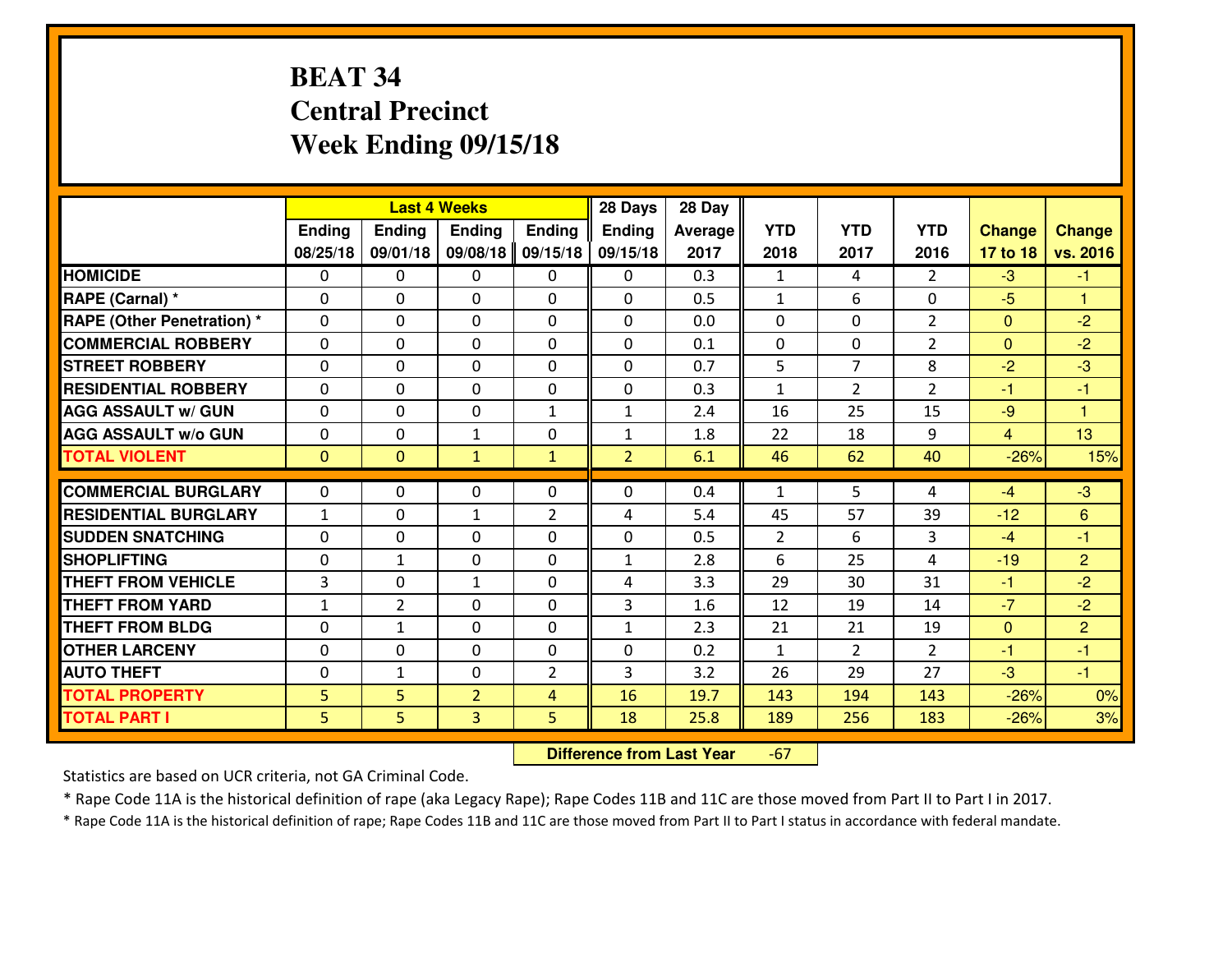# **BEAT 34 Central PrecinctWeek Ending 09/15/18**

|                                              |              |                | <b>Last 4 Weeks</b> |                | 28 Days        | 28 Day  |              |                |                |                |                      |
|----------------------------------------------|--------------|----------------|---------------------|----------------|----------------|---------|--------------|----------------|----------------|----------------|----------------------|
|                                              | Ending       | <b>Ending</b>  | <b>Ending</b>       | <b>Ending</b>  | <b>Ending</b>  | Average | <b>YTD</b>   | <b>YTD</b>     | <b>YTD</b>     | <b>Change</b>  | <b>Change</b>        |
|                                              | 08/25/18     | 09/01/18       | 09/08/18            | 09/15/18       | 09/15/18       | 2017    | 2018         | 2017           | 2016           | 17 to 18       | vs. 2016             |
| <b>HOMICIDE</b>                              | $\Omega$     | 0              | 0                   | $\Omega$       | $\Omega$       | 0.3     | 1            | 4              | $\mathfrak{D}$ | $-3$           | $-1$                 |
| RAPE (Carnal) *                              | $\mathbf{0}$ | 0              | $\mathbf{0}$        | 0              | $\Omega$       | 0.5     | $\mathbf{1}$ | 6              | 0              | $-5$           | $\blacktriangleleft$ |
| RAPE (Other Penetration) *                   | $\Omega$     | 0              | $\mathbf{0}$        | $\Omega$       | $\Omega$       | 0.0     | $\Omega$     | 0              | $\overline{2}$ | $\mathbf{0}$   | $-2$                 |
| <b>COMMERCIAL ROBBERY</b>                    | $\mathbf{0}$ | 0              | 0                   | 0              | $\Omega$       | 0.1     | $\mathbf{0}$ | 0              | $\overline{2}$ | $\mathbf{0}$   | $-2$                 |
| <b>STREET ROBBERY</b>                        | 0            | 0              | $\mathbf 0$         | $\Omega$       | 0              | 0.7     | 5            | $\overline{7}$ | 8              | $-2$           | $-3$                 |
| <b>RESIDENTIAL ROBBERY</b>                   | $\Omega$     | $\Omega$       | $\mathbf 0$         | $\Omega$       | 0              | 0.3     | $\mathbf{1}$ | $\overline{2}$ | $\overline{2}$ | $-1$           | $-1$                 |
| <b>AGG ASSAULT w/ GUN</b>                    | $\Omega$     | 0              | $\mathbf 0$         | $\mathbf{1}$   | $\mathbf{1}$   | 2.4     | 16           | 25             | 15             | $-9$           | $\blacktriangleleft$ |
| <b>AGG ASSAULT W/o GUN</b>                   | 0            | 0              | 1                   | 0              | $\mathbf{1}$   | 1.8     | 22           | 18             | 9              | $\overline{4}$ | 13                   |
| <b>TOTAL VIOLENT</b>                         | $\mathbf{0}$ | $\mathbf{0}$   | $\mathbf{1}$        | $\mathbf{1}$   | $\overline{2}$ | 6.1     | 46           | 62             | 40             | $-26%$         | 15%                  |
| <b>COMMERCIAL BURGLARY</b>                   | $\Omega$     | 0              | $\mathbf{0}$        | $\Omega$       | $\Omega$       | 0.4     | $\mathbf{1}$ | 5              | 4              | $-4$           | $-3$                 |
| <b>RESIDENTIAL BURGLARY</b>                  | $\mathbf{1}$ | 0              | $\mathbf{1}$        | $\overline{2}$ | 4              | 5.4     | 45           | 57             | 39             | $-12$          | 6                    |
| <b>SUDDEN SNATCHING</b>                      | 0            | 0              | 0                   | 0              | 0              | 0.5     | 2            | 6              | 3              | $-4$           | $-1$                 |
| <b>SHOPLIFTING</b>                           | 0            | $\mathbf{1}$   | $\mathbf 0$         | 0              | $\mathbf{1}$   | 2.8     | 6            | 25             | 4              | $-19$          | $\overline{2}$       |
| <b>THEFT FROM VEHICLE</b>                    | 3            | 0              | 1                   | 0              | 4              | 3.3     | 29           | 30             | 31             | $-1$           | $-2$                 |
| <b>THEFT FROM YARD</b>                       | $1\,$        | $\overline{2}$ | $\mathbf 0$         | 0              | 3              | 1.6     | 12           | 19             | 14             | $-7$           | $-2$                 |
| <b>THEFT FROM BLDG</b>                       | 0            | $\mathbf{1}$   | $\mathbf 0$         | 0              | $\mathbf{1}$   | 2.3     | 21           | 21             | 19             | $\mathbf{0}$   | $\overline{2}$       |
| <b>OTHER LARCENY</b>                         | 0            | 0              | $\mathbf 0$         | 0              | 0              | 0.2     | $\mathbf{1}$ | $\overline{2}$ | $\overline{2}$ | $-1$           | $-1$                 |
| <b>AUTO THEFT</b>                            | $\mathbf{0}$ | $\mathbf{1}$   | $\mathbf{0}$        | 2              | 3              | 3.2     | 26           | 29             | 27             | $-3$           | $-1$                 |
|                                              |              | 5              | $\overline{2}$      | 4              | 16             | 19.7    | 143          | 194            | 143            | $-26%$         | 0%                   |
|                                              |              |                |                     |                |                |         |              |                |                |                |                      |
| <b>TOTAL PROPERTY</b><br><b>TOTAL PART I</b> | 5<br>5       | 5              | 3                   | 5              | 18             | 25.8    | 189          | 256            | 183            | $-26%$         | 3%                   |

 **Difference from Last Year**-67

Statistics are based on UCR criteria, not GA Criminal Code.

\* Rape Code 11A is the historical definition of rape (aka Legacy Rape); Rape Codes 11B and 11C are those moved from Part II to Part I in 2017.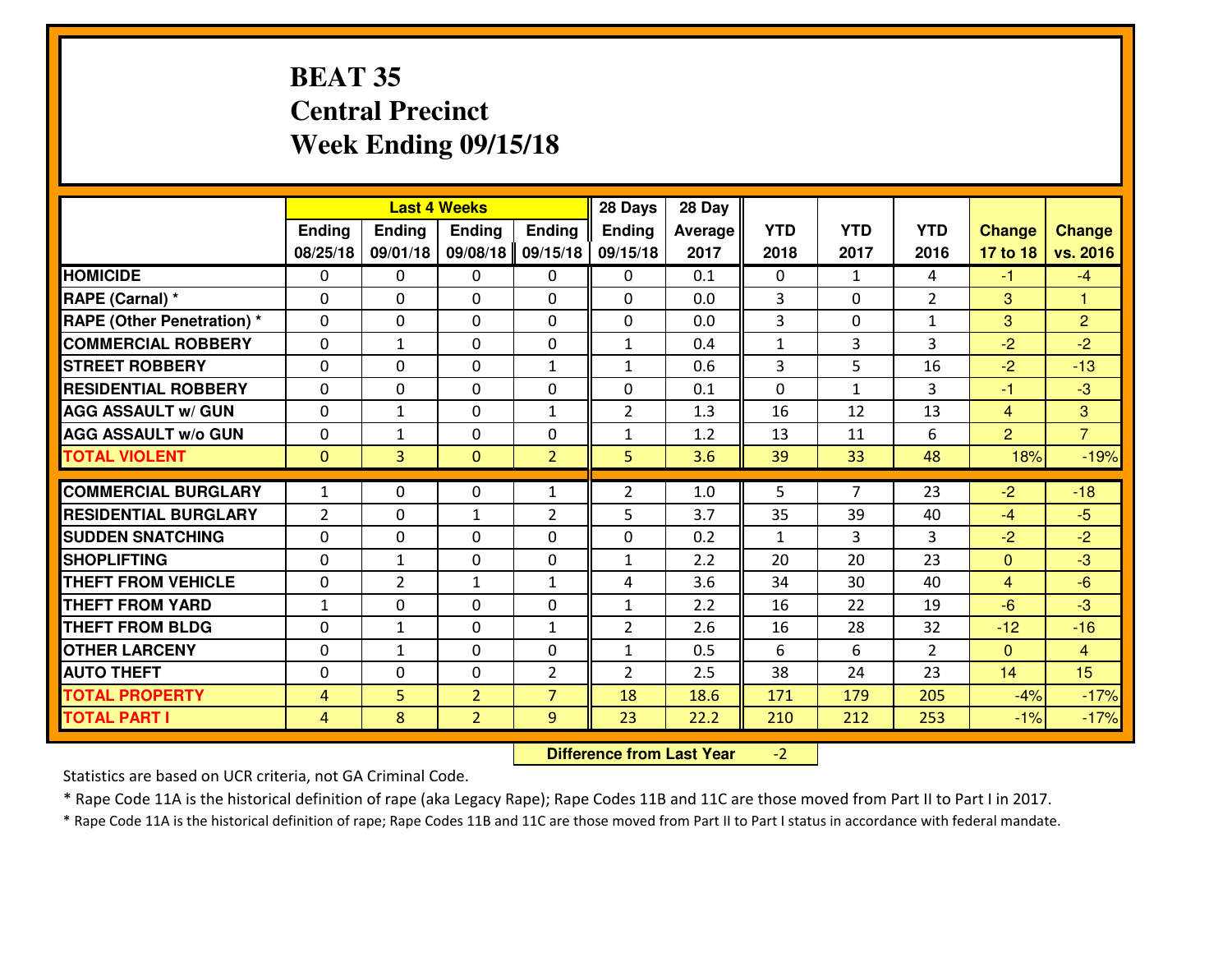# **BEAT 35 Central PrecinctWeek Ending 09/15/18**

|                                  |                | 28 Days<br><b>Last 4 Weeks</b> |                |                |                | 28 Day         |              |                |                |                |                |
|----------------------------------|----------------|--------------------------------|----------------|----------------|----------------|----------------|--------------|----------------|----------------|----------------|----------------|
|                                  | Ending         | Ending                         | <b>Ending</b>  | <b>Ending</b>  | <b>Ending</b>  | <b>Average</b> | <b>YTD</b>   | <b>YTD</b>     | <b>YTD</b>     | <b>Change</b>  | <b>Change</b>  |
|                                  | 08/25/18       | 09/01/18                       | 09/08/18       | 09/15/18       | 09/15/18       | 2017           | 2018         | 2017           | 2016           | 17 to 18       | vs. 2016       |
| <b>HOMICIDE</b>                  | 0              | 0                              | 0              | $\mathbf{0}$   | 0              | 0.1            | 0            | $\mathbf{1}$   | 4              | $-1$           | $-4$           |
| RAPE (Carnal) *                  | $\Omega$       | 0                              | $\mathbf{0}$   | $\Omega$       | $\Omega$       | 0.0            | 3            | $\Omega$       | $\overline{2}$ | 3              | $\mathbf{1}$   |
| <b>RAPE (Other Penetration)*</b> | $\Omega$       | 0                              | $\Omega$       | $\Omega$       | $\Omega$       | 0.0            | 3            | $\Omega$       | $\mathbf{1}$   | 3              | $\overline{2}$ |
| <b>COMMERCIAL ROBBERY</b>        | $\Omega$       | 1                              | $\mathbf 0$    | $\Omega$       | $\mathbf{1}$   | 0.4            | $\mathbf{1}$ | 3              | 3              | $-2$           | $-2$           |
| <b>ISTREET ROBBERY</b>           | $\mathbf{0}$   | 0                              | $\mathbf{0}$   | $\mathbf{1}$   | $\mathbf{1}$   | 0.6            | 3            | 5              | 16             | $-2$           | $-13$          |
| <b>RESIDENTIAL ROBBERY</b>       | 0              | 0                              | $\mathbf 0$    | 0              | 0              | 0.1            | $\mathbf 0$  | $\mathbf{1}$   | 3              | $-1$           | $-3$           |
| <b>AGG ASSAULT W/ GUN</b>        | 0              | 1                              | $\mathbf 0$    | $\mathbf{1}$   | $\overline{2}$ | 1.3            | 16           | 12             | 13             | $\overline{4}$ | 3              |
| <b>AGG ASSAULT W/o GUN</b>       | 0              | 1                              | $\mathbf{0}$   | 0              | $\mathbf{1}$   | 1.2            | 13           | 11             | 6              | 2              | $\overline{7}$ |
| <b>TOTAL VIOLENT</b>             | $\mathbf{0}$   | $\overline{3}$                 | $\mathbf{0}$   | $\overline{2}$ | 5              | 3.6            | 39           | 33             | 48             | 18%            | $-19%$         |
| <b>COMMERCIAL BURGLARY</b>       | $\mathbf{1}$   | 0                              | $\mathbf{0}$   | $\mathbf{1}$   | $\overline{2}$ | 1.0            | 5            | $\overline{7}$ | 23             | $-2$           | $-18$          |
| <b>RESIDENTIAL BURGLARY</b>      | $\overline{2}$ | 0                              | $\mathbf{1}$   | $\overline{2}$ | 5              | 3.7            | 35           | 39             | 40             | $-4$           | $-5$           |
| <b>SUDDEN SNATCHING</b>          | $\Omega$       | 0                              | $\mathbf 0$    | 0              | 0              | 0.2            | $\mathbf{1}$ | 3              | 3              | $-2$           | $-2$           |
| <b>SHOPLIFTING</b>               | 0              | $\mathbf{1}$                   | $\mathbf 0$    | 0              | $\mathbf{1}$   | 2.2            | 20           | 20             | 23             | $\mathbf{0}$   | $-3$           |
| <b>THEFT FROM VEHICLE</b>        | 0              | $\overline{2}$                 | $\mathbf{1}$   | $\mathbf{1}$   | 4              | 3.6            | 34           | 30             | 40             | $\overline{4}$ | $-6$           |
| <b>THEFT FROM YARD</b>           | $1\,$          | 0                              | 0              | 0              | $\mathbf{1}$   | 2.2            | 16           | 22             | 19             | $-6$           | $-3$           |
| <b>THEFT FROM BLDG</b>           | $\mathbf{0}$   | 1                              | $\mathbf{0}$   | $\mathbf{1}$   | $\overline{2}$ | 2.6            | 16           | 28             | 32             | $-12$          | $-16$          |
| <b>OTHER LARCENY</b>             | 0              | $\mathbf{1}$                   | 0              | 0              | $\mathbf{1}$   | 0.5            | 6            | 6              | $\overline{2}$ | $\mathbf{0}$   | $\overline{4}$ |
| <b>AUTO THEFT</b>                | $\mathbf{0}$   | 0                              | 0              | $\overline{2}$ | $\overline{2}$ | 2.5            | 38           | 24             | 23             | 14             | 15             |
| <b>TOTAL PROPERTY</b>            | $\overline{4}$ | 5                              | $\overline{2}$ | $\overline{7}$ | 18             | 18.6           | 171          | 179            | 205            | $-4%$          | $-17%$         |
| <b>TOTAL PART I</b>              | $\overline{4}$ | 8                              | $\overline{2}$ | 9              | 23             | 22.2           | 210          | 212            | 253            | $-1%$          | $-17%$         |
|                                  |                |                                |                |                |                |                |              |                |                |                |                |

 **Difference from Last Year**-2

Statistics are based on UCR criteria, not GA Criminal Code.

\* Rape Code 11A is the historical definition of rape (aka Legacy Rape); Rape Codes 11B and 11C are those moved from Part II to Part I in 2017.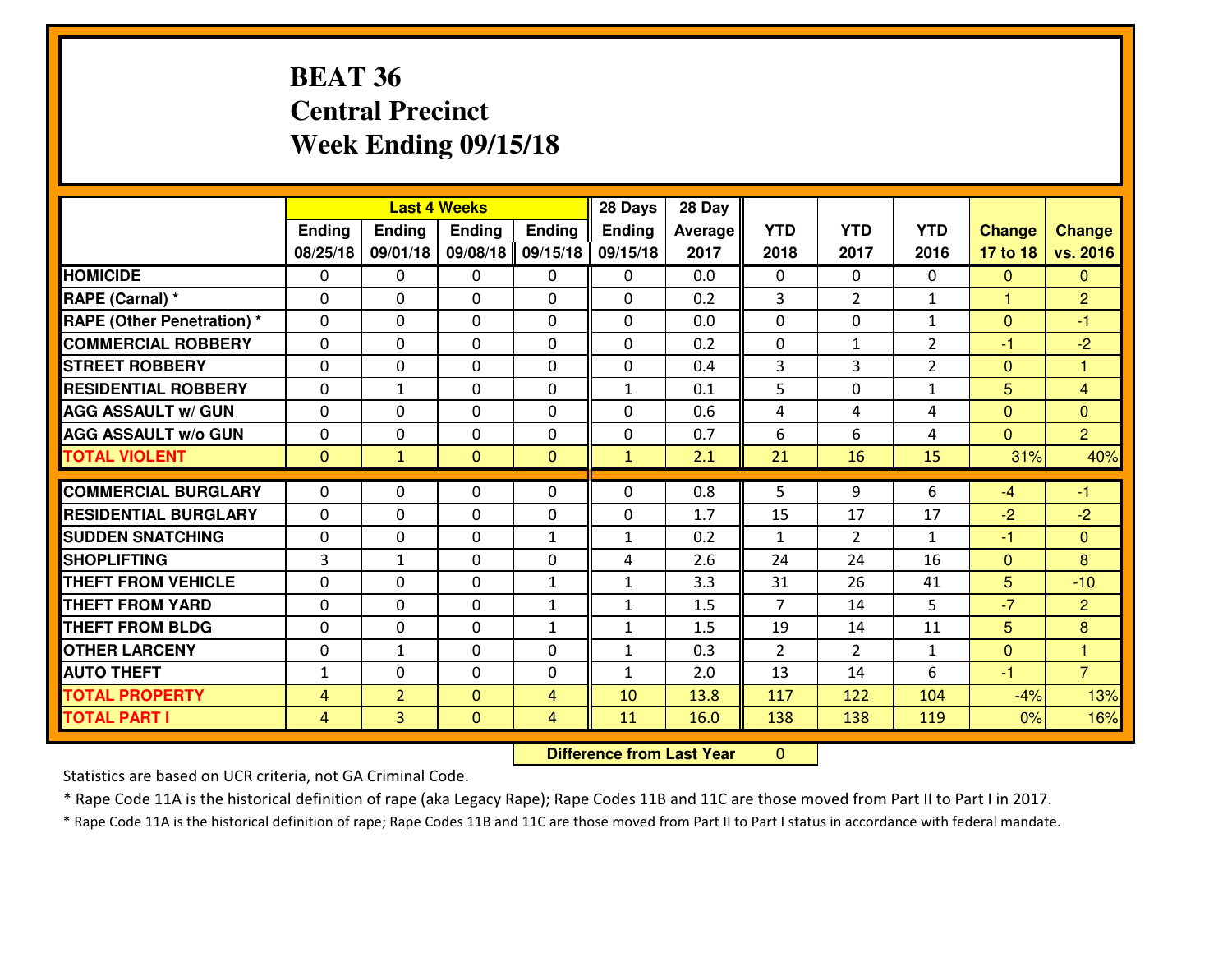# **BEAT 36 Central PrecinctWeek Ending 09/15/18**

|                                               |                   | 28 Days<br><b>Last 4 Weeks</b><br>Ending<br><b>Ending</b><br><b>Ending</b><br><b>Ending</b> |                              |                   |                   | 28 Day         |                    |                      |                    |                |                  |
|-----------------------------------------------|-------------------|---------------------------------------------------------------------------------------------|------------------------------|-------------------|-------------------|----------------|--------------------|----------------------|--------------------|----------------|------------------|
|                                               |                   |                                                                                             |                              |                   | <b>Ending</b>     | <b>Average</b> | <b>YTD</b>         | <b>YTD</b>           | <b>YTD</b>         | <b>Change</b>  | <b>Change</b>    |
|                                               | 08/25/18          | 09/01/18                                                                                    | 09/08/18                     | 09/15/18          | 09/15/18          | 2017           | 2018               | 2017                 | 2016               | 17 to 18       | vs. 2016         |
| <b>HOMICIDE</b>                               | $\mathbf{0}$      | 0                                                                                           | $\mathbf{0}$                 | $\mathbf{0}$      | 0                 | 0.0            | $\Omega$           | $\Omega$             | 0                  | $\mathbf{0}$   | $\Omega$         |
| RAPE (Carnal) *                               | $\Omega$          | 0                                                                                           | $\mathbf{0}$                 | 0                 | $\Omega$          | 0.2            | 3                  | $\overline{2}$       | $\mathbf{1}$       | $\mathbf{1}$   | $\overline{2}$   |
| <b>RAPE (Other Penetration)*</b>              | $\Omega$          | 0                                                                                           | $\Omega$                     | $\Omega$          | $\Omega$          | 0.0            | $\Omega$           | $\Omega$             | $\mathbf{1}$       | $\Omega$       | $-1$             |
| <b>COMMERCIAL ROBBERY</b>                     | 0                 | 0                                                                                           | $\mathbf 0$                  | 0                 | 0                 | 0.2            | $\mathbf 0$        | $\mathbf{1}$         | $\overline{2}$     | -1             | $-2$             |
| <b>ISTREET ROBBERY</b>                        | $\Omega$          | 0                                                                                           | $\mathbf{0}$                 | $\Omega$          | $\Omega$          | 0.4            | 3                  | 3                    | $\overline{2}$     | $\mathbf{0}$   | $\mathbf{1}$     |
| <b>RESIDENTIAL ROBBERY</b>                    | $\Omega$          | 1                                                                                           | $\mathbf 0$                  | $\Omega$          | $\mathbf{1}$      | 0.1            | 5                  | $\Omega$             | $\mathbf{1}$       | 5              | $\overline{4}$   |
| <b>AGG ASSAULT W/ GUN</b>                     | $\Omega$          | $\Omega$                                                                                    | $\mathbf 0$                  | $\Omega$          | $\Omega$          | 0.6            | 4                  | 4                    | 4                  | $\Omega$       | $\overline{0}$   |
| <b>AGG ASSAULT W/o GUN</b>                    | 0                 | 0                                                                                           | $\mathbf 0$                  | 0                 | 0                 | 0.7            | 6                  | 6                    | 4                  | $\overline{0}$ | $\overline{2}$   |
| <b>TOTAL VIOLENT</b>                          | $\mathbf{0}$      | $\mathbf{1}$                                                                                | $\mathbf{0}$                 | $\overline{0}$    | $\mathbf{1}$      | 2.1            | 21                 | 16                   | 15                 | 31%            | 40%              |
|                                               |                   |                                                                                             |                              |                   |                   |                |                    |                      |                    |                |                  |
|                                               |                   |                                                                                             |                              |                   |                   |                |                    |                      |                    |                |                  |
| <b>COMMERCIAL BURGLARY</b>                    | $\Omega$          | 0                                                                                           | 0                            | $\mathbf{0}$      | $\Omega$          | 0.8            | 5                  | 9                    | 6                  | $-4$           | $-1$             |
| <b>RESIDENTIAL BURGLARY</b>                   | $\mathbf{0}$      | 0<br>0                                                                                      | $\mathbf{0}$                 | 0                 | $\Omega$          | 1.7            | 15<br>$\mathbf{1}$ | 17                   | 17<br>$\mathbf{1}$ | $-2$<br>-1     | $-2$<br>$\Omega$ |
| <b>SUDDEN SNATCHING</b><br><b>SHOPLIFTING</b> | $\mathbf{0}$<br>3 | $\mathbf{1}$                                                                                | $\mathbf{0}$<br>$\mathbf{0}$ | $\mathbf{1}$<br>0 | $\mathbf{1}$<br>4 | 0.2<br>2.6     | 24                 | $\overline{2}$<br>24 | 16                 | $\mathbf{0}$   | 8                |
| <b>THEFT FROM VEHICLE</b>                     | $\Omega$          | 0                                                                                           | $\mathbf{0}$                 | $\mathbf{1}$      | $\mathbf{1}$      | 3.3            | 31                 | 26                   | 41                 | 5              | $-10$            |
| <b>THEFT FROM YARD</b>                        | $\mathbf{0}$      | 0                                                                                           | $\mathbf 0$                  | $\mathbf{1}$      | $\mathbf{1}$      | 1.5            | $\overline{7}$     | 14                   | 5                  | $-7$           | $\overline{2}$   |
| <b>THEFT FROM BLDG</b>                        | 0                 | 0                                                                                           | $\mathbf 0$                  | $\mathbf{1}$      | $\mathbf{1}$      | 1.5            | 19                 | 14                   | 11                 | 5              | 8                |
| <b>OTHER LARCENY</b>                          | 0                 | 1                                                                                           | 0                            | 0                 | $\mathbf{1}$      | 0.3            | $\overline{2}$     | $\overline{2}$       | $\mathbf{1}$       | $\mathbf{0}$   | $\mathbf{1}$     |
| <b>AUTO THEFT</b>                             | $\mathbf{1}$      | 0                                                                                           | $\mathbf 0$                  | 0                 | $\mathbf{1}$      | 2.0            | 13                 | 14                   | 6                  | $-1$           | $\overline{7}$   |
| <b>TOTAL PROPERTY</b>                         | 4                 | $\overline{2}$                                                                              | $\mathbf{0}$                 | $\overline{4}$    | 10                | 13.8           | 117                | 122                  | 104                | $-4%$          | 13%              |
| <b>TOTAL PART I</b>                           | $\overline{4}$    | $\overline{3}$                                                                              | $\mathbf{0}$                 | $\overline{4}$    | 11                | 16.0           | 138                | 138                  | 119                | $0\%$          | 16%              |

 **Difference from Last Year** $\mathbf{0}$ 

Statistics are based on UCR criteria, not GA Criminal Code.

\* Rape Code 11A is the historical definition of rape (aka Legacy Rape); Rape Codes 11B and 11C are those moved from Part II to Part I in 2017.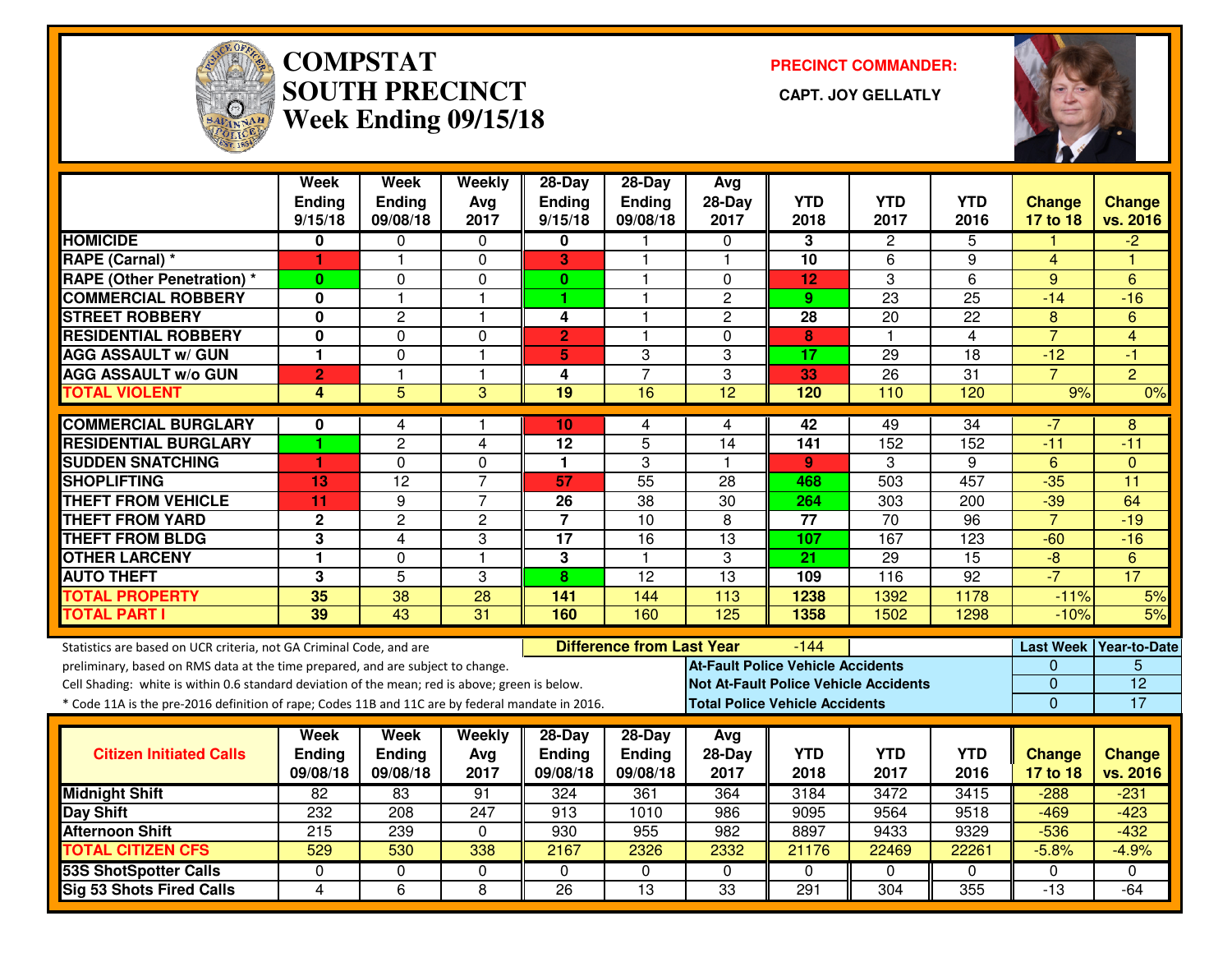

#### **COMPSTAT PRECINCT COMMANDER: SOUTH PRECINCT CAPT. JOY GELLATLYWeek Ending 09/15/18**



|                                                                                                  | <b>Week</b>       | <b>Week</b>               | Weekly         | 28-Day                  | 28-Day                           | Avg                                      |                    |                                              |                    |                           |                           |
|--------------------------------------------------------------------------------------------------|-------------------|---------------------------|----------------|-------------------------|----------------------------------|------------------------------------------|--------------------|----------------------------------------------|--------------------|---------------------------|---------------------------|
|                                                                                                  | Ending<br>9/15/18 | <b>Ending</b><br>09/08/18 | Avg<br>2017    | Ending<br>9/15/18       | Ending<br>09/08/18               | $28-Day$<br>2017                         | <b>YTD</b><br>2018 | <b>YTD</b><br>2017                           | <b>YTD</b><br>2016 | <b>Change</b><br>17 to 18 | <b>Change</b><br>vs. 2016 |
| <b>HOMICIDE</b>                                                                                  | 0                 | 0                         | $\Omega$       | 0                       | 1                                | $\Omega$                                 | 3                  | 2                                            | 5                  |                           | $-2$                      |
| RAPE (Carnal) *                                                                                  | 1                 | $\overline{1}$            | 0              | 3                       | 1                                | $\overline{1}$                           | 10                 | 6                                            | 9                  | $\overline{4}$            | н                         |
| <b>RAPE (Other Penetration) *</b>                                                                | $\bf{0}$          | 0                         | 0              | $\mathbf{0}$            | 1                                | $\mathbf{0}$                             | 12                 | 3                                            | $\overline{6}$     | 9                         | 6                         |
| <b>COMMERCIAL ROBBERY</b>                                                                        | 0                 | $\overline{1}$            | $\mathbf{1}$   | 1.                      | 1                                | $\mathbf{2}$                             | 9                  | $\overline{23}$                              | $\overline{25}$    | $-14$                     | $-16$                     |
| <b>STREET ROBBERY</b>                                                                            | 0                 | $\overline{c}$            | $\mathbf{1}$   | 4                       | 1                                | $\overline{2}$                           | 28                 | 20                                           | 22                 | 8                         | 6                         |
| <b>RESIDENTIAL ROBBERY</b>                                                                       | 0                 | $\Omega$                  | 0              | $\overline{2}$          | 1                                | $\mathbf{0}$                             | 8                  | $\mathbf{1}$                                 | 4                  | $\overline{7}$            | 4                         |
| <b>AGG ASSAULT w/ GUN</b>                                                                        | 1                 | $\mathbf 0$               | $\mathbf{1}$   | 5                       | 3                                | 3                                        | 17                 | $\overline{29}$                              | 18                 | $-12$                     | $-1$                      |
| <b>AGG ASSAULT w/o GUN</b>                                                                       | $\overline{2}$    | $\mathbf{1}$              | $\mathbf{1}$   | 4                       | $\overline{7}$                   | 3                                        | 33                 | 26                                           | 31                 | $\overline{7}$            | $\overline{2}$            |
| <b>TOTAL VIOLENT</b>                                                                             | 4                 | 5                         | 3              | 19                      | 16                               | $\overline{12}$                          | 120                | 110                                          | 120                | 9%                        | 0%                        |
| <b>COMMERCIAL BURGLARY</b>                                                                       | 0                 | 4                         | -1             | 10                      | 4                                | 4                                        | 42                 | 49                                           | $\overline{34}$    | $-7$                      | 8                         |
| <b>RESIDENTIAL BURGLARY</b>                                                                      | 1                 | $\overline{c}$            | $\overline{4}$ | 12                      | 5                                | 14                                       | 141                | 152                                          | 152                | $-11$                     | $-11$                     |
| <b>SUDDEN SNATCHING</b>                                                                          | 1                 | 0                         | 0              | 1                       | 3                                | $\overline{\mathbf{1}}$                  | 9                  | 3                                            | 9                  | $6\phantom{1}$            | $\mathbf{0}$              |
| <b>SHOPLIFTING</b>                                                                               | 13                | $\overline{12}$           | $\overline{7}$ | 57                      | $\overline{55}$                  | 28                                       | 468                | 503                                          | 457                | $-35$                     | $\overline{11}$           |
| <b>THEFT FROM VEHICLE</b>                                                                        | 11                | 9                         | $\overline{7}$ | 26                      | 38                               | 30                                       | 264                | 303                                          | 200                | $-39$                     | 64                        |
| <b>THEFT FROM YARD</b>                                                                           | $\mathbf 2$       | $\overline{2}$            | $\overline{2}$ | $\overline{\mathbf{7}}$ | $\overline{10}$                  | $\overline{8}$                           | $\overline{77}$    | $\overline{70}$                              | $\overline{96}$    | $\overline{7}$            | $-19$                     |
| <b>THEFT FROM BLDG</b>                                                                           | 3                 | 4                         | 3              | $\overline{17}$         | 16                               | $\overline{13}$                          | 107                | 167                                          | 123                | $-60$                     | $-16$                     |
| <b>OTHER LARCENY</b>                                                                             | 1                 | $\mathbf 0$               | $\mathbf{1}$   | 3                       | $\mathbf{1}$                     | 3                                        | $\overline{21}$    | $\overline{29}$                              | $\overline{15}$    | $-\frac{1}{\sqrt{2}}$     | 6                         |
| <b>AUTO THEFT</b>                                                                                | 3                 | 5                         | 3              | 8                       | 12                               | $\overline{13}$                          | 109                | 116                                          | $\overline{92}$    | $-7$                      | $\overline{17}$           |
| <b>TOTAL PROPERTY</b>                                                                            | 35                | $\overline{38}$           | 28             | 141                     | 144                              | 113                                      | 1238               | 1392                                         | 1178               | $-11%$                    | 5%                        |
| <b>TOTAL PART I</b>                                                                              | 39                | 43                        | 31             | 160                     | 160                              | 125                                      | 1358               | 1502                                         | 1298               | $-10%$                    | 5%                        |
| Statistics are based on UCR criteria, not GA Criminal Code, and are                              |                   |                           |                |                         | <b>Difference from Last Year</b> |                                          | $-144$             |                                              |                    |                           | Last Week   Year-to-Date  |
| preliminary, based on RMS data at the time prepared, and are subject to change.                  |                   |                           |                |                         |                                  | <b>At-Fault Police Vehicle Accidents</b> |                    |                                              |                    | $\Omega$                  | 5                         |
| Cell Shading: white is within 0.6 standard deviation of the mean; red is above; green is below.  |                   |                           |                |                         |                                  |                                          |                    | <b>Not At-Fault Police Vehicle Accidents</b> |                    | 0                         | $\overline{12}$           |
| * Code 11A is the pre-2016 definition of rape; Codes 11B and 11C are by federal mandate in 2016. |                   |                           |                |                         |                                  | <b>Total Police Vehicle Accidents</b>    |                    |                                              |                    | $\overline{0}$            | $\overline{17}$           |
|                                                                                                  | Week              | Week                      | Weekly         | 28-Day                  | $28$ -Day                        | Avg                                      |                    |                                              |                    |                           |                           |
| <b>Citizen Initiated Calls</b>                                                                   | <b>Ending</b>     | Ending                    | Avg            | <b>Ending</b>           | Ending                           | $28-Day$                                 | <b>YTD</b>         | <b>YTD</b>                                   | <b>YTD</b>         | <b>Change</b>             | <b>Change</b>             |
|                                                                                                  | 09/08/18          | 09/08/18                  | 2017           | 09/08/18                | 09/08/18                         | 2017                                     | 2018               | 2017                                         | 2016               | 17 to 18                  | vs. 2016                  |
| <b>Midnight Shift</b>                                                                            | $\overline{82}$   | 83                        | 91             | 324                     | 361                              | 364                                      | 3184               | 3472                                         | 3415               | $-288$                    | $-231$                    |
| <b>Day Shift</b>                                                                                 | 232               | 208                       | 247            | 913                     | 1010                             | 986                                      | 9095               | 9564                                         | 9518               | $-469$                    | $-423$                    |
| <b>Afternoon Shift</b>                                                                           | 215               | 239                       | 0              | 930                     | 955                              | 982                                      | 8897               | 9433                                         | 9329               | $-536$                    | $-432$                    |
| <b>TOTAL CITIZEN CFS</b>                                                                         | 529               | 530                       | 338            | 2167                    | 2326                             | 2332                                     | 21176              | 22469                                        | 22261              | $-5.8%$                   | $-4.9%$                   |
| <b>53S ShotSpotter Calls</b>                                                                     | 0                 | 0                         | 0              | $\Omega$                | 0                                | $\Omega$                                 | 0                  | $\Omega$                                     | $\Omega$           | 0                         | $\mathbf{0}$              |
| <b>Sig 53 Shots Fired Calls</b>                                                                  | $\overline{4}$    | 6                         | 8              | $\overline{26}$         | $\overline{13}$                  | $\overline{33}$                          | 291                | 304                                          | 355                | $-13$                     | $-64$                     |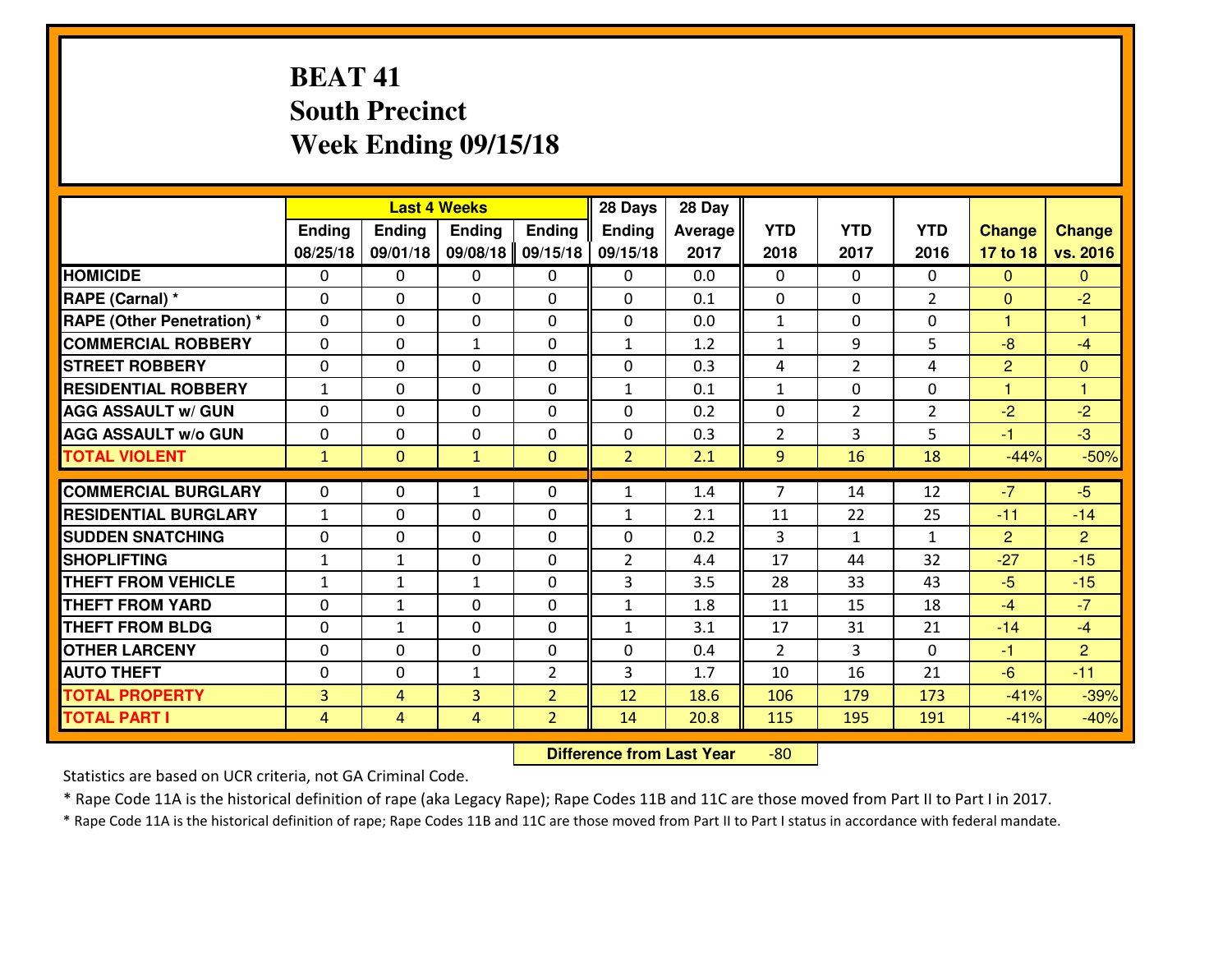# **BEAT 41 South PrecinctWeek Ending 09/15/18**

|                                   | <b>Last 4 Weeks</b> |                |               |                | 28 Days        | 28 Day  |                |                |                |                |                         |
|-----------------------------------|---------------------|----------------|---------------|----------------|----------------|---------|----------------|----------------|----------------|----------------|-------------------------|
|                                   | <b>Ending</b>       | <b>Ending</b>  | <b>Endina</b> | <b>Ending</b>  | <b>Ending</b>  | Average | <b>YTD</b>     | <b>YTD</b>     | <b>YTD</b>     | <b>Change</b>  | <b>Change</b>           |
|                                   | 08/25/18            | 09/01/18       | 09/08/18      | 09/15/18       | 09/15/18       | 2017    | 2018           | 2017           | 2016           | 17 to 18       | vs. 2016                |
| <b>HOMICIDE</b>                   | $\Omega$            | 0              | 0             | 0              | 0              | 0.0     | 0              | $\Omega$       | 0              | $\Omega$       | $\Omega$                |
| RAPE (Carnal) *                   | $\Omega$            | $\Omega$       | $\mathbf 0$   | $\Omega$       | $\Omega$       | 0.1     | $\Omega$       | $\Omega$       | $\mathcal{P}$  | $\mathbf{0}$   | $-2$                    |
| <b>RAPE (Other Penetration) *</b> | 0                   | 0              | $\mathbf 0$   | 0              | 0              | 0.0     | $\mathbf{1}$   | 0              | 0              | $\mathbf{1}$   | $\overline{\mathbf{1}}$ |
| <b>COMMERCIAL ROBBERY</b>         | 0                   | 0              | $\mathbf{1}$  | 0              | $\mathbf{1}$   | 1.2     | $\mathbf{1}$   | 9              | 5              | $-8$           | $-4$                    |
| <b>STREET ROBBERY</b>             | 0                   | 0              | $\mathbf 0$   | 0              | 0              | 0.3     | 4              | $\overline{2}$ | 4              | $\overline{2}$ | $\mathbf{0}$            |
| <b>RESIDENTIAL ROBBERY</b>        | $\mathbf{1}$        | 0              | $\mathbf 0$   | 0              | $\mathbf{1}$   | 0.1     | $\mathbf{1}$   | $\Omega$       | 0              | $\mathbf{1}$   | 1                       |
| <b>AGG ASSAULT w/ GUN</b>         | 0                   | 0              | $\mathbf 0$   | 0              | 0              | 0.2     | 0              | $\overline{2}$ | $\overline{2}$ | $-2$           | $-2$                    |
| <b>AGG ASSAULT W/o GUN</b>        | 0                   | 0              | $\mathbf 0$   | $\Omega$       | 0              | 0.3     | $\overline{2}$ | 3              | 5              | $-1$           | $-3$                    |
| <b>TOTAL VIOLENT</b>              | $\mathbf{1}$        | $\overline{0}$ | $\mathbf{1}$  | $\mathbf{0}$   | $\overline{2}$ | 2.1     | 9              | 16             | 18             | $-44%$         | $-50%$                  |
| <b>COMMERCIAL BURGLARY</b>        | $\Omega$            | 0              | 1             | $\Omega$       | $\mathbf{1}$   | 1.4     | $\overline{7}$ | 14             | 12             | $-7$           | $-5$                    |
| <b>RESIDENTIAL BURGLARY</b>       | $\mathbf{1}$        | 0              | $\mathbf 0$   | 0              | $\mathbf{1}$   | 2.1     | 11             | 22             | 25             | $-11$          | $-14$                   |
| <b>SUDDEN SNATCHING</b>           | 0                   | $\Omega$       | $\mathbf 0$   | $\Omega$       | 0              | 0.2     | $\overline{3}$ | $\mathbf{1}$   | $\mathbf{1}$   | 2              | $\overline{2}$          |
| <b>SHOPLIFTING</b>                | $\mathbf{1}$        | $\mathbf{1}$   | $\mathbf 0$   | 0              | $\overline{2}$ | 4.4     | 17             | 44             | 32             | $-27$          | $-15$                   |
| <b>THEFT FROM VEHICLE</b>         | $\mathbf{1}$        | $\mathbf{1}$   | 1             | 0              | 3              | 3.5     | 28             | 33             | 43             | $-5$           | $-15$                   |
| <b>THEFT FROM YARD</b>            | 0                   | 1              | 0             | 0              | $\mathbf{1}$   | 1.8     | 11             | 15             | 18             | $-4$           | $-7$                    |
| <b>THEFT FROM BLDG</b>            | 0                   | $\mathbf{1}$   | $\mathbf{0}$  | $\Omega$       | $\mathbf{1}$   | 3.1     | 17             | 31             | 21             | $-14$          | $-4$                    |
| <b>OTHER LARCENY</b>              | $\mathbf 0$         | $\mathbf 0$    | $\mathbf 0$   | $\mathbf 0$    | 0              | 0.4     | $\overline{2}$ | 3              | 0              | $-1$           | $\overline{2}$          |
| <b>AUTO THEFT</b>                 | $\mathbf 0$         | 0              | $\mathbf{1}$  | $\overline{2}$ | 3              | 1.7     | 10             | 16             | 21             | $-6$           | $-11$                   |
| <b>TOTAL PROPERTY</b>             | $\overline{3}$      | $\overline{4}$ | 3             | $\overline{2}$ | 12             | 18.6    | 106            | 179            | 173            | $-41%$         | $-39%$                  |
| <b>TOTAL PART I</b>               | $\overline{4}$      | $\overline{4}$ | 4             | $\overline{2}$ | 14             | 20.8    | 115            | 195            | 191            | $-41%$         | $-40%$                  |

 **Difference from Last Year**-80

Statistics are based on UCR criteria, not GA Criminal Code.

\* Rape Code 11A is the historical definition of rape (aka Legacy Rape); Rape Codes 11B and 11C are those moved from Part II to Part I in 2017.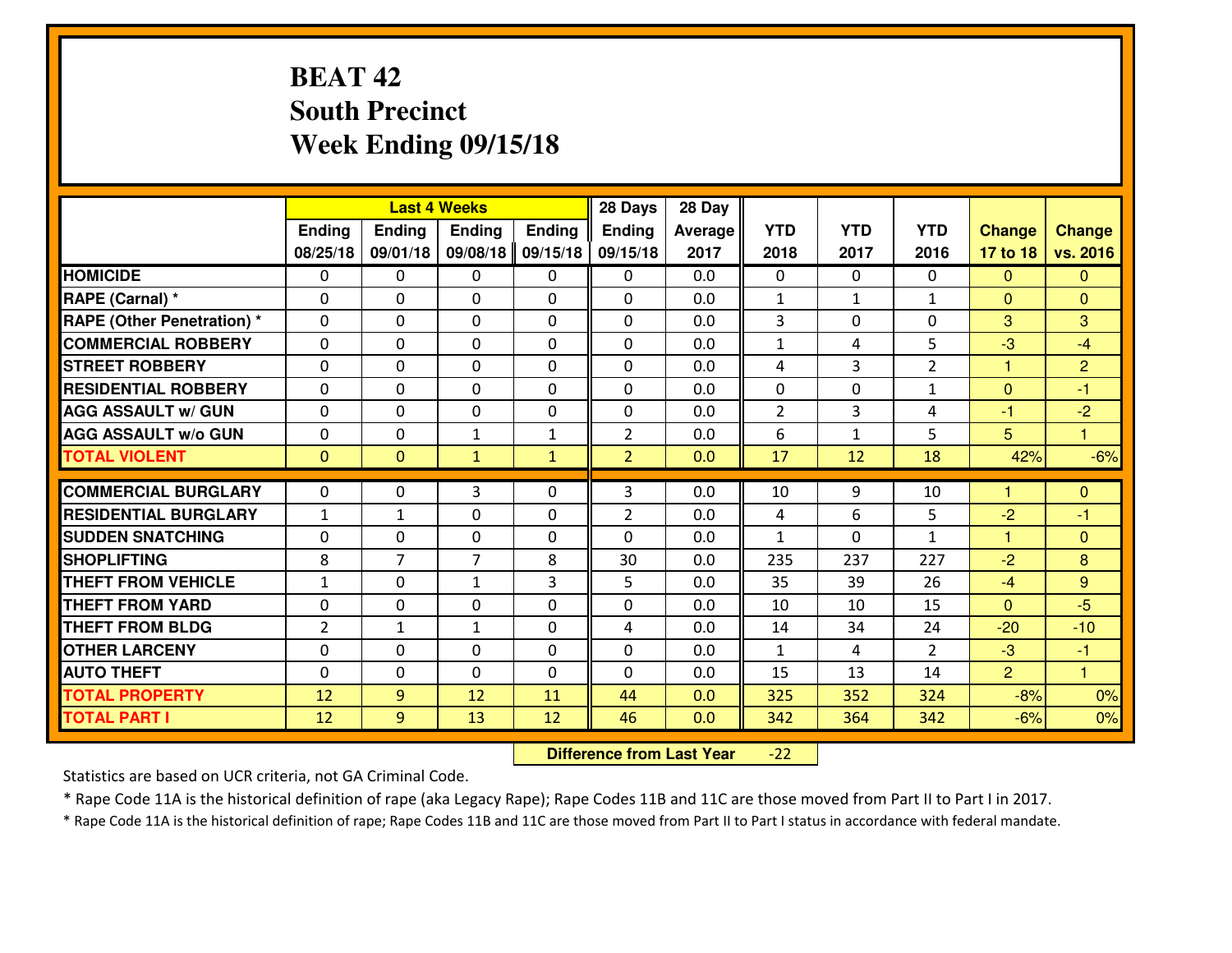# **BEAT 42 South PrecinctWeek Ending 09/15/18**

|                             | <b>Last 4 Weeks</b><br>Ending<br><b>Ending</b><br><b>Ending</b><br><b>Ending</b> |                |                | 28 Days      | 28 Day         |                |                |              |                |                |                |
|-----------------------------|----------------------------------------------------------------------------------|----------------|----------------|--------------|----------------|----------------|----------------|--------------|----------------|----------------|----------------|
|                             |                                                                                  |                |                |              | <b>Ending</b>  | <b>Average</b> | <b>YTD</b>     | <b>YTD</b>   | <b>YTD</b>     | <b>Change</b>  | <b>Change</b>  |
|                             | 08/25/18                                                                         | 09/01/18       | 09/08/18       | 09/15/18     | 09/15/18       | 2017           | 2018           | 2017         | 2016           | 17 to 18       | vs. 2016       |
| <b>HOMICIDE</b>             | $\Omega$                                                                         | 0              | 0              | 0            | $\Omega$       | 0.0            | 0              | $\Omega$     | 0              | $\Omega$       | $\Omega$       |
| RAPE (Carnal) *             | $\mathbf{0}$                                                                     | 0              | $\mathbf{0}$   | 0            | $\Omega$       | 0.0            | $\mathbf{1}$   | $\mathbf{1}$ | $\mathbf{1}$   | $\Omega$       | $\mathbf{0}$   |
| RAPE (Other Penetration) *  | $\Omega$                                                                         | 0              | $\mathbf{0}$   | $\Omega$     | $\Omega$       | 0.0            | 3              | 0            | 0              | 3              | 3              |
| <b>COMMERCIAL ROBBERY</b>   | $\mathbf{0}$                                                                     | 0              | 0              | 0            | $\Omega$       | 0.0            | $\mathbf{1}$   | 4            | 5              | $-3$           | $-4$           |
| <b>STREET ROBBERY</b>       | 0                                                                                | 0              | $\mathbf 0$    | 0            | 0              | 0.0            | 4              | 3            | $\overline{2}$ | 1              | $\overline{2}$ |
| <b>RESIDENTIAL ROBBERY</b>  | $\Omega$                                                                         | $\Omega$       | $\mathbf 0$    | $\Omega$     | 0              | 0.0            | 0              | $\Omega$     | $\mathbf{1}$   | $\mathbf{0}$   | $-1$           |
| <b>AGG ASSAULT w/ GUN</b>   | 0                                                                                | 0              | $\mathbf 0$    | 0            | 0              | 0.0            | $\overline{2}$ | 3            | 4              | $-1$           | $-2$           |
| <b>AGG ASSAULT W/o GUN</b>  | 0                                                                                | 0              | 1              | $\mathbf{1}$ | $\overline{2}$ | 0.0            | 6              | $\mathbf{1}$ | 5              | 5              | $\mathbf{1}$   |
| <b>TOTAL VIOLENT</b>        | $\mathbf{0}$                                                                     | $\mathbf{0}$   | $\mathbf{1}$   | $\mathbf{1}$ | $\overline{2}$ | 0.0            | 17             | 12           | 18             | 42%            | $-6%$          |
| <b>COMMERCIAL BURGLARY</b>  | $\Omega$                                                                         | 0              | 3              | $\Omega$     | 3              | 0.0            | 10             | 9            | 10             | н              | $\mathbf{0}$   |
| <b>RESIDENTIAL BURGLARY</b> | $\mathbf{1}$                                                                     | $\mathbf{1}$   | 0              | 0            | $\overline{2}$ | 0.0            | 4              | 6            | 5              | $-2$           | $-1$           |
| <b>SUDDEN SNATCHING</b>     | 0                                                                                | 0              | $\mathbf 0$    | 0            | 0              | 0.0            | $\mathbf{1}$   | 0            | $\mathbf{1}$   | $\mathbf{1}$   | $\overline{0}$ |
| <b>SHOPLIFTING</b>          | 8                                                                                | $\overline{7}$ | $\overline{7}$ | 8            | 30             | 0.0            | 235            | 237          | 227            | $-2$           | 8              |
| <b>THEFT FROM VEHICLE</b>   | $\mathbf{1}$                                                                     | 0              | 1              | 3            | 5              | 0.0            | 35             | 39           | 26             | $-4$           | 9              |
| <b>THEFT FROM YARD</b>      | 0                                                                                | 0              | $\mathbf 0$    | 0            | 0              | 0.0            | 10             | 10           | 15             | $\overline{0}$ | $-5$           |
| <b>THEFT FROM BLDG</b>      | $\overline{2}$                                                                   | $\mathbf{1}$   | 1              | 0            | 4              | 0.0            | 14             | 34           | 24             | $-20$          | $-10$          |
| <b>OTHER LARCENY</b>        | 0                                                                                | 0              | $\mathbf 0$    | 0            | 0              | 0.0            | $\mathbf{1}$   | 4            | $\overline{2}$ | $-3$           | $-1$           |
| <b>AUTO THEFT</b>           | $\mathbf{0}$                                                                     | 0              | $\mathbf{0}$   | 0            | 0              | 0.0            | 15             | 13           | 14             | $\overline{2}$ | $\overline{1}$ |
| <b>TOTAL PROPERTY</b>       | 12                                                                               | 9              | 12             | 11           | 44             | 0.0            | 325            | 352          | 324            | $-8%$          | 0%             |
| <b>TOTAL PART I</b>         | 12                                                                               | 9              | 13             | 12           | 46             | 0.0            | 342            | 364          | 342            | $-6%$          | 0%             |

 **Difference from Last Year**-22

Statistics are based on UCR criteria, not GA Criminal Code.

\* Rape Code 11A is the historical definition of rape (aka Legacy Rape); Rape Codes 11B and 11C are those moved from Part II to Part I in 2017.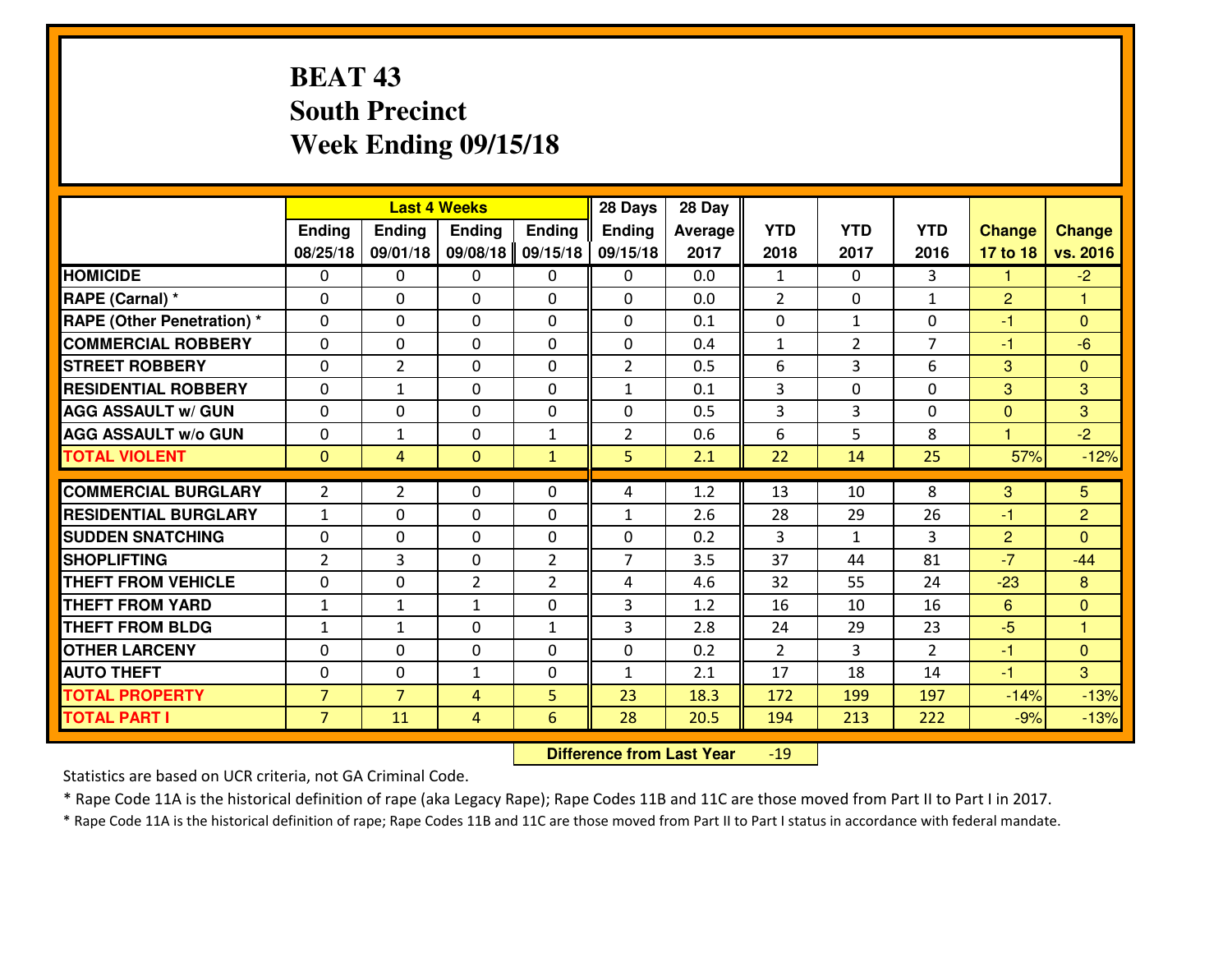# **BEAT 43 South PrecinctWeek Ending 09/15/18**

|                                  | <b>Last 4 Weeks</b> |                |                | 28 Days        | 28 Day         |         |                |                |                |                      |                      |
|----------------------------------|---------------------|----------------|----------------|----------------|----------------|---------|----------------|----------------|----------------|----------------------|----------------------|
|                                  | Ending              | <b>Ending</b>  | <b>Ending</b>  | <b>Ending</b>  | <b>Ending</b>  | Average | <b>YTD</b>     | <b>YTD</b>     | <b>YTD</b>     | <b>Change</b>        | <b>Change</b>        |
|                                  | 08/25/18            | 09/01/18       | 09/08/18       | 09/15/18       | 09/15/18       | 2017    | 2018           | 2017           | 2016           | 17 to 18             | vs. 2016             |
| <b>HOMICIDE</b>                  | $\Omega$            | 0              | 0              | $\Omega$       | 0              | 0.0     | 1              | $\Omega$       | 3              | 1                    | $-2$                 |
| RAPE (Carnal) *                  | $\Omega$            | 0              | $\Omega$       | $\Omega$       | $\Omega$       | 0.0     | $\overline{2}$ | $\Omega$       | $\mathbf{1}$   | $\overline{2}$       | 1                    |
| <b>RAPE (Other Penetration)*</b> | 0                   | 0              | $\mathbf 0$    | 0              | 0              | 0.1     | 0              | $\mathbf{1}$   | 0              | $-1$                 | $\overline{0}$       |
| <b>COMMERCIAL ROBBERY</b>        | 0                   | 0              | $\mathbf 0$    | 0              | 0              | 0.4     | $\mathbf{1}$   | $\overline{2}$ | $\overline{7}$ | $-1$                 | $-6$                 |
| <b>STREET ROBBERY</b>            | $\mathbf{0}$        | $\overline{2}$ | $\mathbf 0$    | 0              | $\overline{2}$ | 0.5     | 6              | 3              | 6              | 3                    | $\mathbf{0}$         |
| <b>RESIDENTIAL ROBBERY</b>       | 0                   | 1              | $\mathbf 0$    | 0              | $\mathbf{1}$   | 0.1     | 3              | 0              | 0              | 3                    | 3                    |
| <b>AGG ASSAULT w/ GUN</b>        | 0                   | 0              | $\mathbf 0$    | 0              | 0              | 0.5     | 3              | $\overline{3}$ | 0              | $\mathbf{0}$         | 3                    |
| <b>AGG ASSAULT W/o GUN</b>       | 0                   | $\mathbf{1}$   | 0              | 1              | $\overline{2}$ | 0.6     | 6              | 5              | 8              | $\blacktriangleleft$ | $-2$                 |
| <b>TOTAL VIOLENT</b>             | $\mathbf{0}$        | 4              | $\mathbf{0}$   | $\mathbf{1}$   | 5              | 2.1     | 22             | 14             | 25             | 57%                  | $-12%$               |
| <b>COMMERCIAL BURGLARY</b>       |                     |                |                |                |                |         |                |                |                |                      |                      |
|                                  | $\overline{2}$      | $\overline{2}$ | $\mathbf{0}$   | 0              | 4              | 1.2     | 13             | 10             | 8              | 3                    | 5                    |
| <b>RESIDENTIAL BURGLARY</b>      | $\mathbf{1}$        | 0              | 0              | 0              | $\mathbf{1}$   | 2.6     | 28             | 29             | 26             | $-1$                 | $\overline{2}$       |
| <b>SUDDEN SNATCHING</b>          | $\mathbf{0}$        | 0              | $\mathbf 0$    | 0              | 0              | 0.2     | 3              | $\mathbf{1}$   | 3              | $\overline{2}$       | $\Omega$             |
| <b>SHOPLIFTING</b>               | $\overline{2}$      | 3              | $\mathbf 0$    | $\overline{2}$ | $\overline{7}$ | 3.5     | 37             | 44             | 81             | $-7$                 | $-44$                |
| <b>THEFT FROM VEHICLE</b>        | 0                   | 0              | $\overline{2}$ | $\overline{2}$ | 4              | 4.6     | 32             | 55             | 24             | $-23$                | 8                    |
| <b>THEFT FROM YARD</b>           | $\mathbf{1}$        | 1              | 1              | 0              | 3              | 1.2     | 16             | 10             | 16             | 6                    | $\overline{0}$       |
| <b>THEFT FROM BLDG</b>           | $\mathbf{1}$        | $\mathbf{1}$   | $\mathbf 0$    | $\mathbf{1}$   | 3              | 2.8     | 24             | 29             | 23             | $-5$                 | $\blacktriangleleft$ |
| <b>OTHER LARCENY</b>             | 0                   | 0              | $\mathbf 0$    | 0              | 0              | 0.2     | $\overline{2}$ | 3              | $\overline{2}$ | $-1$                 | $\overline{0}$       |
| <b>AUTO THEFT</b>                | 0                   | 0              | $\mathbf{1}$   | 0              | $\mathbf{1}$   | 2.1     | 17             | 18             | 14             | $-1$                 | 3                    |
| <b>TOTAL PROPERTY</b>            | $\overline{7}$      | $\overline{7}$ | 4              | 5              | 23             | 18.3    | 172            | 199            | 197            | $-14%$               | $-13%$               |
| <b>TOTAL PART I</b>              | $\overline{7}$      | 11             | $\overline{4}$ | 6              | 28             | 20.5    | 194            | 213            | 222            | $-9%$                | $-13%$               |

 **Difference from Last Year**-19

Statistics are based on UCR criteria, not GA Criminal Code.

\* Rape Code 11A is the historical definition of rape (aka Legacy Rape); Rape Codes 11B and 11C are those moved from Part II to Part I in 2017.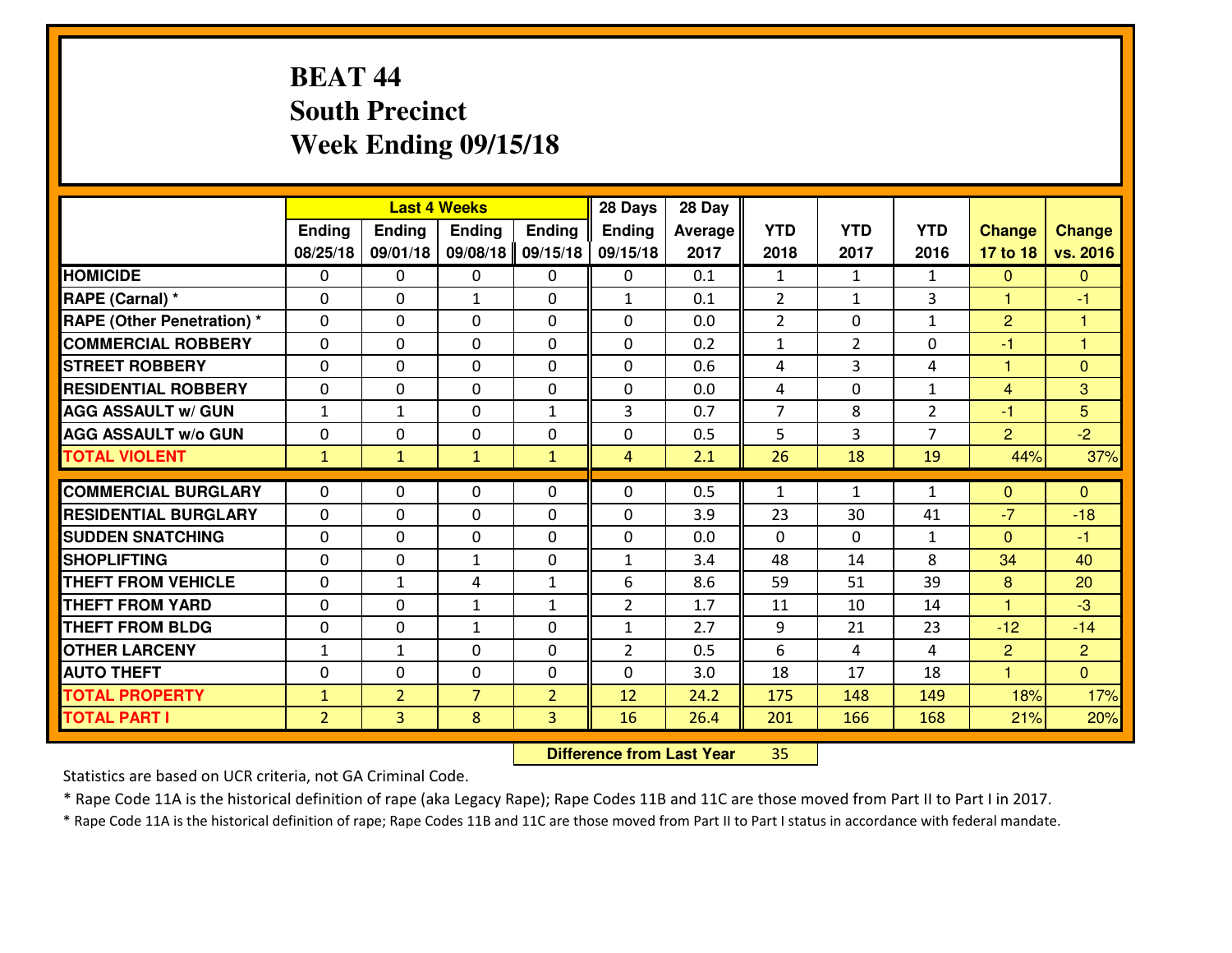# **BEAT 44 South PrecinctWeek Ending 09/15/18**

|                                   | <b>Last 4 Weeks</b> |                |                | 28 Days        | 28 Day         |         |                |                |                |                      |                |
|-----------------------------------|---------------------|----------------|----------------|----------------|----------------|---------|----------------|----------------|----------------|----------------------|----------------|
|                                   | Ending              | <b>Ending</b>  | <b>Ending</b>  | <b>Ending</b>  | Ending         | Average | <b>YTD</b>     | <b>YTD</b>     | <b>YTD</b>     | <b>Change</b>        | <b>Change</b>  |
|                                   | 08/25/18            | 09/01/18       | 09/08/18       | 09/15/18       | 09/15/18       | 2017    | 2018           | 2017           | 2016           | 17 to 18             | vs. 2016       |
| <b>HOMICIDE</b>                   | $\Omega$            | $\Omega$       | $\mathbf{0}$   | 0              | $\Omega$       | 0.1     | $\mathbf{1}$   | 1              | $\mathbf{1}$   | $\mathbf{0}$         | $\mathbf{0}$   |
| RAPE (Carnal) *                   | $\Omega$            | $\Omega$       | $\mathbf{1}$   | 0              | $\mathbf{1}$   | 0.1     | 2              | $\mathbf{1}$   | 3              | 1                    | $-1$           |
| <b>RAPE (Other Penetration) *</b> | 0                   | 0              | $\mathbf{0}$   | $\Omega$       | $\Omega$       | 0.0     | $\overline{2}$ | 0              | $\mathbf{1}$   | $\overline{2}$       | 1              |
| <b>COMMERCIAL ROBBERY</b>         | 0                   | $\Omega$       | 0              | $\Omega$       | 0              | 0.2     | $\mathbf{1}$   | $\overline{2}$ | 0              | $-1$                 | $\overline{1}$ |
| <b>STREET ROBBERY</b>             | 0                   | $\mathbf 0$    | $\mathbf 0$    | 0              | $\Omega$       | 0.6     | 4              | $\overline{3}$ | 4              | 1                    | $\overline{0}$ |
| <b>RESIDENTIAL ROBBERY</b>        | 0                   | 0              | $\mathbf 0$    | 0              | 0              | 0.0     | 4              | $\mathbf 0$    | $\mathbf{1}$   | $\overline{4}$       | 3              |
| <b>AGG ASSAULT w/ GUN</b>         | $\mathbf{1}$        | $\mathbf{1}$   | $\mathbf 0$    | $\mathbf{1}$   | 3              | 0.7     | $\overline{7}$ | 8              | $\overline{2}$ | $-1$                 | 5              |
| <b>AGG ASSAULT W/o GUN</b>        | 0                   | 0              | $\mathbf{0}$   | $\Omega$       | 0              | 0.5     | 5              | 3              | $\overline{7}$ | $\overline{2}$       | $-2$           |
| <b>TOTAL VIOLENT</b>              | $\mathbf{1}$        | $\mathbf{1}$   | $\mathbf{1}$   | $\mathbf{1}$   | 4              | 2.1     | 26             | 18             | 19             | 44%                  | 37%            |
| <b>COMMERCIAL BURGLARY</b>        | $\Omega$            | 0              | $\mathbf{0}$   | $\Omega$       | 0              | 0.5     | $\mathbf{1}$   | $\mathbf{1}$   | $\mathbf{1}$   | $\mathbf 0$          | $\Omega$       |
|                                   |                     |                |                |                |                |         |                |                |                | $-7$                 |                |
| <b>RESIDENTIAL BURGLARY</b>       | $\Omega$            | 0              | $\mathbf{0}$   | 0              | 0              | 3.9     | 23             | 30             | 41             |                      | $-18$          |
| <b>SUDDEN SNATCHING</b>           | 0                   | $\Omega$       | $\mathbf 0$    | $\Omega$       | 0              | 0.0     | $\Omega$       | $\Omega$       | $\mathbf{1}$   | $\mathbf{0}$         | $-1$           |
| <b>SHOPLIFTING</b>                | 0                   | 0              | $\mathbf{1}$   | 0              | $\mathbf{1}$   | 3.4     | 48             | 14             | 8              | 34                   | 40             |
| <b>THEFT FROM VEHICLE</b>         | 0                   | $\mathbf{1}$   | 4              | $\mathbf{1}$   | 6              | 8.6     | 59             | 51             | 39             | 8                    | 20             |
| <b>THEFT FROM YARD</b>            | 0                   | 0              | 1              | $\mathbf{1}$   | $\overline{2}$ | 1.7     | 11             | 10             | 14             | 1                    | $-3$           |
| <b>THEFT FROM BLDG</b>            | 0                   | $\Omega$       | 1              | $\Omega$       | $\mathbf{1}$   | 2.7     | 9              | 21             | 23             | $-12$                | $-14$          |
| <b>OTHER LARCENY</b>              | $\mathbf 1$         | $\mathbf{1}$   | $\mathbf 0$    | $\Omega$       | $\overline{2}$ | 0.5     | 6              | 4              | 4              | $\overline{2}$       | $\overline{2}$ |
| <b>AUTO THEFT</b>                 | 0                   | 0              | $\mathbf 0$    | 0              | 0              | 3.0     | 18             | 17             | 18             | $\blacktriangleleft$ | $\overline{0}$ |
| <b>TOTAL PROPERTY</b>             | $\mathbf{1}$        | $\overline{2}$ | $\overline{7}$ | $\overline{2}$ | 12             | 24.2    | 175            | 148            | 149            | 18%                  | 17%            |
| <b>TOTAL PART I</b>               | $\overline{2}$      | 3              | 8              | 3              | 16             | 26.4    | 201            | 166            | 168            | 21%                  | 20%            |

 **Difference from Last Year**<sup>35</sup>

Statistics are based on UCR criteria, not GA Criminal Code.

\* Rape Code 11A is the historical definition of rape (aka Legacy Rape); Rape Codes 11B and 11C are those moved from Part II to Part I in 2017.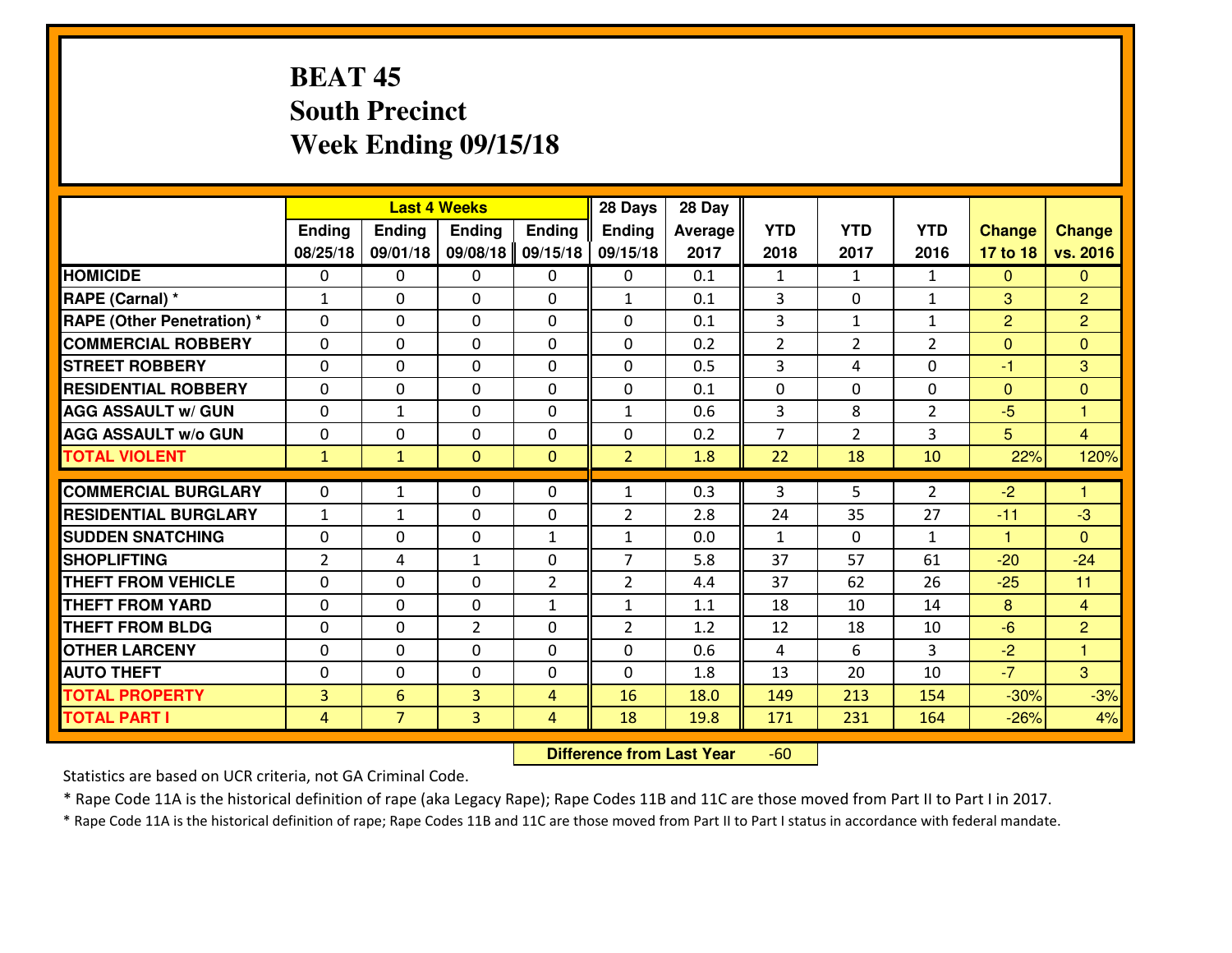# **BEAT 45 South PrecinctWeek Ending 09/15/18**

|                                  | <b>Last 4 Weeks</b> |                |                |                | 28 Days        | 28 Day  |                |                |                |                      |                      |
|----------------------------------|---------------------|----------------|----------------|----------------|----------------|---------|----------------|----------------|----------------|----------------------|----------------------|
|                                  | Ending              | <b>Ending</b>  | <b>Ending</b>  | <b>Ending</b>  | <b>Ending</b>  | Average | <b>YTD</b>     | <b>YTD</b>     | <b>YTD</b>     | <b>Change</b>        | <b>Change</b>        |
|                                  | 08/25/18            | 09/01/18       | 09/08/18       | 09/15/18       | 09/15/18       | 2017    | 2018           | 2017           | 2016           | 17 to 18             | vs. 2016             |
| <b>HOMICIDE</b>                  | $\Omega$            | 0              | 0              | 0              | 0              | 0.1     | 1              | $\mathbf{1}$   | $\mathbf{1}$   | $\Omega$             | $\mathbf{0}$         |
| RAPE (Carnal) *                  | $\mathbf{1}$        | 0              | $\Omega$       | $\Omega$       | $\mathbf{1}$   | 0.1     | 3              | $\Omega$       | $\mathbf{1}$   | 3                    | $\overline{2}$       |
| <b>RAPE (Other Penetration)*</b> | 0                   | 0              | $\mathbf 0$    | 0              | 0              | 0.1     | 3              | $\mathbf{1}$   | $\mathbf{1}$   | 2                    | $\overline{2}$       |
| <b>COMMERCIAL ROBBERY</b>        | 0                   | 0              | $\mathbf 0$    | 0              | 0              | 0.2     | $\overline{2}$ | $\overline{2}$ | $\overline{2}$ | $\mathbf{0}$         | $\overline{0}$       |
| <b>STREET ROBBERY</b>            | 0                   | 0              | $\mathbf 0$    | 0              | 0              | 0.5     | 3              | 4              | 0              | $-1$                 | 3                    |
| <b>RESIDENTIAL ROBBERY</b>       | 0                   | 0              | $\mathbf 0$    | 0              | 0              | 0.1     | 0              | 0              | 0              | $\mathbf{0}$         | $\mathbf{0}$         |
| <b>AGG ASSAULT w/ GUN</b>        | 0                   | $\mathbf{1}$   | $\mathbf 0$    | 0              | $\mathbf{1}$   | 0.6     | 3              | 8              | $\overline{2}$ | $-5$                 | $\mathbf{1}$         |
| <b>AGG ASSAULT W/o GUN</b>       | 0                   | 0              | 0              | 0              | 0              | 0.2     | $\overline{7}$ | $\overline{2}$ | 3              | 5                    | $\overline{4}$       |
| <b>TOTAL VIOLENT</b>             | $\mathbf{1}$        | $\mathbf{1}$   | $\mathbf{O}$   | $\mathbf{0}$   | $\overline{2}$ | 1.8     | 22             | 18             | 10             | 22%                  | 120%                 |
| <b>COMMERCIAL BURGLARY</b>       | $\mathbf{0}$        | $\mathbf{1}$   | $\mathbf{0}$   | 0              | $\mathbf{1}$   | 0.3     | 3              | 5.             | $\overline{2}$ | $-2$                 | $\blacktriangleleft$ |
| <b>RESIDENTIAL BURGLARY</b>      | $\mathbf{1}$        | 1              | 0              | 0              | $\overline{2}$ | 2.8     | 24             | 35             | 27             | $-11$                | $-3$                 |
| <b>SUDDEN SNATCHING</b>          | $\mathbf{0}$        | 0              | $\mathbf 0$    | $\mathbf{1}$   | $\mathbf{1}$   | 0.0     | $\mathbf{1}$   | $\mathbf{0}$   | $\mathbf{1}$   | $\blacktriangleleft$ | $\mathbf{0}$         |
| <b>SHOPLIFTING</b>               | $\overline{2}$      | 4              | 1              | 0              | $\overline{7}$ | 5.8     | 37             | 57             | 61             | $-20$                | $-24$                |
| <b>THEFT FROM VEHICLE</b>        | 0                   | $\Omega$       | $\mathbf 0$    | $\overline{2}$ | $\overline{2}$ | 4.4     | 37             | 62             | 26             | $-25$                | 11                   |
| <b>THEFT FROM YARD</b>           | 0                   | 0              | $\mathbf 0$    | $\mathbf{1}$   | $\mathbf{1}$   | 1.1     | 18             | 10             | 14             | 8                    | $\overline{4}$       |
| <b>THEFT FROM BLDG</b>           | 0                   | 0              | $\overline{2}$ | $\mathbf{0}$   | $\overline{2}$ | 1.2     | 12             | 18             | 10             | $-6$                 | 2                    |
| <b>OTHER LARCENY</b>             | 0                   | 0              | $\mathbf 0$    | 0              | 0              | 0.6     | $\overline{4}$ | 6              | 3              | $-2$                 | $\overline{1}$       |
| <b>AUTO THEFT</b>                | 0                   | 0              | $\mathbf 0$    | 0              | 0              | 1.8     | 13             | 20             | 10             | $-7$                 | 3                    |
| <b>TOTAL PROPERTY</b>            | $\overline{3}$      | 6              | 3              | $\overline{4}$ | 16             | 18.0    | 149            | 213            | 154            | $-30%$               | $-3%$                |
| <b>TOTAL PART I</b>              | $\overline{4}$      | $\overline{7}$ | $\overline{3}$ | 4              | 18             | 19.8    | 171            | 231            | 164            | $-26%$               | 4%                   |

 **Difference from Last Year**-60

Statistics are based on UCR criteria, not GA Criminal Code.

\* Rape Code 11A is the historical definition of rape (aka Legacy Rape); Rape Codes 11B and 11C are those moved from Part II to Part I in 2017.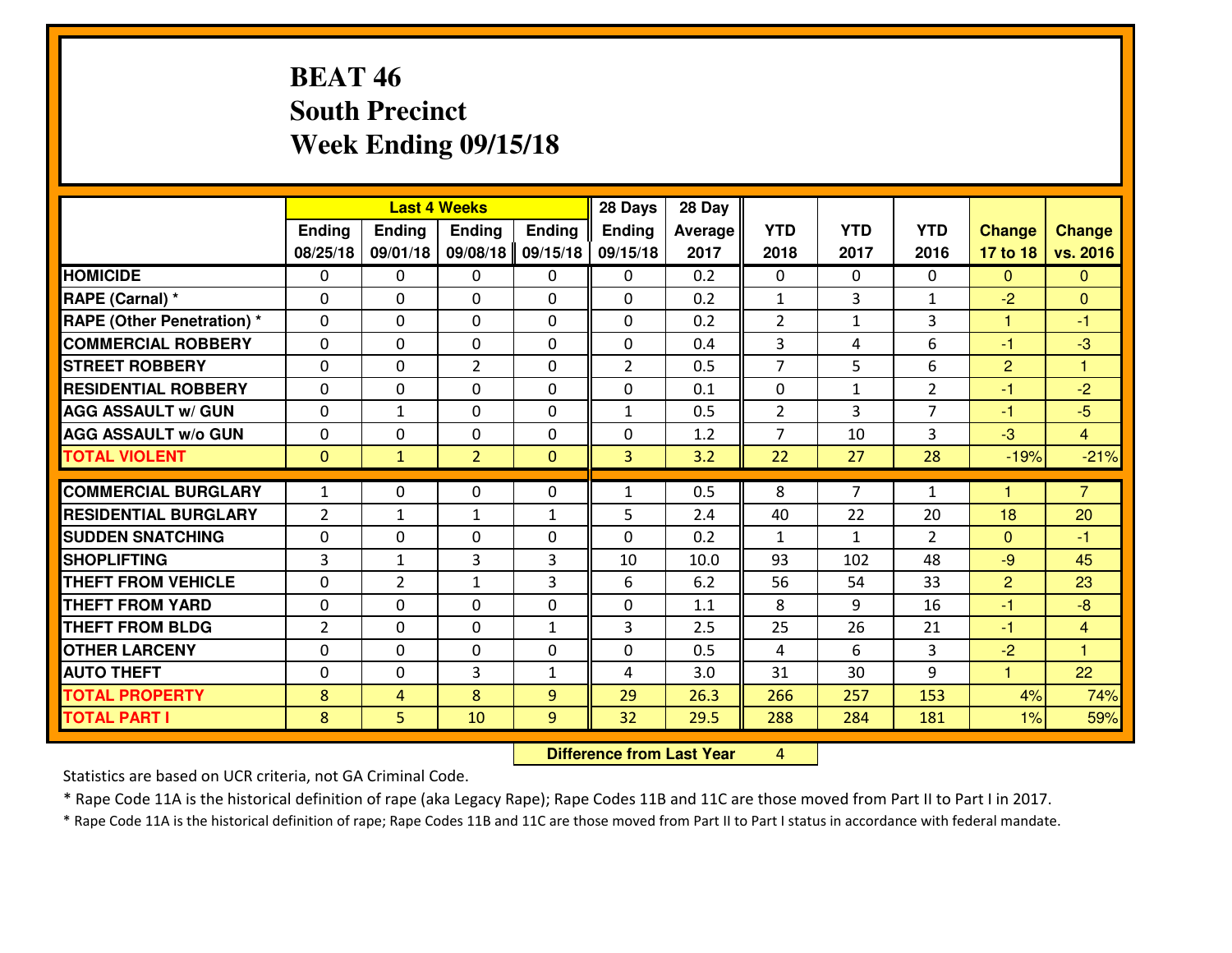# **BEAT 46 South PrecinctWeek Ending 09/15/18**

|                                   | <b>Last 4 Weeks</b><br>Ending<br><b>Ending</b><br><b>Ending</b><br><b>Ending</b> |                |                | 28 Days      | 28 Day         |         |                |                |                |                      |                |
|-----------------------------------|----------------------------------------------------------------------------------|----------------|----------------|--------------|----------------|---------|----------------|----------------|----------------|----------------------|----------------|
|                                   |                                                                                  |                |                |              | <b>Ending</b>  | Average | <b>YTD</b>     | <b>YTD</b>     | <b>YTD</b>     | <b>Change</b>        | <b>Change</b>  |
|                                   | 08/25/18                                                                         | 09/01/18       | 09/08/18       | 09/15/18     | 09/15/18       | 2017    | 2018           | 2017           | 2016           | 17 to 18             | vs. 2016       |
| <b>HOMICIDE</b>                   | $\Omega$                                                                         | 0              | 0              | $\Omega$     | 0              | 0.2     | 0              | $\Omega$       | 0              | $\Omega$             | $\Omega$       |
| RAPE (Carnal) *                   | $\mathbf{0}$                                                                     | 0              | $\mathbf{0}$   | 0            | $\Omega$       | 0.2     | $\mathbf{1}$   | 3              | $\mathbf{1}$   | $-2$                 | $\mathbf{0}$   |
| <b>RAPE (Other Penetration) *</b> | $\Omega$                                                                         | 0              | $\mathbf{0}$   | $\Omega$     | $\Omega$       | 0.2     | 2              | $\mathbf{1}$   | 3              | $\mathbf{1}$         | $-1$           |
| <b>COMMERCIAL ROBBERY</b>         | $\mathbf{0}$                                                                     | 0              | 0              | 0            | 0              | 0.4     | 3              | 4              | 6              | $-1$                 | $-3$           |
| <b>STREET ROBBERY</b>             | 0                                                                                | 0              | $\overline{2}$ | 0            | $\overline{2}$ | 0.5     | $\overline{7}$ | 5              | 6              | $\overline{2}$       | 1              |
| <b>RESIDENTIAL ROBBERY</b>        | $\Omega$                                                                         | $\Omega$       | $\mathbf 0$    | $\Omega$     | 0              | 0.1     | $\mathbf 0$    | $\mathbf{1}$   | $\overline{2}$ | $-1$                 | $-2$           |
| <b>AGG ASSAULT w/ GUN</b>         | 0                                                                                | $\mathbf{1}$   | $\mathbf 0$    | 0            | $\mathbf{1}$   | 0.5     | $\overline{2}$ | 3              | $\overline{7}$ | $-1$                 | $-5$           |
| <b>AGG ASSAULT W/o GUN</b>        | 0                                                                                | 0              | $\mathbf 0$    | $\mathbf 0$  | 0              | 1.2     | $\overline{7}$ | 10             | 3              | $-3$                 | $\overline{4}$ |
| <b>TOTAL VIOLENT</b>              | $\mathbf{0}$                                                                     | $\mathbf{1}$   | $\overline{2}$ | $\mathbf{0}$ | 3              | 3.2     | 22             | 27             | 28             | $-19%$               | $-21%$         |
| <b>COMMERCIAL BURGLARY</b>        | $\mathbf{1}$                                                                     | 0              | $\mathbf{0}$   | $\Omega$     | $\mathbf{1}$   | 0.5     | 8              | $\overline{7}$ | $\mathbf{1}$   | н                    | $\overline{7}$ |
| <b>RESIDENTIAL BURGLARY</b>       | 2                                                                                | $\mathbf{1}$   | $\mathbf{1}$   | $\mathbf{1}$ | 5              | 2.4     | 40             | 22             | 20             | 18                   | 20             |
| <b>SUDDEN SNATCHING</b>           | 0                                                                                | 0              | 0              | 0            | 0              | 0.2     | $\mathbf{1}$   | $\mathbf{1}$   | $\overline{2}$ | $\mathbf{0}$         | $-1$           |
| <b>SHOPLIFTING</b>                | $\overline{3}$                                                                   | $\mathbf{1}$   | 3              | 3            | 10             | 10.0    | 93             | 102            | 48             | $-9$                 | 45             |
| <b>THEFT FROM VEHICLE</b>         | 0                                                                                | $\overline{2}$ | 1              | 3            | 6              | 6.2     | 56             | 54             | 33             | $\overline{2}$       | 23             |
| <b>THEFT FROM YARD</b>            | 0                                                                                | 0              | $\mathbf 0$    | 0            | 0              | 1.1     | 8              | 9              | 16             | $-1$                 | $-8$           |
| <b>THEFT FROM BLDG</b>            | $\overline{2}$                                                                   | 0              | $\mathbf 0$    | $\mathbf{1}$ | 3              | 2.5     | 25             | 26             | 21             | $-1$                 | $\overline{4}$ |
| <b>OTHER LARCENY</b>              | 0                                                                                | 0              | $\mathbf 0$    | 0            | 0              | 0.5     | 4              | 6              | 3              | $-2$                 | $\overline{1}$ |
| <b>AUTO THEFT</b>                 | $\mathbf{0}$                                                                     | 0              | 3              | $\mathbf{1}$ | 4              | 3.0     | 31             | 30             | 9              | $\blacktriangleleft$ | 22             |
| <b>TOTAL PROPERTY</b>             | 8                                                                                | 4              | 8              | 9            | 29             | 26.3    | 266            | 257            | 153            | 4%                   | 74%            |
| <b>TOTAL PART I</b>               | 8                                                                                | 5              | 10             | 9            | 32             | 29.5    | 288            | 284            | 181            | 1%                   | 59%            |

 **Difference from Last Year**<sup>4</sup>

Statistics are based on UCR criteria, not GA Criminal Code.

\* Rape Code 11A is the historical definition of rape (aka Legacy Rape); Rape Codes 11B and 11C are those moved from Part II to Part I in 2017.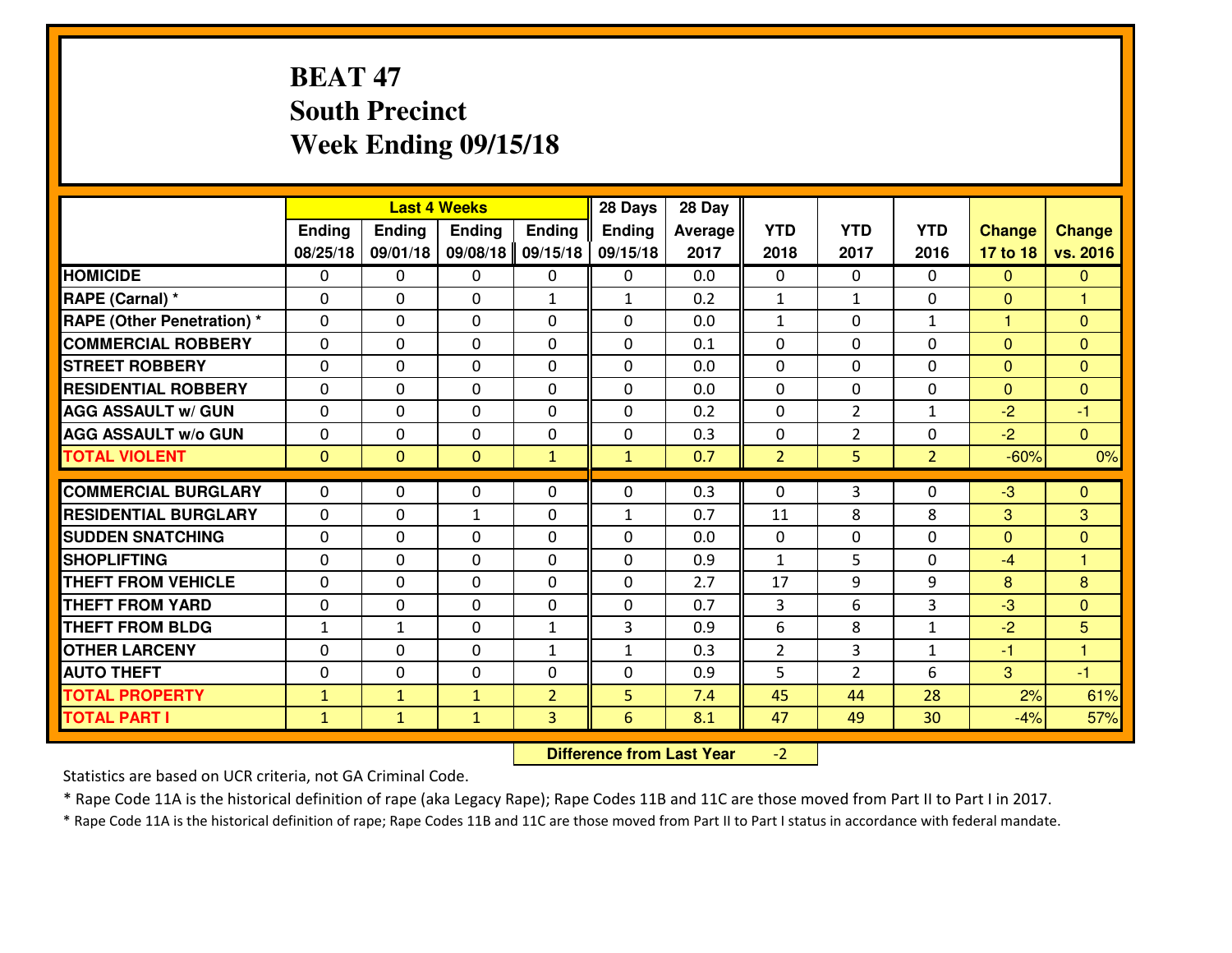# **BEAT 47 South PrecinctWeek Ending 09/15/18**

|                                               | <b>Last 4 Weeks</b><br><b>Ending</b> |                |                            | 28 Days        | 28 Day         |            |                             |                |                |                      |                              |
|-----------------------------------------------|--------------------------------------|----------------|----------------------------|----------------|----------------|------------|-----------------------------|----------------|----------------|----------------------|------------------------------|
|                                               | Ending                               | <b>Ending</b>  | <b>Ending</b>              |                | Ending         | Average    | <b>YTD</b>                  | <b>YTD</b>     | <b>YTD</b>     | <b>Change</b>        | <b>Change</b>                |
|                                               | 08/25/18                             | 09/01/18       | 09/08/18                   | 09/15/18       | 09/15/18       | 2017       | 2018                        | 2017           | 2016           | 17 to 18             | vs. 2016                     |
| <b>HOMICIDE</b>                               | $\Omega$                             | 0              | $\mathbf{0}$               | $\Omega$       | 0              | 0.0        | $\Omega$                    | $\Omega$       | $\Omega$       | $\mathbf{0}$         | $\mathbf{0}$                 |
| RAPE (Carnal) *                               | 0                                    | 0              | $\mathbf{0}$               | $\mathbf{1}$   | $\mathbf{1}$   | 0.2        | $\mathbf{1}$                | $\mathbf{1}$   | $\Omega$       | $\mathbf{0}$         | 1                            |
| <b>RAPE (Other Penetration) *</b>             | $\Omega$                             | 0              | $\mathbf{0}$               | $\Omega$       | $\Omega$       | 0.0        | $\mathbf{1}$                | $\Omega$       | $\mathbf{1}$   | 1                    | $\Omega$                     |
| <b>COMMERCIAL ROBBERY</b>                     | 0                                    | 0              | $\mathbf 0$                | 0              | 0              | 0.1        | $\mathbf 0$                 | 0              | $\Omega$       | $\mathbf{0}$         | $\mathbf{0}$                 |
| <b>STREET ROBBERY</b>                         | $\Omega$                             | 0              | $\mathbf 0$                | 0              | 0              | 0.0        | $\mathbf 0$                 | $\mathbf 0$    | 0              | $\mathbf{0}$         | $\mathbf{0}$                 |
| <b>RESIDENTIAL ROBBERY</b>                    | $\Omega$                             | $\Omega$       | $\mathbf 0$                | $\Omega$       | 0              | 0.0        | $\mathbf 0$                 | 0              | 0              | $\overline{0}$       | $\mathbf{0}$                 |
| <b>AGG ASSAULT W/ GUN</b>                     | $\Omega$                             | 0              | $\mathbf 0$                | 0              | 0              | 0.2        | $\mathbf 0$                 | $\overline{2}$ | $\mathbf{1}$   | $-2$                 | $-1$                         |
| <b>AGG ASSAULT W/o GUN</b>                    | 0                                    | 0              | $\mathbf 0$                | 0              | 0              | 0.3        | $\mathbf 0$                 | $\overline{2}$ | 0              | $-2$                 | $\overline{0}$               |
| <b>TOTAL VIOLENT</b>                          | $\mathbf{0}$                         | $\overline{0}$ | $\mathbf{O}$               | $\mathbf{1}$   | $\mathbf{1}$   | 0.7        | $\overline{2}$              | 5              | $\overline{2}$ | $-60%$               | 0%                           |
| <b>COMMERCIAL BURGLARY</b>                    | $\Omega$                             | 0              | $\mathbf{0}$               | $\Omega$       | $\Omega$       | 0.3        | $\Omega$                    | 3              | $\Omega$       | $-3$                 | $\Omega$                     |
| <b>RESIDENTIAL BURGLARY</b>                   | 0                                    | 0              | $\mathbf{1}$               | 0              | $\mathbf{1}$   | 0.7        | 11                          | 8              | 8              | 3                    | 3                            |
|                                               |                                      |                |                            |                |                |            |                             |                |                |                      |                              |
| <b>SUDDEN SNATCHING</b><br><b>SHOPLIFTING</b> | 0<br>$\Omega$                        | 0<br>0         | $\mathbf 0$<br>$\mathbf 0$ | 0<br>0         | 0<br>0         | 0.0<br>0.9 | $\mathbf 0$<br>$\mathbf{1}$ | 0<br>5         | 0<br>$\Omega$  | $\mathbf{0}$<br>$-4$ | $\mathbf{0}$<br>$\mathbf{1}$ |
| <b>THEFT FROM VEHICLE</b>                     | $\Omega$                             | 0              | $\mathbf 0$                | 0              | 0              | 2.7        | 17                          | 9              | 9              | 8                    | 8                            |
| <b>THEFT FROM YARD</b>                        |                                      | 0              | $\mathbf 0$                |                | 0              | 0.7        | 3                           | 6              | 3              | $-3$                 |                              |
| <b>THEFT FROM BLDG</b>                        | 0                                    |                |                            | 0              |                |            |                             |                |                |                      | $\overline{0}$<br>5          |
|                                               | $\mathbf{1}$                         | 1              | $\mathbf 0$                | $\mathbf{1}$   | 3              | 0.9        | 6                           | 8              | $\mathbf{1}$   | $-2$                 |                              |
| <b>OTHER LARCENY</b>                          | 0                                    | 0              | $\mathbf 0$                | $\mathbf{1}$   | $\mathbf{1}$   | 0.3        | $\overline{2}$              | $\overline{3}$ | $\mathbf{1}$   | $-1$                 | $\mathbf{1}$                 |
| <b>AUTO THEFT</b>                             | 0                                    | 0              | $\mathbf{0}$               | 0              | 0              | 0.9        | 5                           | $\overline{2}$ | 6              | 3                    | $-1$                         |
| <b>TOTAL PROPERTY</b>                         | $\mathbf{1}$                         | $\mathbf{1}$   | $\mathbf{1}$               | $\overline{2}$ | 5              | 7.4        | 45                          | 44             | 28             | 2%                   | 61%                          |
| <b>TOTAL PART I</b>                           | $\mathbf{1}$                         | $\mathbf{1}$   | $\mathbf{1}$               | 3              | $6\phantom{a}$ | 8.1        | 47                          | 49             | 30             | $-4%$                | 57%                          |

 **Difference from Last Year** $-2$  |

Statistics are based on UCR criteria, not GA Criminal Code.

\* Rape Code 11A is the historical definition of rape (aka Legacy Rape); Rape Codes 11B and 11C are those moved from Part II to Part I in 2017.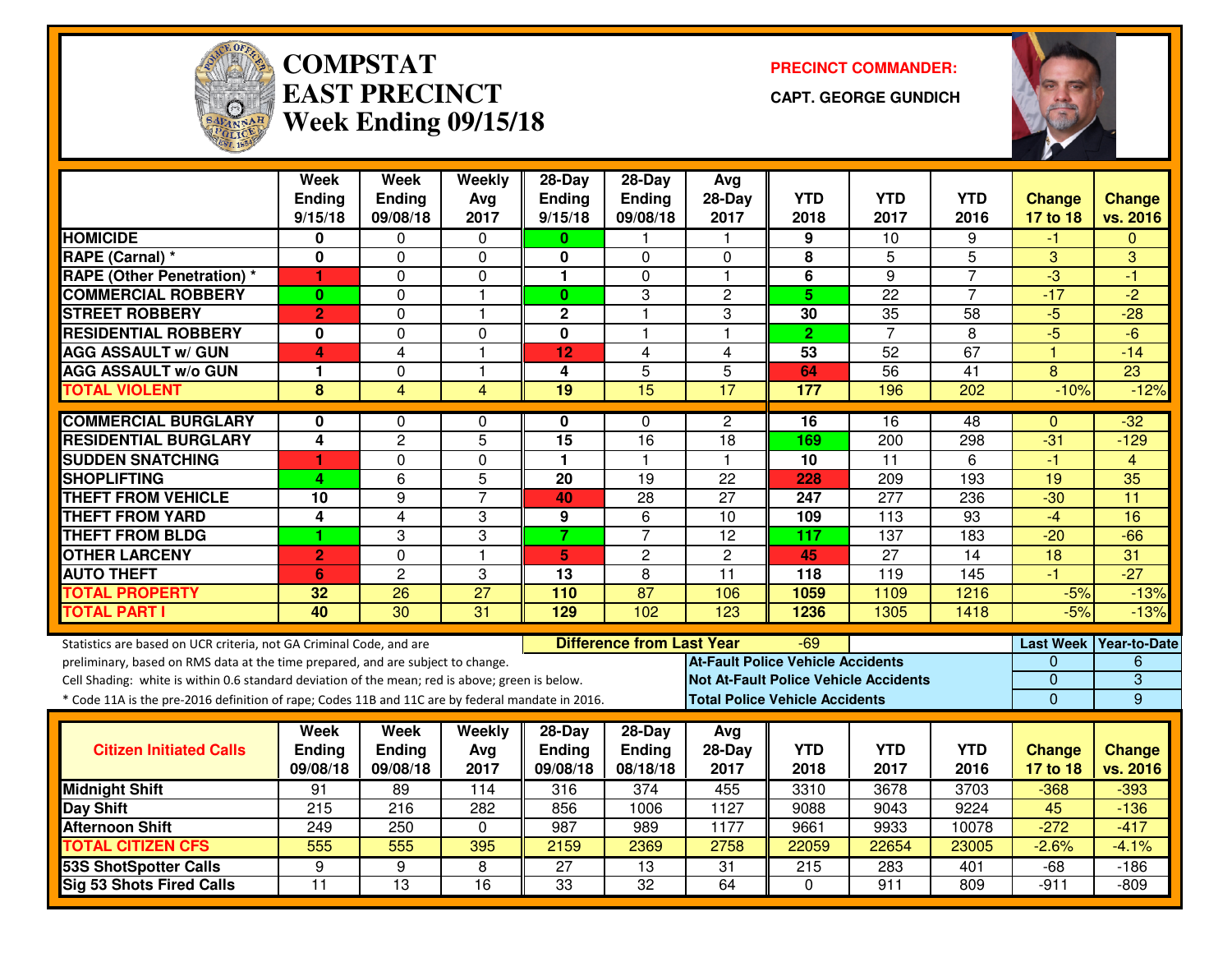

#### **COMPSTATEAST PRECINCTWeek Ending 09/15/18**

**PRECINCT COMMANDER:**

**CAPT. GEORGE GUNDICH**



|                                                                                                  | <b>Week</b><br><b>Ending</b> | <b>Week</b><br><b>Ending</b> | Weekly<br>Avg   | 28-Day<br><b>Ending</b> | 28-Day<br>Ending                 | Avg<br>$28-Day$         | <b>YTD</b>                               | <b>YTD</b>                                   | <b>YTD</b>      | <b>Change</b>   | <b>Change</b>          |
|--------------------------------------------------------------------------------------------------|------------------------------|------------------------------|-----------------|-------------------------|----------------------------------|-------------------------|------------------------------------------|----------------------------------------------|-----------------|-----------------|------------------------|
|                                                                                                  | 9/15/18                      | 09/08/18                     | 2017            | 9/15/18                 | 09/08/18                         | 2017                    | 2018                                     | 2017                                         | 2016            | 17 to 18        | vs. 2016               |
| <b>HOMICIDE</b>                                                                                  | 0                            | 0                            | $\Omega$        | $\bf{0}$                |                                  | -1                      | 9                                        | 10                                           | 9               | -1              | $\Omega$               |
| RAPE (Carnal) *                                                                                  | $\bf{0}$                     | 0                            | $\Omega$        | 0                       | $\Omega$                         | $\Omega$                | 8                                        | 5                                            | 5               | 3               | 3                      |
| <b>RAPE (Other Penetration)</b> *                                                                | 1                            | 0                            | 0               | 1                       | 0                                | $\mathbf{1}$            | 6                                        | $\overline{9}$                               | 7               | $\overline{3}$  | -1                     |
| <b>COMMERCIAL ROBBERY</b>                                                                        | $\bf{0}$                     | $\mathbf{0}$                 | $\mathbf{1}$    | $\mathbf{0}$            | 3                                | $\overline{2}$          | 5 <sup>5</sup>                           | 22                                           | $\overline{7}$  | $-17$           | $\overline{-2}$        |
| <b>ISTREET ROBBERY</b>                                                                           | $\overline{2}$               | 0                            | $\mathbf{1}$    | $\mathbf 2$             | $\mathbf{1}$                     | 3                       | 30                                       | 35                                           | 58              | $-5$            | $-28$                  |
| <b>RESIDENTIAL ROBBERY</b>                                                                       | 0                            | $\Omega$                     | $\Omega$        | 0                       | 1                                | $\overline{\mathbf{1}}$ | $\overline{2}$                           | $\overline{7}$                               | 8               | $-5$            | $-6$                   |
| <b>AGG ASSAULT w/ GUN</b>                                                                        | 4                            | 4                            | $\overline{1}$  | 12                      | 4                                | $\overline{4}$          | 53                                       | $\overline{52}$                              | 67              | $\mathbf{1}$    | $-14$                  |
| <b>AGG ASSAULT w/o GUN</b>                                                                       | 1                            | 0                            | $\mathbf{1}$    | 4                       | $\overline{5}$                   | 5                       | 64                                       | 56                                           | $\overline{41}$ | 8               | $\overline{23}$        |
| <b>TOTAL VIOLENT</b>                                                                             | 8                            | 4                            | $\overline{4}$  | 19                      | 15                               | 17                      | 177                                      | 196                                          | 202             | $-10%$          | $-12%$                 |
| <b>COMMERCIAL BURGLARY</b>                                                                       | 0                            | 0                            | $\Omega$        | 0                       | $\Omega$                         | $\overline{2}$          | 16                                       | 16                                           | 48              | $\Omega$        | $-32$                  |
| <b>RESIDENTIAL BURGLARY</b>                                                                      | $\overline{4}$               | $\overline{2}$               | $\overline{5}$  | 15                      | $\overline{16}$                  | 18                      | 169                                      | $\overline{200}$                             | 298             | $-31$           | $-129$                 |
| <b>SUDDEN SNATCHING</b>                                                                          | 1                            | 0                            | 0               | $\mathbf{1}$            | $\mathbf{1}$                     | $\mathbf 1$             | 10                                       | $\overline{11}$                              | 6               | $-1$            | $\overline{4}$         |
| <b>SHOPLIFTING</b>                                                                               | 4                            | 6                            | 5               | $\overline{20}$         | 19                               | 22                      | 228                                      | 209                                          | 193             | 19              | $\overline{35}$        |
| <b>THEFT FROM VEHICLE</b>                                                                        | 10                           | 9                            | $\overline{7}$  | 40                      | $\overline{28}$                  | $\overline{27}$         | 247                                      | $\overline{277}$                             | 236             | $-30$           | $\overline{11}$        |
| <b>THEFT FROM YARD</b>                                                                           | 4                            | 4                            | 3               | 9                       | 6                                | $\overline{10}$         | 109                                      | 113                                          | 93              | $-4$            | 16                     |
| <b>THEFT FROM BLDG</b>                                                                           |                              | 3                            | 3               | $\overline{7}$          | $\overline{7}$                   | $\overline{12}$         | 117                                      | 137                                          | 183             | $-20$           | $-66$                  |
| <b>OTHER LARCENY</b>                                                                             | $\overline{2}$               | 0                            | $\overline{1}$  | 5                       | $\overline{c}$                   | $\overline{2}$          | 45                                       | $\overline{27}$                              | $\overline{14}$ | $\overline{18}$ | 31                     |
| <b>AUTO THEFT</b>                                                                                | 6                            | $\overline{2}$               | 3               | 13                      | 8                                | 11                      | 118                                      | 119                                          | 145             | $-1$            | $-27$                  |
| <b>TOTAL PROPERTY</b>                                                                            | 32                           | 26                           | $\overline{27}$ | 110                     | $\overline{87}$                  | 106                     | 1059                                     | 1109                                         | 1216            | $-5%$           | $-13%$                 |
| <b>TOTAL PART I</b>                                                                              | 40                           | $\overline{30}$              | $\overline{31}$ | 129                     | 102                              | 123                     | 1236                                     | 1305                                         | 1418            | $-5%$           | $-13%$                 |
| Statistics are based on UCR criteria, not GA Criminal Code, and are                              |                              |                              |                 |                         | <b>Difference from Last Year</b> |                         | -69                                      |                                              |                 |                 | Last Week Year-to-Date |
| preliminary, based on RMS data at the time prepared, and are subject to change.                  |                              |                              |                 |                         |                                  |                         | <b>At-Fault Police Vehicle Accidents</b> |                                              |                 | 0               | 6                      |
| Cell Shading: white is within 0.6 standard deviation of the mean; red is above; green is below.  |                              |                              |                 |                         |                                  |                         |                                          | <b>Not At-Fault Police Vehicle Accidents</b> |                 | 0               | $\overline{3}$         |
| * Code 11A is the pre-2016 definition of rape; Codes 11B and 11C are by federal mandate in 2016. |                              |                              |                 |                         |                                  |                         | <b>Total Police Vehicle Accidents</b>    |                                              |                 | $\overline{0}$  | 9                      |
|                                                                                                  | Week                         | Week                         | Weekly          | 28-Day                  | $28-Day$                         | Avg                     |                                          |                                              |                 |                 |                        |
| <b>Citizen Initiated Calls</b>                                                                   | <b>Ending</b>                | <b>Ending</b>                | Avg             | <b>Ending</b>           | Ending                           | 28-Day                  | <b>YTD</b>                               | <b>YTD</b>                                   | <b>YTD</b>      | <b>Change</b>   | <b>Change</b>          |
|                                                                                                  | 09/08/18                     | 09/08/18                     | 2017            | 09/08/18                | 08/18/18                         | 2017                    | 2018                                     | 2017                                         | 2016            | 17 to 18        | vs. 2016               |
| <b>Midnight Shift</b>                                                                            | 91                           | 89                           | 114             | 316                     | 374                              | 455                     | 3310                                     | 3678                                         | 3703            | $-368$          | $-393$                 |
| <b>Day Shift</b>                                                                                 | 215                          | $\overline{216}$             | 282             | 856                     | 1006                             | 1127                    | 9088                                     | 9043                                         | 9224            | 45              | $-136$                 |
| <b>Afternoon Shift</b>                                                                           | 249                          | 250                          | $\mathbf{0}$    | 987                     | 989                              | 1177                    | 9661                                     | 9933                                         | 10078           | $-272$          | $-417$                 |
| <b>TOTAL CITIZEN CFS</b>                                                                         | 555                          | 555                          | 395             | 2159                    | 2369                             | 2758                    | 22059                                    | 22654                                        | 23005           | $-2.6%$         | $-4.1%$                |
| <b>53S ShotSpotter Calls</b>                                                                     | 9                            | 9                            | 8               | $\overline{27}$         | $\overline{13}$                  | $\overline{31}$         | 215                                      | 283                                          | 401             | $-68$           | $-186$                 |
| Sig 53 Shots Fired Calls                                                                         | 11                           | $\overline{13}$              | 16              | $\overline{33}$         | $\overline{32}$                  | 64                      | $\mathbf 0$                              | 911                                          | 809             | $-911$          | $-809$                 |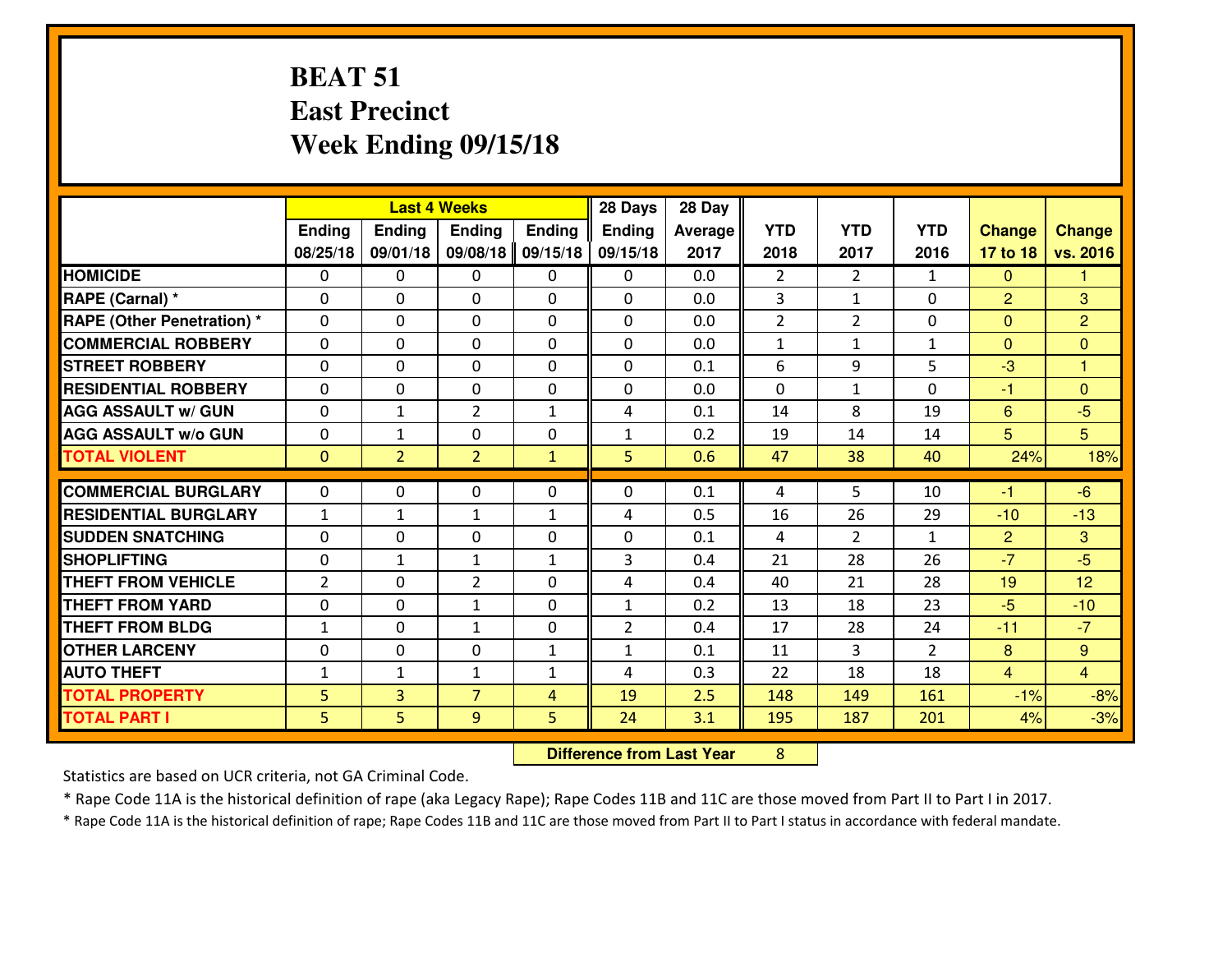### **BEAT 51 East PrecinctWeek Ending 09/15/18**

|                                  | <b>Last 4 Weeks</b> |                |                |                | 28 Days        | 28 Day  |                |                |                |                |                 |
|----------------------------------|---------------------|----------------|----------------|----------------|----------------|---------|----------------|----------------|----------------|----------------|-----------------|
|                                  | Ending              | <b>Ending</b>  | <b>Ending</b>  | <b>Ending</b>  | <b>Ending</b>  | Average | <b>YTD</b>     | <b>YTD</b>     | <b>YTD</b>     | <b>Change</b>  | <b>Change</b>   |
|                                  | 08/25/18            | 09/01/18       | 09/08/18       | 09/15/18       | 09/15/18       | 2017    | 2018           | 2017           | 2016           | 17 to 18       | vs. 2016        |
| <b>HOMICIDE</b>                  | $\Omega$            | 0              | 0              | 0              | $\Omega$       | 0.0     | $\overline{2}$ | $\overline{2}$ | $\mathbf{1}$   | $\Omega$       | 1               |
| RAPE (Carnal) *                  | $\Omega$            | 0              | $\Omega$       | $\Omega$       | $\Omega$       | 0.0     | 3              | $\mathbf{1}$   | 0              | $\overline{2}$ | 3               |
| <b>RAPE (Other Penetration)*</b> | 0                   | 0              | $\mathbf 0$    | 0              | 0              | 0.0     | $\overline{2}$ | $\overline{2}$ | 0              | $\Omega$       | $\overline{2}$  |
| <b>COMMERCIAL ROBBERY</b>        | 0                   | 0              | $\mathbf 0$    | 0              | 0              | 0.0     | $\mathbf{1}$   | $\mathbf{1}$   | $\mathbf{1}$   | $\mathbf{0}$   | $\overline{0}$  |
| <b>STREET ROBBERY</b>            | $\mathbf{0}$        | 0              | $\mathbf 0$    | 0              | 0              | 0.1     | 6              | 9              | 5              | $-3$           | $\mathbf{1}$    |
| <b>RESIDENTIAL ROBBERY</b>       | 0                   | 0              | $\mathbf 0$    | $\mathbf{0}$   | 0              | 0.0     | 0              | $\mathbf{1}$   | 0              | $-1$           | $\mathbf{0}$    |
| <b>AGG ASSAULT w/ GUN</b>        | 0                   | $\mathbf{1}$   | $\overline{2}$ | $\mathbf{1}$   | 4              | 0.1     | 14             | 8              | 19             | $6\phantom{1}$ | $-5$            |
| <b>AGG ASSAULT W/o GUN</b>       | 0                   | 1              | 0              | 0              | $\mathbf{1}$   | 0.2     | 19             | 14             | 14             | 5              | $5\overline{)}$ |
| <b>TOTAL VIOLENT</b>             | $\mathbf{0}$        | $\overline{2}$ | $\overline{2}$ | $\mathbf{1}$   | 5              | 0.6     | 47             | 38             | 40             | 24%            | 18%             |
| <b>COMMERCIAL BURGLARY</b>       | $\Omega$            | 0              | $\mathbf{0}$   | 0              | $\Omega$       | 0.1     | 4              | 5.             | 10             | $-1$           | $-6$            |
| <b>RESIDENTIAL BURGLARY</b>      | $\mathbf{1}$        | 1              | 1              | $\mathbf{1}$   | 4              | 0.5     | 16             | 26             | 29             | $-10$          | $-13$           |
| <b>SUDDEN SNATCHING</b>          | $\mathbf{0}$        | 0              | $\mathbf 0$    | 0              | 0              | 0.1     | 4              | $\overline{2}$ | $\mathbf{1}$   | $\overline{2}$ | $\mathbf{3}$    |
| <b>SHOPLIFTING</b>               | 0                   | $\mathbf{1}$   | 1              | $\mathbf{1}$   | 3              | 0.4     | 21             | 28             | 26             | $-7$           | $-5$            |
| <b>THEFT FROM VEHICLE</b>        | $\overline{2}$      | 0              | $\overline{2}$ | 0              | 4              | 0.4     | 40             | 21             | 28             | 19             | 12              |
| <b>THEFT FROM YARD</b>           | 0                   | 0              | 1              | 0              | $\mathbf{1}$   | 0.2     | 13             | 18             | 23             | $-5$           | $-10$           |
| <b>THEFT FROM BLDG</b>           | $\mathbf{1}$        | 0              | $\mathbf{1}$   | $\mathbf{0}$   | $\overline{2}$ | 0.4     | 17             | 28             | 24             | $-11$          | $-7$            |
| <b>OTHER LARCENY</b>             | 0                   | 0              | $\mathbf 0$    | $\mathbf 1$    | $\mathbf{1}$   | 0.1     | 11             | 3              | $\overline{2}$ | 8              | 9               |
| <b>AUTO THEFT</b>                | $\mathbf{1}$        | $\mathbf{1}$   | 1              | 1              | 4              | 0.3     | 22             | 18             | 18             | $\overline{4}$ | $\overline{4}$  |
| <b>TOTAL PROPERTY</b>            | 5                   | 3              | $\overline{7}$ | $\overline{4}$ | 19             | 2.5     | 148            | 149            | 161            | $-1%$          | $-8%$           |
| <b>TOTAL PART I</b>              | 5                   | 5              | 9              | 5              | 24             | 3.1     | 195            | 187            | 201            | 4%             | $-3%$           |

 **Difference from Last Year**<sup>8</sup>

Statistics are based on UCR criteria, not GA Criminal Code.

\* Rape Code 11A is the historical definition of rape (aka Legacy Rape); Rape Codes 11B and 11C are those moved from Part II to Part I in 2017.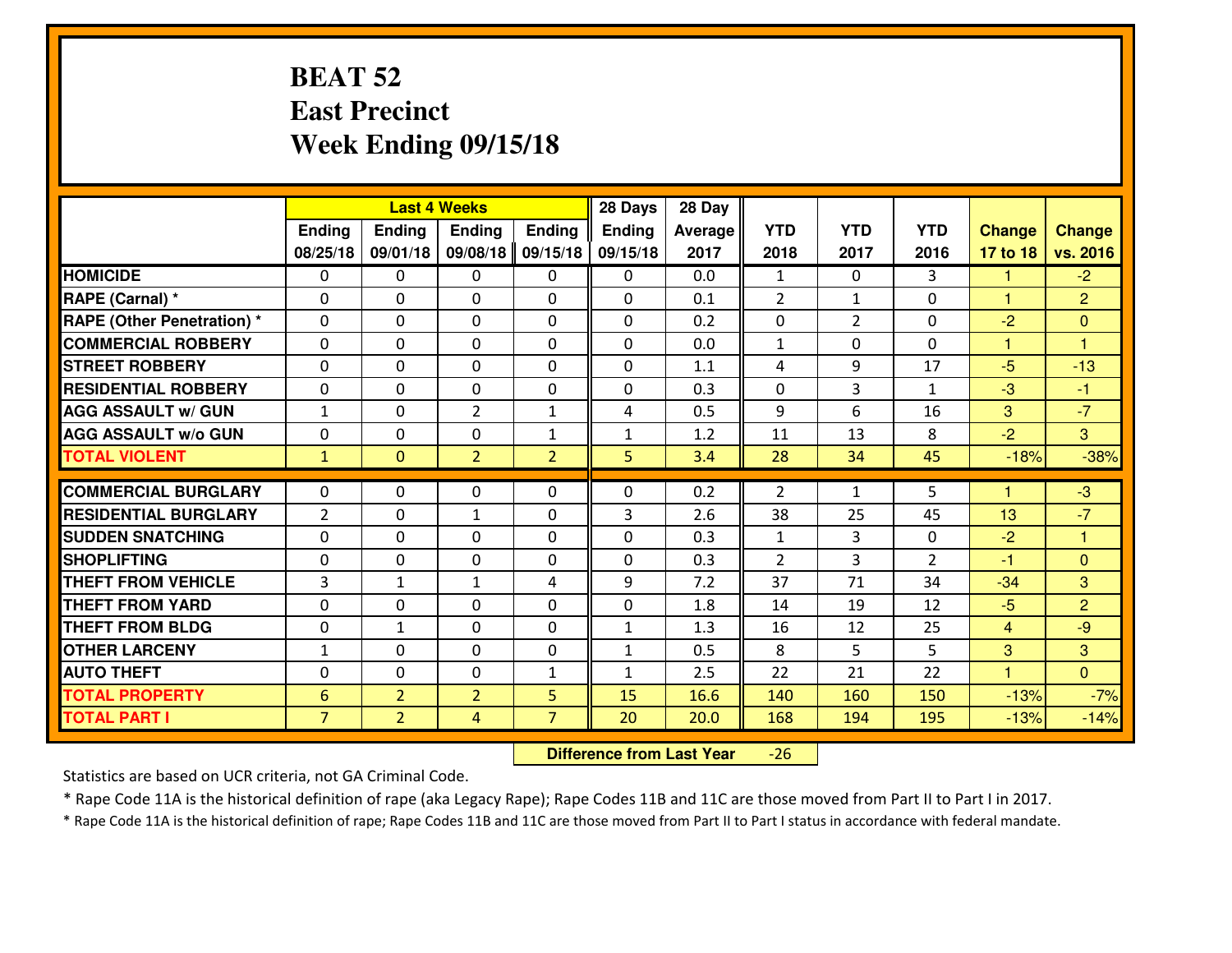# **BEAT 52 East PrecinctWeek Ending 09/15/18**

|                             | <b>Last 4 Weeks</b> |                |                |                | 28 Days       | 28 Day  |              |                |                |                      |                      |
|-----------------------------|---------------------|----------------|----------------|----------------|---------------|---------|--------------|----------------|----------------|----------------------|----------------------|
|                             | Ending              | <b>Ending</b>  | <b>Ending</b>  | <b>Ending</b>  | <b>Ending</b> | Average | <b>YTD</b>   | <b>YTD</b>     | <b>YTD</b>     | <b>Change</b>        | <b>Change</b>        |
|                             | 08/25/18            | 09/01/18       | 09/08/18       | 09/15/18       | 09/15/18      | 2017    | 2018         | 2017           | 2016           | 17 to 18             | vs. 2016             |
| <b>HOMICIDE</b>             | $\Omega$            | 0              | 0              | $\Omega$       | $\Omega$      | 0.0     | 1            | $\Omega$       | 3              | 1                    | $-2$                 |
| RAPE (Carnal) *             | $\mathbf{0}$        | 0              | $\mathbf{0}$   | 0              | $\Omega$      | 0.1     | 2            | $\mathbf{1}$   | 0              | 1                    | $\overline{2}$       |
| RAPE (Other Penetration) *  | $\Omega$            | 0              | $\mathbf{0}$   | $\Omega$       | $\Omega$      | 0.2     | $\mathbf{0}$ | $\overline{2}$ | 0              | $-2$                 | $\mathbf{0}$         |
| <b>COMMERCIAL ROBBERY</b>   | $\mathbf{0}$        | 0              | 0              | 0              | $\Omega$      | 0.0     | $\mathbf{1}$ | 0              | 0              | 1                    | $\blacktriangleleft$ |
| <b>STREET ROBBERY</b>       | 0                   | 0              | $\mathbf 0$    | 0              | 0             | 1.1     | 4            | 9              | 17             | $-5$                 | $-13$                |
| <b>RESIDENTIAL ROBBERY</b>  | $\Omega$            | $\Omega$       | $\mathbf 0$    | $\Omega$       | 0             | 0.3     | 0            | 3              | $\mathbf{1}$   | $-3$                 | $-1$                 |
| <b>AGG ASSAULT w/ GUN</b>   | $\mathbf{1}$        | 0              | $\overline{2}$ | $\mathbf{1}$   | 4             | 0.5     | 9            | 6              | 16             | 3                    | $-7$                 |
| <b>AGG ASSAULT W/o GUN</b>  | 0                   | 0              | $\mathbf 0$    | $\mathbf{1}$   | $\mathbf{1}$  | 1.2     | 11           | 13             | 8              | $-2$                 | $\overline{3}$       |
| <b>TOTAL VIOLENT</b>        | $\mathbf{1}$        | $\mathbf{0}$   | $\overline{2}$ | $\overline{2}$ | 5             | 3.4     | 28           | 34             | 45             | $-18%$               | $-38%$               |
| <b>COMMERCIAL BURGLARY</b>  | $\Omega$            | 0              | $\mathbf{0}$   | $\Omega$       | $\Omega$      | 0.2     | 2            | $\mathbf{1}$   | 5              | $\blacktriangleleft$ | $-3$                 |
| <b>RESIDENTIAL BURGLARY</b> | $\overline{2}$      | 0              | $\mathbf{1}$   | 0              | 3             | 2.6     | 38           | 25             | 45             | 13                   | $-7$                 |
| <b>SUDDEN SNATCHING</b>     | 0                   | 0              | 0              | 0              | 0             | 0.3     | $\mathbf{1}$ | 3              | 0              | $-2$                 | $\blacktriangleleft$ |
| <b>SHOPLIFTING</b>          | 0                   | 0              | $\mathbf 0$    | 0              | 0             | 0.3     | 2            | 3              | $\overline{2}$ | $-1$                 | $\overline{0}$       |
| <b>THEFT FROM VEHICLE</b>   | $\overline{3}$      | $\mathbf{1}$   | 1              | 4              | 9             | 7.2     | 37           | 71             | 34             | $-34$                | $\overline{3}$       |
| <b>THEFT FROM YARD</b>      | 0                   | 0              | $\mathbf 0$    | 0              | 0             | 1.8     | 14           | 19             | 12             | $-5$                 | $\overline{2}$       |
| <b>THEFT FROM BLDG</b>      | 0                   | $\mathbf{1}$   | $\mathbf 0$    | 0              | $\mathbf{1}$  | 1.3     | 16           | 12             | 25             | $\overline{4}$       | $-9$                 |
| <b>OTHER LARCENY</b>        | $1\,$               | 0              | $\mathbf 0$    | 0              | $\mathbf{1}$  | 0.5     | 8            | 5              | 5              | 3                    | 3                    |
| <b>AUTO THEFT</b>           | $\mathbf{0}$        | 0              | $\mathbf{0}$   | $\mathbf{1}$   | $\mathbf{1}$  | 2.5     | 22           | 21             | 22             | $\blacktriangleleft$ | $\overline{0}$       |
| <b>TOTAL PROPERTY</b>       | $6\phantom{1}6$     | $\overline{2}$ | $\overline{2}$ | 5              | 15            | 16.6    | 140          | 160            | 150            | $-13%$               | $-7%$                |
| <b>TOTAL PART I</b>         | $\overline{7}$      | $\overline{2}$ | 4              | $\overline{7}$ | 20            | 20.0    | 168          | 194            | 195            | $-13%$               | $-14%$               |

 **Difference from Last Year** $-26$ 

Statistics are based on UCR criteria, not GA Criminal Code.

\* Rape Code 11A is the historical definition of rape (aka Legacy Rape); Rape Codes 11B and 11C are those moved from Part II to Part I in 2017.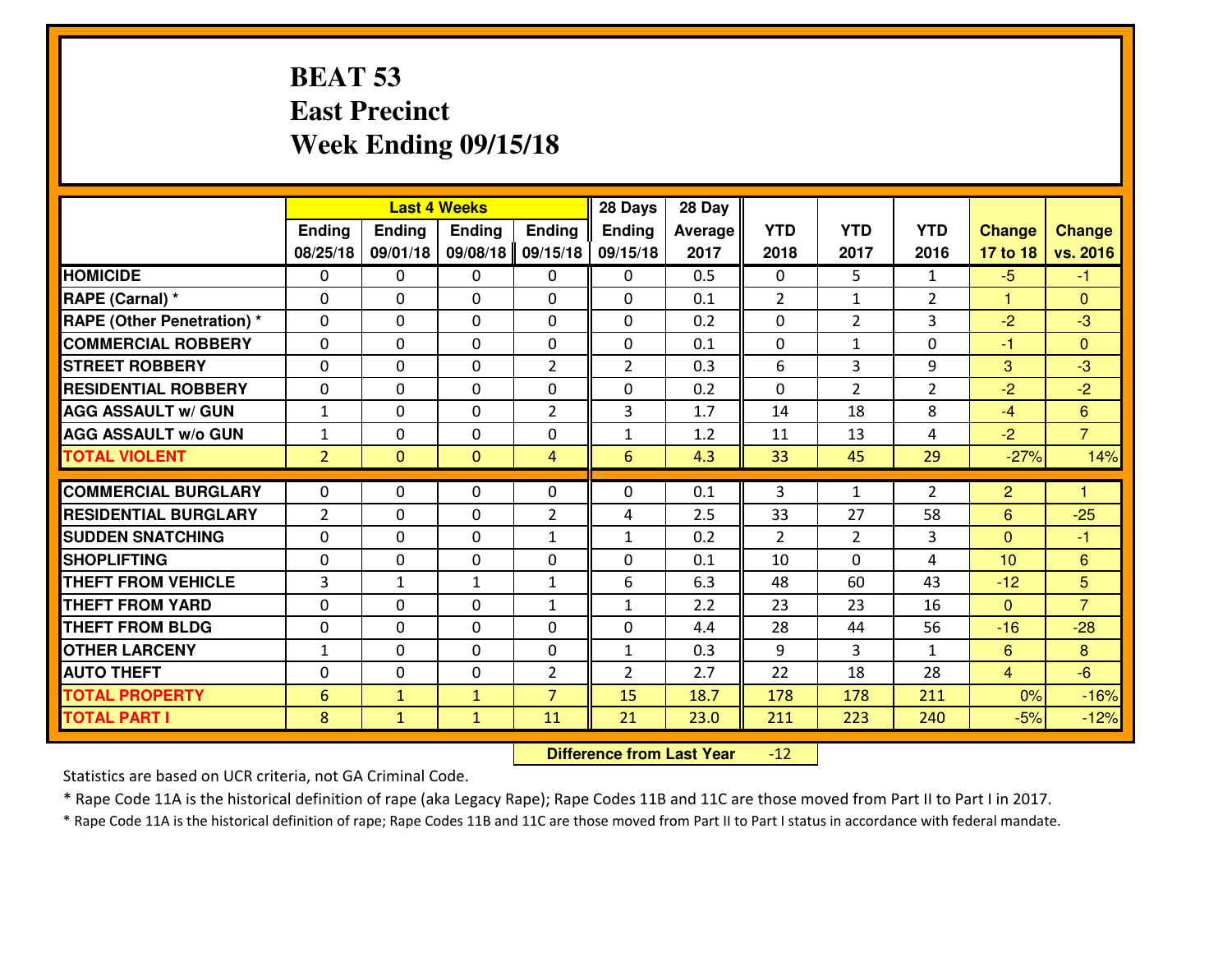#### **BEAT 53 East PrecinctWeek Ending 09/15/18**

|                                  | <b>Last 4 Weeks</b> |                |                |                | 28 Days        | 28 Day  |                |                |                |                |                         |
|----------------------------------|---------------------|----------------|----------------|----------------|----------------|---------|----------------|----------------|----------------|----------------|-------------------------|
|                                  | Ending              | <b>Ending</b>  | <b>Ending</b>  | <b>Ending</b>  | <b>Ending</b>  | Average | <b>YTD</b>     | <b>YTD</b>     | <b>YTD</b>     | <b>Change</b>  | <b>Change</b>           |
|                                  | 08/25/18            | 09/01/18       | 09/08/18       | 09/15/18       | 09/15/18       | 2017    | 2018           | 2017           | 2016           | 17 to 18       | vs. 2016                |
| <b>HOMICIDE</b>                  | $\Omega$            | 0              | 0              | 0              | $\Omega$       | 0.5     | 0              | 5.             | $\mathbf{1}$   | $-5$           | -1                      |
| RAPE (Carnal) *                  | $\Omega$            | 0              | $\Omega$       | $\Omega$       | $\Omega$       | 0.1     | 2              | $\mathbf{1}$   | $\overline{2}$ | 1              | $\Omega$                |
| <b>RAPE (Other Penetration)*</b> | 0                   | 0              | $\mathbf 0$    | 0              | 0              | 0.2     | 0              | $\overline{2}$ | 3              | $-2$           | $-3$                    |
| <b>COMMERCIAL ROBBERY</b>        | 0                   | 0              | $\mathbf 0$    | 0              | 0              | 0.1     | 0              | $\mathbf{1}$   | 0              | $-1$           | $\overline{0}$          |
| <b>STREET ROBBERY</b>            | 0                   | 0              | $\mathbf 0$    | $\overline{2}$ | $\overline{2}$ | 0.3     | 6              | 3              | 9              | 3              | $-3$                    |
| <b>RESIDENTIAL ROBBERY</b>       | 0                   | 0              | $\mathbf 0$    | 0              | 0              | 0.2     | 0              | $\overline{2}$ | $\overline{2}$ | $-2$           | $-2$                    |
| <b>AGG ASSAULT w/ GUN</b>        | $1\,$               | 0              | $\mathbf 0$    | $\overline{2}$ | 3              | 1.7     | 14             | 18             | 8              | $-4$           | $6\overline{6}$         |
| <b>AGG ASSAULT W/o GUN</b>       | $\mathbf{1}$        | 0              | 0              | 0              | $\mathbf{1}$   | 1.2     | 11             | 13             | 4              | $-2$           | $\overline{7}$          |
| <b>TOTAL VIOLENT</b>             | $\overline{2}$      | $\overline{0}$ | $\overline{0}$ | $\overline{4}$ | 6              | 4.3     | 33             | 45             | 29             | $-27%$         | 14%                     |
| <b>COMMERCIAL BURGLARY</b>       | $\mathbf{0}$        | 0              | $\mathbf{0}$   | 0              | $\Omega$       | 0.1     | 3              | $\mathbf{1}$   | $\overline{2}$ | $\overline{2}$ | $\overline{\mathbf{1}}$ |
| <b>RESIDENTIAL BURGLARY</b>      | $\overline{2}$      | 0              | 0              | $\overline{2}$ | 4              | 2.5     | 33             | 27             | 58             | 6              | $-25$                   |
| <b>SUDDEN SNATCHING</b>          | $\mathbf{0}$        | 0              | $\mathbf 0$    | $\mathbf{1}$   | $\mathbf{1}$   | 0.2     | $\overline{2}$ | $\overline{2}$ | 3              | $\Omega$       | $-1$                    |
| <b>SHOPLIFTING</b>               | 0                   | 0              | $\mathbf 0$    | 0              | 0              | 0.1     | 10             | $\Omega$       | 4              | 10             | 6                       |
| <b>THEFT FROM VEHICLE</b>        | $\overline{3}$      | $\mathbf{1}$   | 1              | $\mathbf{1}$   | 6              | 6.3     | 48             | 60             | 43             | $-12$          | 5                       |
| <b>THEFT FROM YARD</b>           | 0                   | 0              | $\mathbf 0$    | $\mathbf{1}$   | $\mathbf{1}$   | 2.2     | 23             | 23             | 16             | $\mathbf{0}$   | $\overline{7}$          |
| <b>THEFT FROM BLDG</b>           | 0                   | 0              | $\mathbf 0$    | $\mathbf{0}$   | 0              | 4.4     | 28             | 44             | 56             | $-16$          | $-28$                   |
| <b>OTHER LARCENY</b>             | $1\,$               | 0              | $\mathbf 0$    | 0              | $\mathbf{1}$   | 0.3     | 9              | 3              | $\mathbf{1}$   | $6\phantom{1}$ | 8                       |
| <b>AUTO THEFT</b>                | $\mathbf 0$         | 0              | $\mathbf 0$    | $\overline{2}$ | $\overline{2}$ | 2.7     | 22             | 18             | 28             | $\overline{4}$ | $-6$                    |
| <b>TOTAL PROPERTY</b>            | 6                   | $\mathbf{1}$   | $\mathbf{1}$   | $\overline{7}$ | 15             | 18.7    | 178            | 178            | 211            | 0%             | $-16%$                  |
| <b>TOTAL PART I</b>              | 8                   | $\mathbf{1}$   | $\mathbf{1}$   | 11             | 21             | 23.0    | 211            | 223            | 240            | $-5%$          | $-12%$                  |
|                                  |                     |                |                |                |                |         |                |                |                |                |                         |

 **Difference from Last Year** $-12$ 

Statistics are based on UCR criteria, not GA Criminal Code.

\* Rape Code 11A is the historical definition of rape (aka Legacy Rape); Rape Codes 11B and 11C are those moved from Part II to Part I in 2017.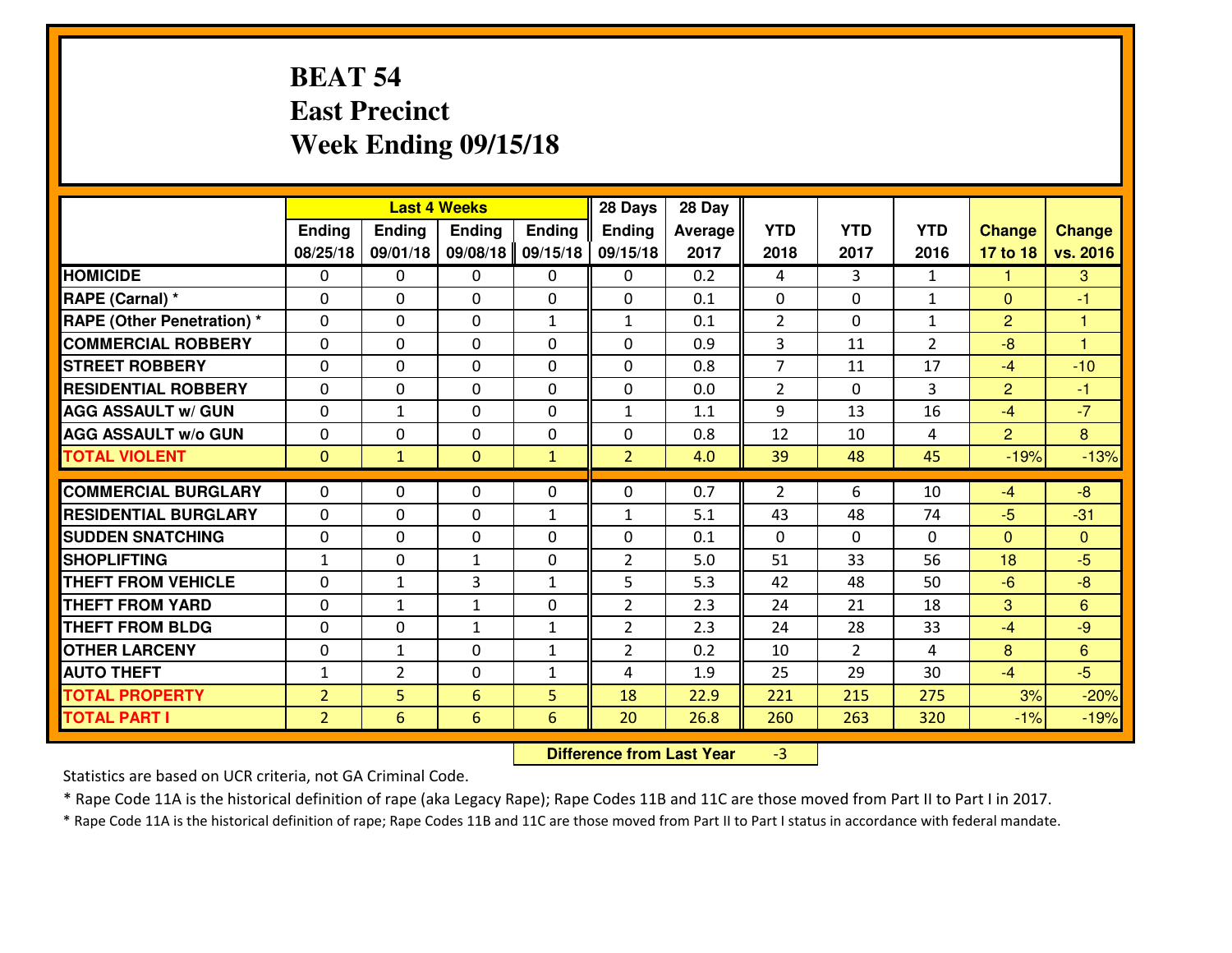# **BEAT 54 East PrecinctWeek Ending 09/15/18**

|                                  | <b>Last 4 Weeks</b> |                |                 |               | 28 Days        | 28 Day  |                |                |                |                |                |
|----------------------------------|---------------------|----------------|-----------------|---------------|----------------|---------|----------------|----------------|----------------|----------------|----------------|
|                                  | Ending              | <b>Ending</b>  | <b>Ending</b>   | <b>Ending</b> | <b>Ending</b>  | Average | <b>YTD</b>     | <b>YTD</b>     | <b>YTD</b>     | <b>Change</b>  | <b>Change</b>  |
|                                  | 08/25/18            | 09/01/18       | 09/08/18        | 09/15/18      | 09/15/18       | 2017    | 2018           | 2017           | 2016           | 17 to 18       | vs. 2016       |
| <b>HOMICIDE</b>                  | $\Omega$            | 0              | 0               | 0             | 0              | 0.2     | 4              | 3              | $\mathbf{1}$   | -1             | 3              |
| RAPE (Carnal) *                  | $\Omega$            | 0              | $\Omega$        | $\Omega$      | $\Omega$       | 0.1     | $\Omega$       | $\Omega$       | $\mathbf{1}$   | $\Omega$       | -1             |
| <b>RAPE (Other Penetration)*</b> | 0                   | 0              | $\mathbf 0$     | $\mathbf{1}$  | $\mathbf{1}$   | 0.1     | $\overline{2}$ | $\Omega$       | $\mathbf{1}$   | 2              | $\overline{1}$ |
| <b>COMMERCIAL ROBBERY</b>        | 0                   | 0              | $\mathbf 0$     | 0             | 0              | 0.9     | 3              | 11             | $\overline{2}$ | $-8$           | $\overline{1}$ |
| <b>STREET ROBBERY</b>            | $\mathbf{0}$        | 0              | $\mathbf 0$     | 0             | 0              | 0.8     | $\overline{7}$ | 11             | 17             | $-4$           | $-10$          |
| <b>RESIDENTIAL ROBBERY</b>       | 0                   | 0              | $\mathbf 0$     | 0             | 0              | 0.0     | $\overline{2}$ | $\Omega$       | 3              | $\overline{2}$ | $-1$           |
| <b>AGG ASSAULT w/ GUN</b>        | 0                   | $\mathbf{1}$   | $\mathbf 0$     | 0             | $\mathbf{1}$   | 1.1     | 9              | 13             | 16             | $-4$           | $-7$           |
| <b>AGG ASSAULT W/o GUN</b>       | 0                   | 0              | 0               | 0             | 0              | 0.8     | 12             | 10             | 4              | $\overline{2}$ | 8              |
| <b>TOTAL VIOLENT</b>             | $\mathbf{0}$        | $\mathbf{1}$   | $\overline{0}$  | $\mathbf{1}$  | $\overline{2}$ | 4.0     | 39             | 48             | 45             | $-19%$         | $-13%$         |
| <b>COMMERCIAL BURGLARY</b>       | $\Omega$            | 0              | $\mathbf{0}$    | 0             | $\Omega$       | 0.7     | 2              | 6              | 10             | $-4$           | $-8$           |
| <b>RESIDENTIAL BURGLARY</b>      | $\mathbf{0}$        | 0              | 0               | $\mathbf{1}$  | $\mathbf{1}$   | 5.1     | 43             | 48             | 74             | $-5$           | $-31$          |
| <b>SUDDEN SNATCHING</b>          | $\mathbf{0}$        | 0              | $\mathbf 0$     | 0             | 0              | 0.1     | $\mathbf{0}$   | $\Omega$       | $\Omega$       | $\Omega$       | $\mathbf{0}$   |
| <b>SHOPLIFTING</b>               | $\mathbf{1}$        | 0              | 1               | 0             | $\overline{2}$ | 5.0     | 51             | 33             | 56             | 18             | $-5$           |
| <b>THEFT FROM VEHICLE</b>        | 0                   | 1              | 3               | $\mathbf{1}$  | 5              | 5.3     | 42             | 48             | 50             | $-6$           | $-8$           |
| <b>THEFT FROM YARD</b>           | 0                   | 1              | 1               | 0             | $\overline{2}$ | 2.3     | 24             | 21             | 18             | 3              | 6              |
| <b>THEFT FROM BLDG</b>           | 0                   | 0              | $\mathbf{1}$    | $\mathbf{1}$  | $\overline{2}$ | 2.3     | 24             | 28             | 33             | $-4$           | $-9$           |
| <b>OTHER LARCENY</b>             | 0                   | $\mathbf{1}$   | $\mathbf 0$     | $\mathbf{1}$  | $\overline{2}$ | 0.2     | 10             | $\overline{2}$ | 4              | 8              | 6              |
| <b>AUTO THEFT</b>                | $\mathbf{1}$        | $\overline{2}$ | $\mathbf 0$     | 1             | 4              | 1.9     | 25             | 29             | 30             | $-4$           | $-5$           |
| <b>TOTAL PROPERTY</b>            | $\overline{2}$      | 5              | 6               | 5             | 18             | 22.9    | 221            | 215            | 275            | 3%             | $-20%$         |
| <b>TOTAL PART I</b>              | $\overline{2}$      | 6              | $6\overline{6}$ | 6             | 20             | 26.8    | 260            | 263            | 320            | $-1%$          | $-19%$         |

 **Difference from Last Year**-3

Statistics are based on UCR criteria, not GA Criminal Code.

\* Rape Code 11A is the historical definition of rape (aka Legacy Rape); Rape Codes 11B and 11C are those moved from Part II to Part I in 2017.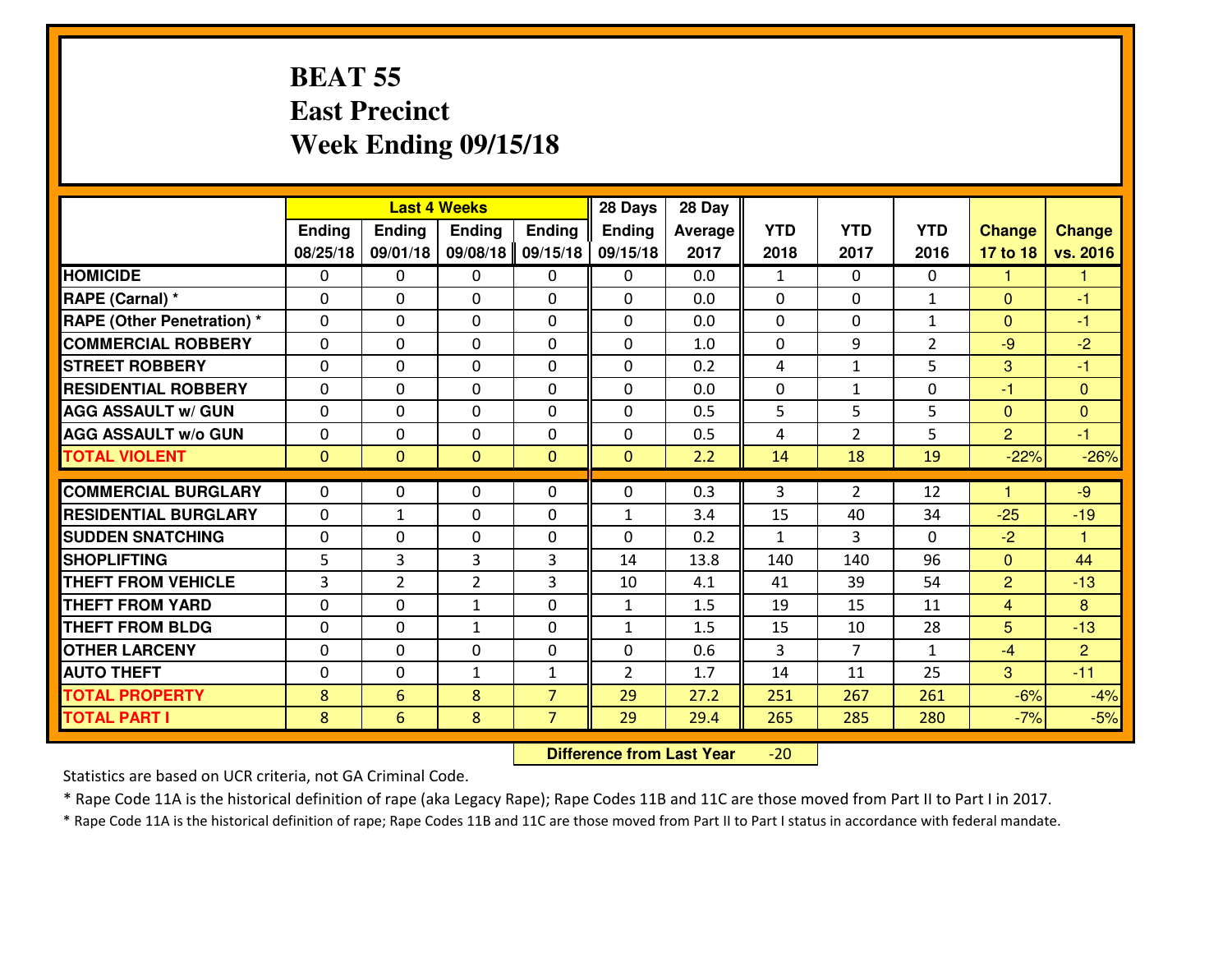#### **BEAT 55 East PrecinctWeek Ending 09/15/18**

|                                   | <b>Last 4 Weeks</b> |                |                |                | 28 Days        | 28 Day  |              |                |                |                      |                |
|-----------------------------------|---------------------|----------------|----------------|----------------|----------------|---------|--------------|----------------|----------------|----------------------|----------------|
|                                   | <b>Ending</b>       | Ending         | <b>Endina</b>  | <b>Ending</b>  | <b>Ending</b>  | Average | <b>YTD</b>   | <b>YTD</b>     | <b>YTD</b>     | <b>Change</b>        | <b>Change</b>  |
|                                   | 08/25/18            | 09/01/18       | 09/08/18       | 09/15/18       | 09/15/18       | 2017    | 2018         | 2017           | 2016           | 17 to 18             | vs. 2016       |
| <b>HOMICIDE</b>                   | $\Omega$            | 0              | $\mathbf{0}$   | 0              | 0              | 0.0     | 1            | $\Omega$       | 0              | 1                    | -1             |
| RAPE (Carnal) *                   | $\Omega$            | 0              | $\mathbf{0}$   | 0              | $\Omega$       | 0.0     | $\Omega$     | $\Omega$       | $\mathbf{1}$   | $\Omega$             | -1             |
| <b>RAPE (Other Penetration) *</b> | $\Omega$            | 0              | $\mathbf 0$    | $\Omega$       | 0              | 0.0     | $\mathbf{0}$ | 0              | $\mathbf{1}$   | $\Omega$             | $-1$           |
| <b>COMMERCIAL ROBBERY</b>         | 0                   | 0              | $\mathbf 0$    | 0              | 0              | 1.0     | $\mathbf{0}$ | 9              | $\overline{2}$ | $-9$                 | $-2$           |
| <b>STREET ROBBERY</b>             | 0                   | 0              | $\mathbf 0$    | 0              | 0              | 0.2     | 4            | $\mathbf{1}$   | 5              | 3                    | $-1$           |
| <b>RESIDENTIAL ROBBERY</b>        | 0                   | 0              | $\mathbf 0$    | $\Omega$       | 0              | 0.0     | 0            | $\mathbf{1}$   | 0              | $-1$                 | $\mathbf{0}$   |
| <b>AGG ASSAULT W/ GUN</b>         | 0                   | 0              | $\mathbf 0$    | 0              | 0              | 0.5     | 5            | 5              | 5              | $\mathbf{0}$         | $\overline{0}$ |
| <b>AGG ASSAULT W/o GUN</b>        | 0                   | 0              | $\mathbf 0$    | $\mathbf{0}$   | 0              | 0.5     | 4            | $\overline{2}$ | 5              | $\overline{2}$       | $-1$           |
| <b>TOTAL VIOLENT</b>              | $\mathbf{0}$        | $\overline{0}$ | $\overline{0}$ | $\mathbf{0}$   | $\mathbf{0}$   | 2.2     | 14           | 18             | 19             | $-22%$               | $-26%$         |
| <b>COMMERCIAL BURGLARY</b>        | $\Omega$            | $\Omega$       | 0              | $\Omega$       | 0              | 0.3     | 3            | $\overline{2}$ | 12             | $\blacktriangleleft$ | $-9$           |
| <b>RESIDENTIAL BURGLARY</b>       | 0                   | 1              | $\mathbf 0$    | 0              | $\mathbf{1}$   | 3.4     | 15           | 40             | 34             | $-25$                | $-19$          |
| <b>SUDDEN SNATCHING</b>           | 0                   | 0              | $\mathbf 0$    | 0              | 0              | 0.2     | $\mathbf{1}$ | 3              | 0              | $-2$                 | $\overline{1}$ |
| <b>SHOPLIFTING</b>                | 5                   | 3              | 3              | 3              | 14             | 13.8    | 140          | 140            | 96             | $\overline{0}$       | 44             |
| <b>THEFT FROM VEHICLE</b>         | 3                   | $\overline{2}$ | $\overline{2}$ | 3              | 10             | 4.1     | 41           | 39             | 54             | $\overline{2}$       | $-13$          |
| <b>THEFT FROM YARD</b>            | $\mathbf 0$         | 0              | $\mathbf{1}$   | 0              | 1              | 1.5     | 19           | 15             | 11             | $\overline{4}$       | 8              |
| <b>THEFT FROM BLDG</b>            | 0                   | 0              | $\mathbf{1}$   | $\mathbf 0$    | $\mathbf{1}$   | 1.5     | 15           | 10             | 28             | 5                    | $-13$          |
| <b>OTHER LARCENY</b>              | 0                   | 0              | 0              | $\Omega$       | 0              | 0.6     | 3            | 7              | $\mathbf{1}$   | $-4$                 | $\overline{2}$ |
| <b>AUTO THEFT</b>                 | $\mathbf{0}$        | 0              | 1              | $\mathbf{1}$   | $\overline{2}$ | 1.7     | 14           | 11             | 25             | 3                    | $-11$          |
| <b>TOTAL PROPERTY</b>             | 8                   | 6              | 8              | $\overline{7}$ | 29             | 27.2    | 251          | 267            | 261            | $-6%$                | $-4%$          |
| <b>TOTAL PART I</b>               | 8                   | 6              | 8              | $\overline{7}$ | 29             | 29.4    | 265          | 285            | 280            | $-7%$                | $-5%$          |
|                                   |                     |                |                |                |                |         |              |                |                |                      |                |

 **Difference from Last Year**-20

Statistics are based on UCR criteria, not GA Criminal Code.

\* Rape Code 11A is the historical definition of rape (aka Legacy Rape); Rape Codes 11B and 11C are those moved from Part II to Part I in 2017.